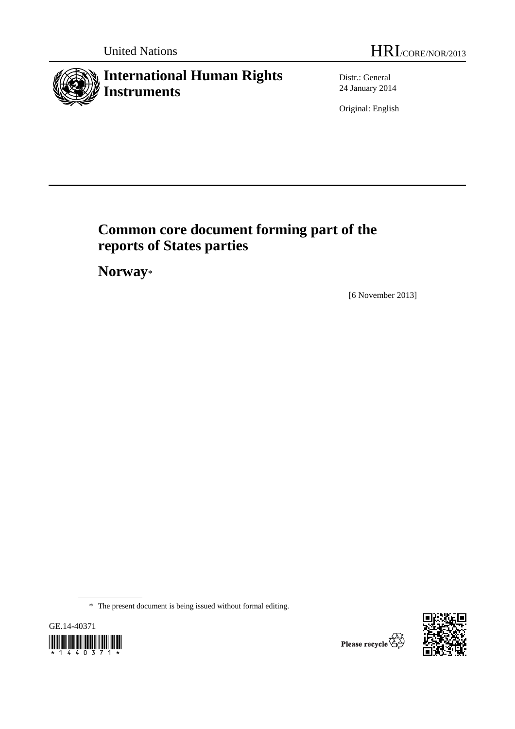# **International Human Rights Instruments**

Distr.: General 24 January 2014

Original: English

# **Common core document forming part of the reports of States parties**

 **Norway**\*

[6 November 2013]

\* The present document is being issued without formal editing.



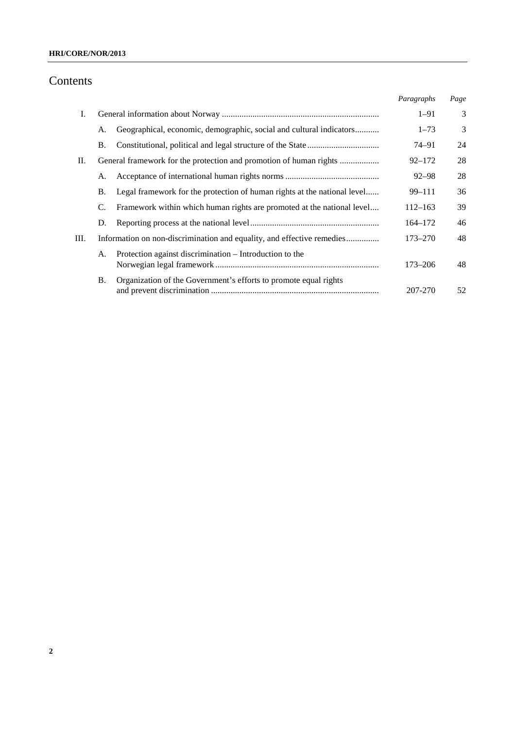# Contents

|    |           |                                                                          | Paragraphs  | Page |
|----|-----------|--------------------------------------------------------------------------|-------------|------|
| Ι. |           |                                                                          | $1 - 91$    | 3    |
|    | А.        | Geographical, economic, demographic, social and cultural indicators      | $1 - 73$    | 3    |
|    | В.        |                                                                          | 74–91       | 24   |
| П. |           |                                                                          | $92 - 172$  | 28   |
|    | A.        |                                                                          | $92 - 98$   | 28   |
|    | <b>B.</b> | Legal framework for the protection of human rights at the national level | $99 - 111$  | 36   |
|    | C.        | Framework within which human rights are promoted at the national level   | $112 - 163$ | 39   |
|    | D.        |                                                                          | $164 - 172$ | 46   |
| Ш. |           | Information on non-discrimination and equality, and effective remedies   | 173–270     | 48   |
|    | А.        | Protection against discrimination – Introduction to the                  | $173 - 206$ | 48   |
|    | <b>B.</b> | Organization of the Government's efforts to promote equal rights         | 207-270     | 52   |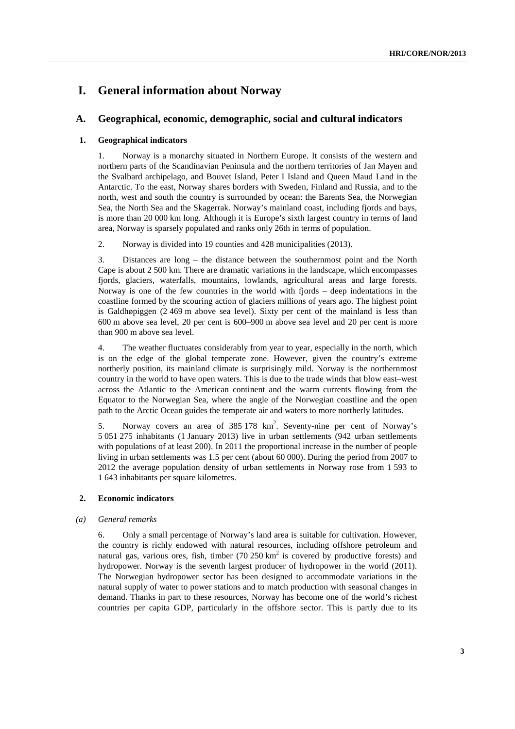# **I. General information about Norway**

### **A. Geographical, economic, demographic, social and cultural indicators**

#### **1. Geographical indicators**

1. Norway is a monarchy situated in Northern Europe. It consists of the western and northern parts of the Scandinavian Peninsula and the northern territories of Jan Mayen and the Svalbard archipelago, and Bouvet Island, Peter I Island and Queen Maud Land in the Antarctic. To the east, Norway shares borders with Sweden, Finland and Russia, and to the north, west and south the country is surrounded by ocean: the Barents Sea, the Norwegian Sea, the North Sea and the Skagerrak. Norway's mainland coast, including fjords and bays, is more than 20 000 km long. Although it is Europe's sixth largest country in terms of land area, Norway is sparsely populated and ranks only 26th in terms of population.

2. Norway is divided into 19 counties and 428 municipalities (2013).

3. Distances are long – the distance between the southernmost point and the North Cape is about 2 500 km. There are dramatic variations in the landscape, which encompasses fjords, glaciers, waterfalls, mountains, lowlands, agricultural areas and large forests. Norway is one of the few countries in the world with fjords – deep indentations in the coastline formed by the scouring action of glaciers millions of years ago. The highest point is Galdhøpiggen (2 469 m above sea level). Sixty per cent of the mainland is less than 600 m above sea level, 20 per cent is 600–900 m above sea level and 20 per cent is more than 900 m above sea level.

4. The weather fluctuates considerably from year to year, especially in the north, which is on the edge of the global temperate zone. However, given the country's extreme northerly position, its mainland climate is surprisingly mild. Norway is the northernmost country in the world to have open waters. This is due to the trade winds that blow east–west across the Atlantic to the American continent and the warm currents flowing from the Equator to the Norwegian Sea, where the angle of the Norwegian coastline and the open path to the Arctic Ocean guides the temperate air and waters to more northerly latitudes.

5. Norway covers an area of 385 178 km<sup>2</sup>. Seventy-nine per cent of Norway's 5 051 275 inhabitants (1 January 2013) live in urban settlements (942 urban settlements with populations of at least 200). In 2011 the proportional increase in the number of people living in urban settlements was 1.5 per cent (about 60 000). During the period from 2007 to 2012 the average population density of urban settlements in Norway rose from 1 593 to 1 643 inhabitants per square kilometres.

### **2. Economic indicators**

#### *(a) General remarks*

6. Only a small percentage of Norway's land area is suitable for cultivation. However, the country is richly endowed with natural resources, including offshore petroleum and natural gas, various ores, fish, timber  $(70\,250\,\text{km}^2)$  is covered by productive forests) and hydropower. Norway is the seventh largest producer of hydropower in the world (2011). The Norwegian hydropower sector has been designed to accommodate variations in the natural supply of water to power stations and to match production with seasonal changes in demand. Thanks in part to these resources, Norway has become one of the world's richest countries per capita GDP, particularly in the offshore sector. This is partly due to its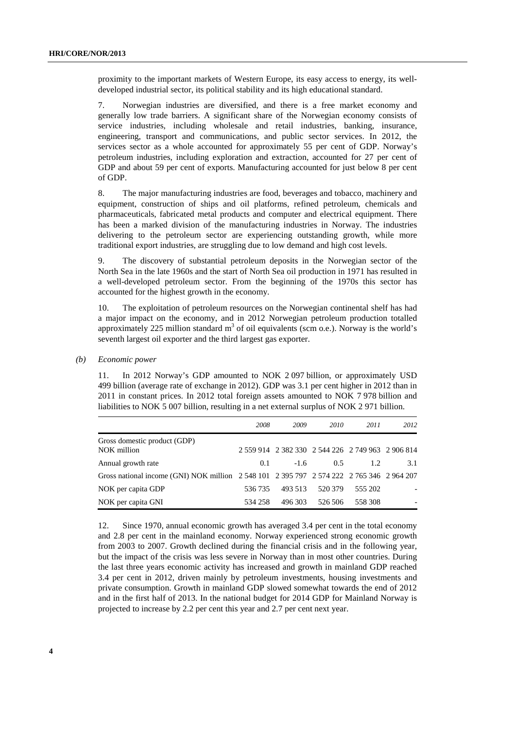proximity to the important markets of Western Europe, its easy access to energy, its welldeveloped industrial sector, its political stability and its high educational standard.

7. Norwegian industries are diversified, and there is a free market economy and generally low trade barriers. A significant share of the Norwegian economy consists of service industries, including wholesale and retail industries, banking, insurance, engineering, transport and communications, and public sector services. In 2012, the services sector as a whole accounted for approximately 55 per cent of GDP. Norway's petroleum industries, including exploration and extraction, accounted for 27 per cent of GDP and about 59 per cent of exports. Manufacturing accounted for just below 8 per cent of GDP.

8. The major manufacturing industries are food, beverages and tobacco, machinery and equipment, construction of ships and oil platforms, refined petroleum, chemicals and pharmaceuticals, fabricated metal products and computer and electrical equipment. There has been a marked division of the manufacturing industries in Norway. The industries delivering to the petroleum sector are experiencing outstanding growth, while more traditional export industries, are struggling due to low demand and high cost levels.

9. The discovery of substantial petroleum deposits in the Norwegian sector of the North Sea in the late 1960s and the start of North Sea oil production in 1971 has resulted in a well-developed petroleum sector. From the beginning of the 1970s this sector has accounted for the highest growth in the economy.

10. The exploitation of petroleum resources on the Norwegian continental shelf has had a major impact on the economy, and in 2012 Norwegian petroleum production totalled approximately 225 million standard  $m<sup>3</sup>$  of oil equivalents (scm o.e.). Norway is the world's seventh largest oil exporter and the third largest gas exporter.

 *(b) Economic power*

11. In 2012 Norway's GDP amounted to NOK 2 097 billion, or approximately USD 499 billion (average rate of exchange in 2012). GDP was 3.1 per cent higher in 2012 than in 2011 in constant prices. In 2012 total foreign assets amounted to NOK 7 978 billion and liabilities to NOK 5 007 billion, resulting in a net external surplus of NOK 2 971 billion.

|                                                                                           | 2008    | 2009    | 2010    | 2011                                              | 2012 |
|-------------------------------------------------------------------------------------------|---------|---------|---------|---------------------------------------------------|------|
| Gross domestic product (GDP)<br>NOK million                                               |         |         |         | 2 559 914 2 382 330 2 544 226 2 749 963 2 906 814 |      |
| Annual growth rate                                                                        | 0.1     | $-1.6$  | 0.5     | 1.2.                                              | 3.1  |
| Gross national income (GNI) NOK million 2 548 101 2 395 797 2 574 222 2 765 346 2 964 207 |         |         |         |                                                   |      |
| NOK per capita GDP                                                                        | 536 735 | 493 513 | 520 379 | 555 202                                           |      |
| NOK per capita GNI                                                                        | 534 258 | 496 303 | 526 506 | 558 308                                           |      |

12. Since 1970, annual economic growth has averaged 3.4 per cent in the total economy and 2.8 per cent in the mainland economy. Norway experienced strong economic growth from 2003 to 2007. Growth declined during the financial crisis and in the following year, but the impact of the crisis was less severe in Norway than in most other countries. During the last three years economic activity has increased and growth in mainland GDP reached 3.4 per cent in 2012, driven mainly by petroleum investments, housing investments and private consumption. Growth in mainland GDP slowed somewhat towards the end of 2012 and in the first half of 2013. In the national budget for 2014 GDP for Mainland Norway is projected to increase by 2.2 per cent this year and 2.7 per cent next year.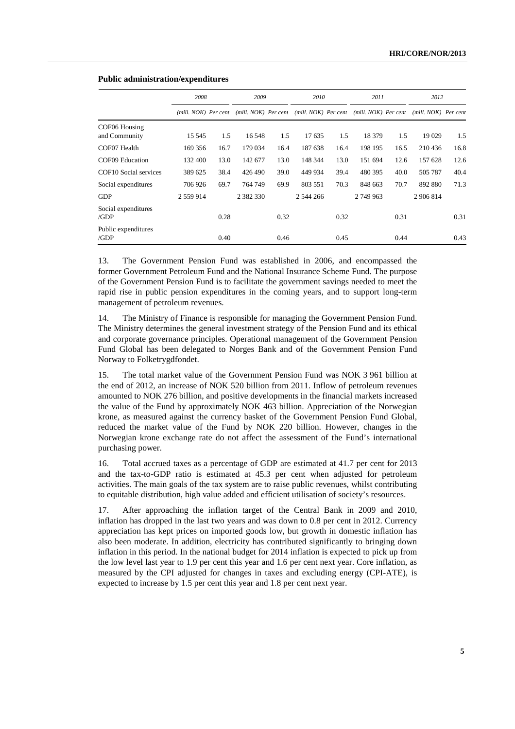|                                |                      | 2008 |                      | 2009 |           | 2010 |                                           | 2011 |                        | 2012 |
|--------------------------------|----------------------|------|----------------------|------|-----------|------|-------------------------------------------|------|------------------------|------|
|                                | (mill. NOK) Per cent |      | (mill. NOK) Per cent |      |           |      | (mill. NOK) Per cent (mill. NOK) Per cent |      | $(mill. NOK)$ Per cent |      |
| COF06 Housing<br>and Community | 15 545               | 1.5  | 16 548               | 1.5  | 17635     | 1.5  | 18 379                                    | 1.5  | 19 0 29                | 1.5  |
| COF07 Health                   | 169 356              | 16.7 | 179 034              | 16.4 | 187 638   | 16.4 | 198 195                                   | 16.5 | 210436                 | 16.8 |
| COF09 Education                | 132 400              | 13.0 | 142 677              | 13.0 | 148 344   | 13.0 | 151 694                                   | 12.6 | 157 628                | 12.6 |
| COF10 Social services          | 389 625              | 38.4 | 426 490              | 39.0 | 449 934   | 39.4 | 480 395                                   | 40.0 | 505 787                | 40.4 |
| Social expenditures            | 706 926              | 69.7 | 764 749              | 69.9 | 803 551   | 70.3 | 848 663                                   | 70.7 | 892 880                | 71.3 |
| <b>GDP</b>                     | 2 559 914            |      | 2 3 8 2 3 3 0        |      | 2 544 266 |      | 2749963                                   |      | 2 906 814              |      |
| Social expenditures<br>/GDP    |                      | 0.28 |                      | 0.32 |           | 0.32 |                                           | 0.31 |                        | 0.31 |
| Public expenditures<br>/GDP    |                      | 0.40 |                      | 0.46 |           | 0.45 |                                           | 0.44 |                        | 0.43 |

#### **Public administration/expenditures**

13. The Government Pension Fund was established in 2006, and encompassed the former Government Petroleum Fund and the National Insurance Scheme Fund. The purpose of the Government Pension Fund is to facilitate the government savings needed to meet the rapid rise in public pension expenditures in the coming years, and to support long-term management of petroleum revenues.

14. The Ministry of Finance is responsible for managing the Government Pension Fund. The Ministry determines the general investment strategy of the Pension Fund and its ethical and corporate governance principles. Operational management of the Government Pension Fund Global has been delegated to Norges Bank and of the Government Pension Fund Norway to Folketrygdfondet.

15. The total market value of the Government Pension Fund was NOK 3 961 billion at the end of 2012, an increase of NOK 520 billion from 2011. Inflow of petroleum revenues amounted to NOK 276 billion, and positive developments in the financial markets increased the value of the Fund by approximately NOK 463 billion. Appreciation of the Norwegian krone, as measured against the currency basket of the Government Pension Fund Global, reduced the market value of the Fund by NOK 220 billion. However, changes in the Norwegian krone exchange rate do not affect the assessment of the Fund's international purchasing power.

16. Total accrued taxes as a percentage of GDP are estimated at 41.7 per cent for 2013 and the tax-to-GDP ratio is estimated at 45.3 per cent when adjusted for petroleum activities. The main goals of the tax system are to raise public revenues, whilst contributing to equitable distribution, high value added and efficient utilisation of society's resources.

17. After approaching the inflation target of the Central Bank in 2009 and 2010, inflation has dropped in the last two years and was down to 0.8 per cent in 2012. Currency appreciation has kept prices on imported goods low, but growth in domestic inflation has also been moderate. In addition, electricity has contributed significantly to bringing down inflation in this period. In the national budget for 2014 inflation is expected to pick up from the low level last year to 1.9 per cent this year and 1.6 per cent next year. Core inflation, as measured by the CPI adjusted for changes in taxes and excluding energy (CPI-ATE), is expected to increase by 1.5 per cent this year and 1.8 per cent next year.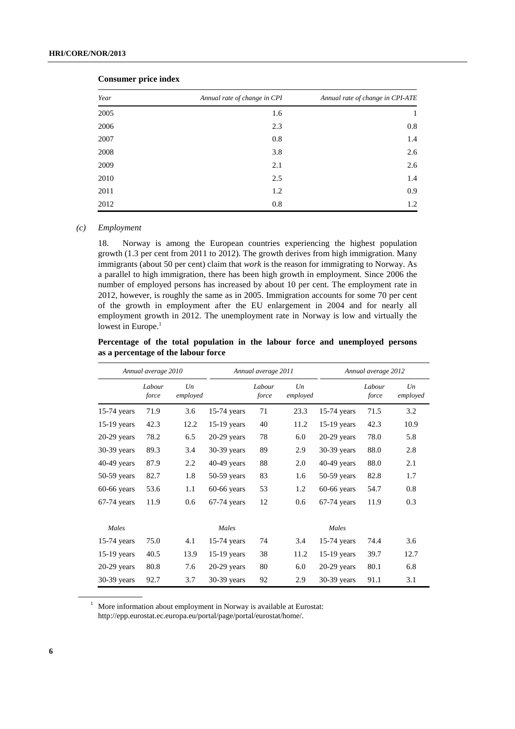| Year | Annual rate of change in CPI | Annual rate of change in CPI-ATE |  |  |
|------|------------------------------|----------------------------------|--|--|
| 2005 | 1.6                          | 1                                |  |  |
| 2006 | 2.3                          | $0.8\,$                          |  |  |
| 2007 | 0.8                          | 1.4                              |  |  |
| 2008 | 3.8                          | 2.6                              |  |  |
| 2009 | 2.1                          | 2.6                              |  |  |
| 2010 | 2.5                          | 1.4                              |  |  |
| 2011 | 1.2                          | 0.9                              |  |  |
| 2012 | 0.8                          | 1.2                              |  |  |
|      |                              |                                  |  |  |

 **Consumer price index** 

#### *(c) Employment*

18. Norway is among the European countries experiencing the highest population growth (1.3 per cent from 2011 to 2012). The growth derives from high immigration. Many immigrants (about 50 per cent) claim that *work* is the reason for immigrating to Norway. As a parallel to high immigration, there has been high growth in employment. Since 2006 the number of employed persons has increased by about 10 per cent. The employment rate in 2012, however, is roughly the same as in 2005. Immigration accounts for some 70 per cent of the growth in employment after the EU enlargement in 2004 and for nearly all employment growth in 2012. The unemployment rate in Norway is low and virtually the lowest in Europe.<sup>1</sup>

**Percentage of the total population in the labour force and unemployed persons as a percentage of the labour force**

|               | Annual average 2010 |                |               | Annual average 2011 |                | Annual average 2012 |                 |                |  |
|---------------|---------------------|----------------|---------------|---------------------|----------------|---------------------|-----------------|----------------|--|
|               | Labour<br>force     | Un<br>employed |               | Labour<br>force     | Un<br>employed |                     | Labour<br>force | Un<br>employed |  |
| 15-74 years   | 71.9                | 3.6            | $15-74$ years | 71                  | 23.3           | $15-74$ years       | 71.5            | 3.2            |  |
| 15-19 years   | 42.3                | 12.2           | 15-19 years   | 40                  | 11.2           | $15-19$ years       | 42.3            | 10.9           |  |
| $20-29$ years | 78.2                | 6.5            | $20-29$ years | 78                  | 6.0            | $20-29$ years       | 78.0            | 5.8            |  |
| $30-39$ years | 89.3                | 3.4            | $30-39$ years | 89                  | 2.9            | 30-39 years         | 88.0            | 2.8            |  |
| 40-49 years   | 87.9                | 2.2            | $40-49$ years | 88                  | 2.0            | $40-49$ years       | 88.0            | 2.1            |  |
| $50-59$ years | 82.7                | 1.8            | $50-59$ years | 83                  | 1.6            | $50-59$ years       | 82.8            | 1.7            |  |
| $60-66$ years | 53.6                | 1.1            | $60-66$ years | 53                  | 1.2            | $60-66$ years       | 54.7            | 0.8            |  |
| $67-74$ years | 11.9                | 0.6            | $67-74$ years | 12                  | 0.6            | $67-74$ years       | 11.9            | 0.3            |  |
| Males         |                     |                | Males         |                     |                | Males               |                 |                |  |
| 15-74 years   | 75.0                | 4.1            | 15-74 years   | 74                  | 3.4            | $15-74$ years       | 74.4            | 3.6            |  |
| 15-19 years   | 40.5                | 13.9           | 15-19 years   | 38                  | 11.2           | $15-19$ years       | 39.7            | 12.7           |  |
| $20-29$ years | 80.8                | 7.6            | $20-29$ years | 80                  | 6.0            | $20-29$ years       | 80.1            | 6.8            |  |
| $30-39$ years | 92.7                | 3.7            | $30-39$ years | 92                  | 2.9            | $30-39$ years       | 91.1            | 3.1            |  |

<sup>1</sup> More information about employment in Norway is available at Eurostat: http://epp.eurostat.ec.europa.eu/portal/page/portal/eurostat/home/.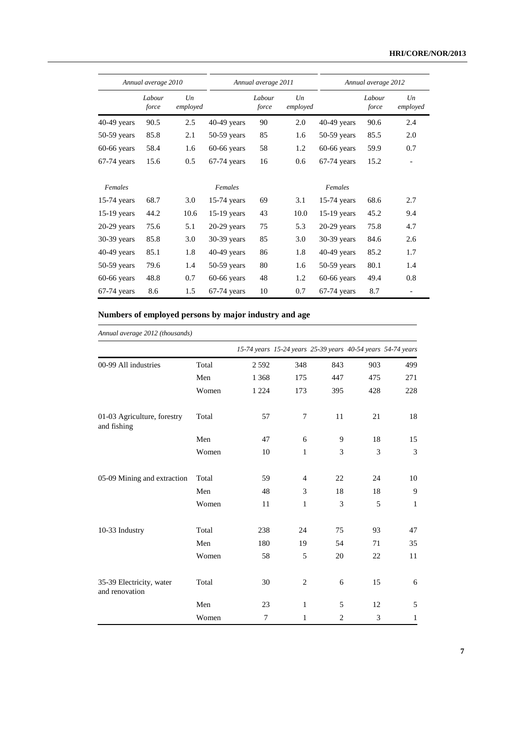|               | Annual average 2010 |                     |               | Annual average 2011 |                     |               | Annual average 2012 |                     |  |  |
|---------------|---------------------|---------------------|---------------|---------------------|---------------------|---------------|---------------------|---------------------|--|--|
|               | Labour<br>force     | $_{Un}$<br>employed |               | Labour<br>force     | $_{Un}$<br>employed |               | Labour<br>force     | $_{Un}$<br>employed |  |  |
| 40-49 years   | 90.5                | 2.5                 | 40-49 years   | 90                  | 2.0                 | $40-49$ years | 90.6                | 2.4                 |  |  |
| $50-59$ years | 85.8                | 2.1                 | $50-59$ years | 85                  | 1.6                 | 50-59 years   | 85.5                | 2.0                 |  |  |
| $60-66$ years | 58.4                | 1.6                 | $60-66$ years | 58                  | 1.2                 | 60-66 years   | 59.9                | 0.7                 |  |  |
| $67-74$ years | 15.6                | 0.5                 | $67-74$ years | 16                  | 0.6                 | $67-74$ years | 15.2                |                     |  |  |
| Females       |                     |                     | Females       |                     |                     | Females       |                     |                     |  |  |
| $15-74$ years | 68.7                | 3.0                 | $15-74$ years | 69                  | 3.1                 | $15-74$ years | 68.6                | 2.7                 |  |  |
| 15-19 years   | 44.2                | 10.6                | 15-19 years   | 43                  | 10.0                | $15-19$ years | 45.2                | 9.4                 |  |  |
| $20-29$ years | 75.6                | 5.1                 | $20-29$ years | 75                  | 5.3                 | $20-29$ years | 75.8                | 4.7                 |  |  |
| 30-39 years   | 85.8                | 3.0                 | 30-39 years   | 85                  | 3.0                 | $30-39$ years | 84.6                | 2.6                 |  |  |
| $40-49$ years | 85.1                | 1.8                 | $40-49$ years | 86                  | 1.8                 | $40-49$ years | 85.2                | 1.7                 |  |  |
| 50-59 years   | 79.6                | 1.4                 | $50-59$ years | 80                  | 1.6                 | $50-59$ years | 80.1                | 1.4                 |  |  |
| $60-66$ years | 48.8                | 0.7                 | $60-66$ years | 48                  | 1.2                 | $60-66$ years | 49.4                | 0.8                 |  |  |
| $67-74$ years | 8.6                 | 1.5                 | $67-74$ years | 10                  | 0.7                 | $67-74$ years | 8.7                 |                     |  |  |

### **Numbers of employed persons by major industry and age**

| Annual average 2012 (thousands)            |       |         |                                                             |     |     |                |
|--------------------------------------------|-------|---------|-------------------------------------------------------------|-----|-----|----------------|
|                                            |       |         | 15-74 years 15-24 years 25-39 years 40-54 years 54-74 years |     |     |                |
| 00-99 All industries                       | Total | 2592    | 348                                                         | 843 | 903 | 499            |
|                                            | Men   | 1 3 6 8 | 175                                                         | 447 | 475 | 271            |
|                                            | Women | 1 2 2 4 | 173                                                         | 395 | 428 | 228            |
| 01-03 Agriculture, forestry<br>and fishing | Total | 57      | 7                                                           | 11  | 21  | 18             |
|                                            | Men   | 47      | 6                                                           | 9   | 18  | 15             |
|                                            | Women | 10      | $\mathbf{1}$                                                | 3   | 3   | $\mathfrak{Z}$ |
| 05-09 Mining and extraction                | Total | 59      | $\overline{4}$                                              | 22  | 24  | 10             |
|                                            | Men   | 48      | 3                                                           | 18  | 18  | 9              |
|                                            | Women | 11      | $\mathbf{1}$                                                | 3   | 5   | $\mathbf{1}$   |
| 10-33 Industry                             | Total | 238     | 24                                                          | 75  | 93  | 47             |
|                                            | Men   | 180     | 19                                                          | 54  | 71  | 35             |
|                                            | Women | 58      | 5                                                           | 20  | 22  | 11             |
| 35-39 Electricity, water<br>and renovation | Total | 30      | $\overline{c}$                                              | 6   | 15  | 6              |
|                                            | Men   | 23      | $\mathbf{1}$                                                | 5   | 12  | 5              |
|                                            | Women | 7       | $\mathbf{1}$                                                | 2   | 3   | $\mathbf{1}$   |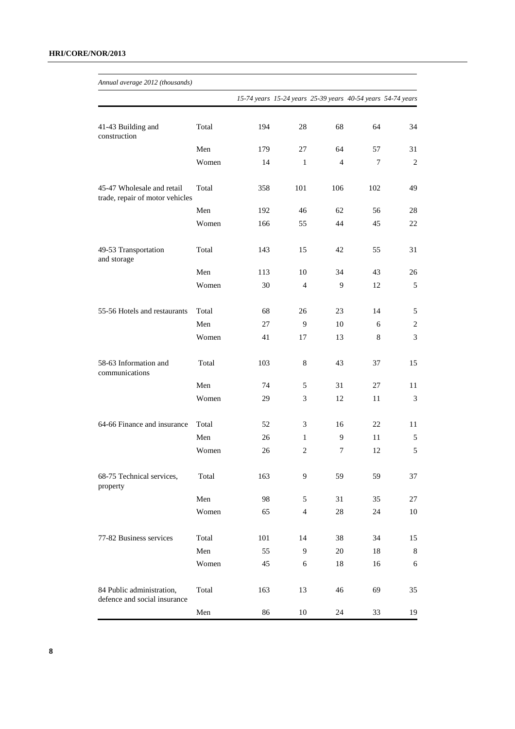| Annual average 2012 (thousands)                               |       |     |                |                                                             |                |                |
|---------------------------------------------------------------|-------|-----|----------------|-------------------------------------------------------------|----------------|----------------|
|                                                               |       |     |                | 15-74 years 15-24 years 25-39 years 40-54 years 54-74 years |                |                |
| 41-43 Building and<br>construction                            | Total | 194 | 28             | 68                                                          | 64             | 34             |
|                                                               | Men   | 179 | 27             | 64                                                          | 57             | 31             |
|                                                               | Women | 14  | $\mathbf{1}$   | $\overline{4}$                                              | $\overline{7}$ | 2              |
| 45-47 Wholesale and retail<br>trade, repair of motor vehicles | Total | 358 | 101            | 106                                                         | 102            | 49             |
|                                                               | Men   | 192 | 46             | 62                                                          | 56             | 28             |
|                                                               | Women | 166 | 55             | 44                                                          | 45             | 22             |
| 49-53 Transportation<br>and storage                           | Total | 143 | 15             | 42                                                          | 55             | 31             |
|                                                               | Men   | 113 | 10             | 34                                                          | 43             | 26             |
|                                                               | Women | 30  | $\overline{4}$ | 9                                                           | 12             | 5              |
| 55-56 Hotels and restaurants                                  | Total | 68  | 26             | 23                                                          | 14             | 5              |
|                                                               | Men   | 27  | 9              | 10                                                          | 6              | $\overline{2}$ |
|                                                               | Women | 41  | 17             | 13                                                          | 8              | 3              |
| 58-63 Information and<br>communications                       | Total | 103 | 8              | 43                                                          | 37             | 15             |
|                                                               | Men   | 74  | 5              | 31                                                          | 27             | 11             |
|                                                               | Women | 29  | 3              | 12                                                          | 11             | 3              |
| 64-66 Finance and insurance                                   | Total | 52  | 3              | 16                                                          | 22             | 11             |
|                                                               | Men   | 26  | 1              | 9                                                           | 11             | 5              |
|                                                               | Women | 26  | 2              | 7                                                           | 12             | 5              |
| 68-75 Technical services,<br>property                         | Total | 163 | 9              | 59                                                          | 59             | 37             |
|                                                               | Men   | 98  | 5              | 31                                                          | 35             | 27             |
|                                                               | Women | 65  | $\overline{4}$ | 28                                                          | 24             | 10             |
| 77-82 Business services                                       | Total | 101 | 14             | 38                                                          | 34             | 15             |
|                                                               | Men   | 55  | 9              | 20                                                          | 18             | 8              |
|                                                               | Women | 45  | 6              | 18                                                          | 16             | 6              |
| 84 Public administration,<br>defence and social insurance     | Total | 163 | 13             | 46                                                          | 69             | 35             |
|                                                               | Men   | 86  | 10             | 24                                                          | 33             | 19             |

**8**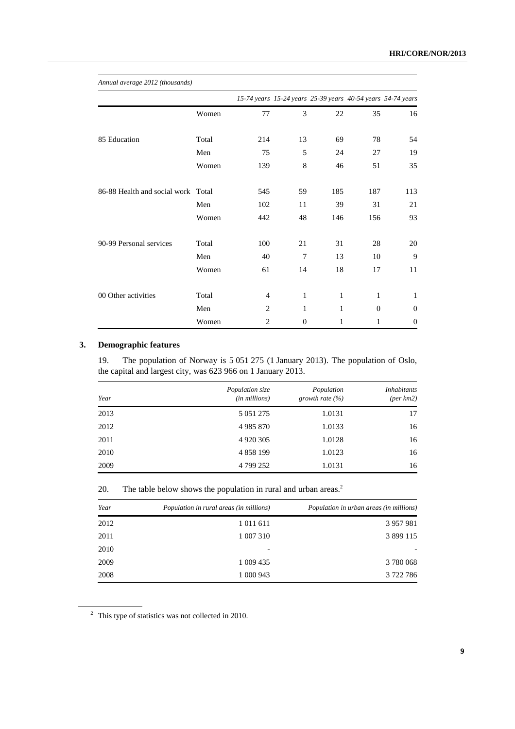| Annual average 2012 (thousands) |       |                |                                                             |              |              |              |
|---------------------------------|-------|----------------|-------------------------------------------------------------|--------------|--------------|--------------|
|                                 |       |                | 15-74 years 15-24 years 25-39 years 40-54 years 54-74 years |              |              |              |
|                                 | Women | 77             | 3                                                           | 22           | 35           | 16           |
| 85 Education                    | Total | 214            | 13                                                          | 69           | 78           | 54           |
|                                 | Men   | 75             | 5                                                           | 24           | 27           | 19           |
|                                 | Women | 139            | 8                                                           | 46           | 51           | 35           |
| 86-88 Health and social work    | Total | 545            | 59                                                          | 185          | 187          | 113          |
|                                 | Men   | 102            | 11                                                          | 39           | 31           | 21           |
|                                 | Women | 442            | 48                                                          | 146          | 156          | 93           |
| 90-99 Personal services         | Total | 100            | 21                                                          | 31           | 28           | 20           |
|                                 | Men   | 40             | $\overline{7}$                                              | 13           | 10           | 9            |
|                                 | Women | 61             | 14                                                          | 18           | 17           | 11           |
| 00 Other activities             | Total | $\overline{4}$ | $\mathbf{1}$                                                | $\mathbf{1}$ | $\mathbf{1}$ | $\mathbf{1}$ |
|                                 | Men   | $\overline{c}$ | 1                                                           | $\mathbf{1}$ | $\Omega$     | $\theta$     |
|                                 | Women | $\overline{c}$ | $\theta$                                                    | 1            | 1            | $\theta$     |

#### **3. Demographic features**

19. The population of Norway is 5 051 275 (1 January 2013). The population of Oslo, the capital and largest city, was 623 966 on 1 January 2013.

| Year | Population size<br>(in millions) | Population<br>growth rate $(\% )$ | <i>Inhabitants</i><br>$(\text{per km2})$ |
|------|----------------------------------|-----------------------------------|------------------------------------------|
| 2013 | 5 0 5 1 2 7 5                    | 1.0131                            | 17                                       |
| 2012 | 4 9 8 5 8 7 0                    | 1.0133                            | 16                                       |
| 2011 | 4 9 20 3 0 5                     | 1.0128                            | 16                                       |
| 2010 | 4 858 199                        | 1.0123                            | 16                                       |
| 2009 | 4 799 252                        | 1.0131                            | 16                                       |

20. The table below shows the population in rural and urban areas.<sup>2</sup>

| Year | Population in rural areas (in millions) | Population in urban areas (in millions) |
|------|-----------------------------------------|-----------------------------------------|
| 2012 | 1 011 611                               | 3 957 981                               |
| 2011 | 1 007 310                               | 3 899 115                               |
| 2010 |                                         |                                         |
| 2009 | 1 009 435                               | 3780068                                 |
| 2008 | 1 000 943                               | 3 722 786                               |

 $2$  This type of statistics was not collected in 2010.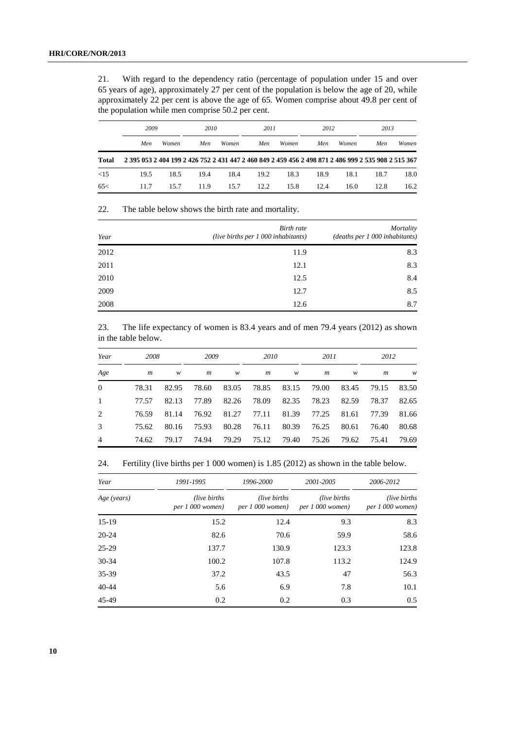21. With regard to the dependency ratio (percentage of population under 15 and over 65 years of age), approximately 27 per cent of the population is below the age of 20, while approximately 22 per cent is above the age of 65. Women comprise about 49.8 per cent of the population while men comprise 50.2 per cent.

|       | 2009                                                                                                |       | 2010       |       |      | 2011  |      | 2012         |      | 2013  |  |
|-------|-----------------------------------------------------------------------------------------------------|-------|------------|-------|------|-------|------|--------------|------|-------|--|
|       | Men                                                                                                 | Women | <b>Men</b> | Women | Men  | Women | Men  | <b>Women</b> | Men  | Women |  |
| Total | 2 395 053 2 404 199 2 426 752 2 431 447 2 460 849 2 459 456 2 498 871 2 486 999 2 535 908 2 515 367 |       |            |       |      |       |      |              |      |       |  |
| <15   | 19.5                                                                                                | 18.5  | 19.4       | 18.4  | 19.2 | 18.3  | 18.9 | 18.1         | 18.7 | 18.0  |  |
| 65<   | 11.7                                                                                                | 15.7  | 11.9       | 15.7  | 12.2 | 15.8  | 12.4 | 16.0         | 12.8 | 16.2  |  |

22. The table below shows the birth rate and mortality.

| Year | <b>Birth</b> rate<br>(live births per $1\,000$ inhabitants) | Mortality<br>(deaths per 1 000 inhabitants) |
|------|-------------------------------------------------------------|---------------------------------------------|
| 2012 | 11.9                                                        | 8.3                                         |
| 2011 | 12.1                                                        | 8.3                                         |
| 2010 | 12.5                                                        | 8.4                                         |
| 2009 | 12.7                                                        | 8.5                                         |
| 2008 | 12.6                                                        | 8.7                                         |

23. The life expectancy of women is 83.4 years and of men 79.4 years (2012) as shown in the table below.

| Year           |                  | 2008  |       | 2009  |       | 2010  |                | 2011  |       | 2012  |  |
|----------------|------------------|-------|-------|-------|-------|-------|----------------|-------|-------|-------|--|
| Age            | $\boldsymbol{m}$ | w     | m     | w     | m     | w     | $\mathfrak{m}$ | w     | m     | w     |  |
| $\Omega$       | 78.31            | 82.95 | 78.60 | 83.05 | 78.85 | 83.15 | 79.00          | 83.45 | 79.15 | 83.50 |  |
| 1              | 77.57            | 82.13 | 77.89 | 82.26 | 78.09 | 82.35 | 78.23          | 82.59 | 78.37 | 82.65 |  |
| 2              | 76.59            | 81.14 | 76.92 | 81.27 | 77.11 | 81.39 | 77.25          | 81.61 | 77.39 | 81.66 |  |
| 3              | 75.62            | 80.16 | 75.93 | 80.28 | 76.11 | 80.39 | 76.25          | 80.61 | 76.40 | 80.68 |  |
| $\overline{4}$ | 74.62            | 79.17 | 74.94 | 79.29 | 75.12 | 79.40 | 75.26          | 79.62 | 75.41 | 79.69 |  |

24. Fertility (live births per 1 000 women) is 1.85 (2012) as shown in the table below.

| Year        | 1991-1995                           | 1996-2000                         | 2001-2005                         | 2006-2012                         |  |
|-------------|-------------------------------------|-----------------------------------|-----------------------------------|-----------------------------------|--|
| Age (years) | (live births)<br>$per 1 000$ women) | (live births)<br>per 1 000 women) | (live births)<br>per 1 000 women) | (live births)<br>per 1 000 women) |  |
| $15-19$     | 15.2                                | 12.4                              | 9.3                               | 8.3                               |  |
| $20 - 24$   | 82.6                                | 70.6                              | 59.9                              | 58.6                              |  |
| $25 - 29$   | 137.7                               | 130.9                             | 123.3                             | 123.8                             |  |
| $30 - 34$   | 100.2                               | 107.8                             | 113.2                             | 124.9                             |  |
| 35-39       | 37.2                                | 43.5                              | 47                                | 56.3                              |  |
| $40 - 44$   | 5.6                                 | 6.9                               | 7.8                               | 10.1                              |  |
| 45-49       | 0.2                                 | 0.2                               | 0.3                               | 0.5                               |  |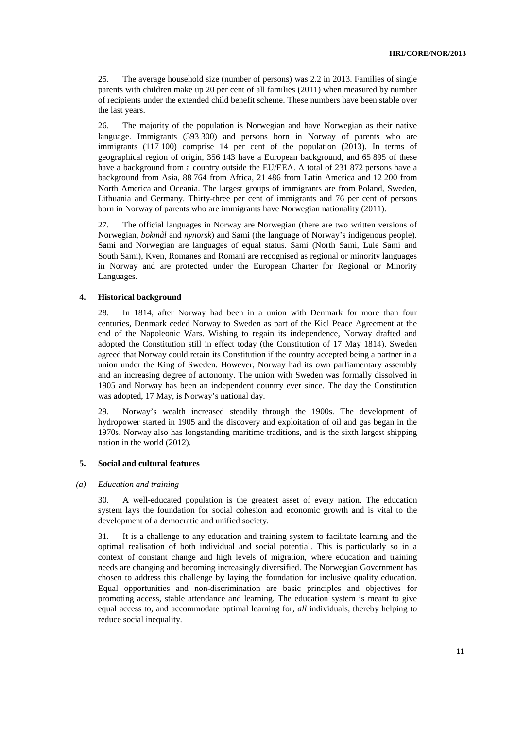25. The average household size (number of persons) was 2.2 in 2013. Families of single parents with children make up 20 per cent of all families (2011) when measured by number of recipients under the extended child benefit scheme. These numbers have been stable over the last years.

26. The majority of the population is Norwegian and have Norwegian as their native language. Immigrants (593 300) and persons born in Norway of parents who are immigrants (117 100) comprise 14 per cent of the population (2013). In terms of geographical region of origin, 356 143 have a European background, and 65 895 of these have a background from a country outside the EU/EEA. A total of 231 872 persons have a background from Asia, 88 764 from Africa, 21 486 from Latin America and 12 200 from North America and Oceania. The largest groups of immigrants are from Poland, Sweden, Lithuania and Germany. Thirty-three per cent of immigrants and 76 per cent of persons born in Norway of parents who are immigrants have Norwegian nationality (2011).

27. The official languages in Norway are Norwegian (there are two written versions of Norwegian, *bokmål* and *nynorsk*) and Sami (the language of Norway's indigenous people). Sami and Norwegian are languages of equal status. Sami (North Sami, Lule Sami and South Sami), Kven, Romanes and Romani are recognised as regional or minority languages in Norway and are protected under the European Charter for Regional or Minority Languages.

#### **4. Historical background**

28. In 1814, after Norway had been in a union with Denmark for more than four centuries, Denmark ceded Norway to Sweden as part of the Kiel Peace Agreement at the end of the Napoleonic Wars. Wishing to regain its independence, Norway drafted and adopted the Constitution still in effect today (the Constitution of 17 May 1814). Sweden agreed that Norway could retain its Constitution if the country accepted being a partner in a union under the King of Sweden. However, Norway had its own parliamentary assembly and an increasing degree of autonomy. The union with Sweden was formally dissolved in 1905 and Norway has been an independent country ever since. The day the Constitution was adopted, 17 May, is Norway's national day.

29. Norway's wealth increased steadily through the 1900s. The development of hydropower started in 1905 and the discovery and exploitation of oil and gas began in the 1970s. Norway also has longstanding maritime traditions, and is the sixth largest shipping nation in the world (2012).

#### **5. Social and cultural features**

#### *(a) Education and training*

30. A well-educated population is the greatest asset of every nation. The education system lays the foundation for social cohesion and economic growth and is vital to the development of a democratic and unified society.

31. It is a challenge to any education and training system to facilitate learning and the optimal realisation of both individual and social potential. This is particularly so in a context of constant change and high levels of migration, where education and training needs are changing and becoming increasingly diversified. The Norwegian Government has chosen to address this challenge by laying the foundation for inclusive quality education. Equal opportunities and non-discrimination are basic principles and objectives for promoting access, stable attendance and learning. The education system is meant to give equal access to, and accommodate optimal learning for, *all* individuals, thereby helping to reduce social inequality.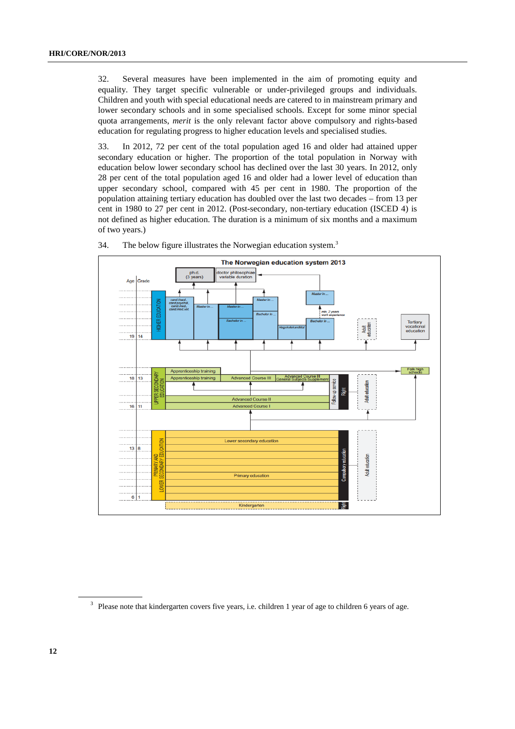32. Several measures have been implemented in the aim of promoting equity and equality. They target specific vulnerable or under-privileged groups and individuals. Children and youth with special educational needs are catered to in mainstream primary and lower secondary schools and in some specialised schools. Except for some minor special quota arrangements, *merit* is the only relevant factor above compulsory and rights-based education for regulating progress to higher education levels and specialised studies.

33. In 2012, 72 per cent of the total population aged 16 and older had attained upper secondary education or higher. The proportion of the total population in Norway with education below lower secondary school has declined over the last 30 years. In 2012, only 28 per cent of the total population aged 16 and older had a lower level of education than upper secondary school, compared with 45 per cent in 1980. The proportion of the population attaining tertiary education has doubled over the last two decades – from 13 per cent in 1980 to 27 per cent in 2012. (Post-secondary, non-tertiary education (ISCED 4) is not defined as higher education. The duration is a minimum of six months and a maximum of two years.)





<sup>&</sup>lt;sup>3</sup> Please note that kindergarten covers five years, i.e. children 1 year of age to children 6 years of age.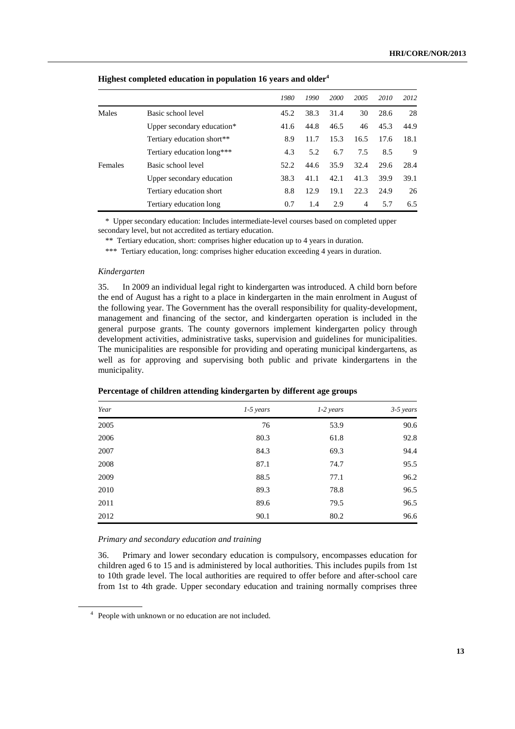|         |                            | 1980 | 1990 | <b>2000</b> | 2005 | 2010 | 2012 |
|---------|----------------------------|------|------|-------------|------|------|------|
| Males   | Basic school level         | 45.2 | 38.3 | 31.4        | 30   | 28.6 | 28   |
|         | Upper secondary education* | 41.6 | 44.8 | 46.5        | 46   | 45.3 | 44.9 |
|         | Tertiary education short** | 8.9  | 11.7 | 15.3        | 16.5 | 17.6 | 18.1 |
|         | Tertiary education long*** | 4.3  | 5.2  | 6.7         | 7.5  | 8.5  | 9    |
| Females | Basic school level         | 52.2 | 44.6 | 35.9        | 32.4 | 29.6 | 28.4 |
|         | Upper secondary education  | 38.3 | 41.1 | 42.1        | 41.3 | 39.9 | 39.1 |
|         | Tertiary education short   | 8.8  | 12.9 | 19.1        | 22.3 | 24.9 | 26   |
|         | Tertiary education long    | 0.7  | 1.4  | 2.9         | 4    | 5.7  | 6.5  |

#### **Highest completed education in population 16 years and older4**

\* Upper secondary education: Includes intermediate-level courses based on completed upper secondary level, but not accredited as tertiary education.

\*\* Tertiary education, short: comprises higher education up to 4 years in duration.

\*\*\* Tertiary education, long: comprises higher education exceeding 4 years in duration.

#### *Kindergarten*

35. In 2009 an individual legal right to kindergarten was introduced. A child born before the end of August has a right to a place in kindergarten in the main enrolment in August of the following year. The Government has the overall responsibility for quality-development, management and financing of the sector, and kindergarten operation is included in the general purpose grants. The county governors implement kindergarten policy through development activities, administrative tasks, supervision and guidelines for municipalities. The municipalities are responsible for providing and operating municipal kindergartens, as well as for approving and supervising both public and private kindergartens in the municipality.

| Year | $1-5$ years | $1-2$ years | $3-5$ years |
|------|-------------|-------------|-------------|
| 2005 | 76          | 53.9        | 90.6        |
| 2006 | 80.3        | 61.8        | 92.8        |
| 2007 | 84.3        | 69.3        | 94.4        |
| 2008 | 87.1        | 74.7        | 95.5        |
| 2009 | 88.5        | 77.1        | 96.2        |
| 2010 | 89.3        | 78.8        | 96.5        |
| 2011 | 89.6        | 79.5        | 96.5        |
| 2012 | 90.1        | 80.2        | 96.6        |

#### **Percentage of children attending kindergarten by different age groups**

#### *Primary and secondary education and training*

36. Primary and lower secondary education is compulsory, encompasses education for children aged 6 to 15 and is administered by local authorities. This includes pupils from 1st to 10th grade level. The local authorities are required to offer before and after-school care from 1st to 4th grade. Upper secondary education and training normally comprises three

<sup>&</sup>lt;sup>4</sup> People with unknown or no education are not included.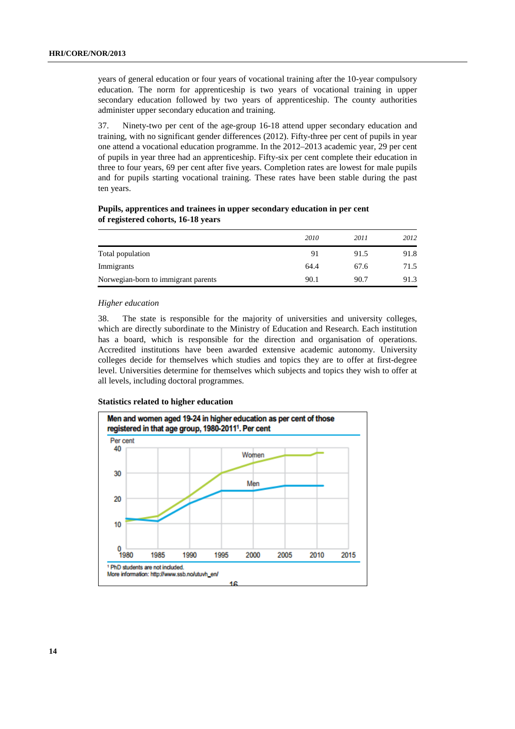years of general education or four years of vocational training after the 10-year compulsory education. The norm for apprenticeship is two years of vocational training in upper secondary education followed by two years of apprenticeship. The county authorities administer upper secondary education and training.

37. Ninety-two per cent of the age-group 16-18 attend upper secondary education and training, with no significant gender differences (2012). Fifty-three per cent of pupils in year one attend a vocational education programme. In the 2012–2013 academic year, 29 per cent of pupils in year three had an apprenticeship. Fifty-six per cent complete their education in three to four years, 69 per cent after five years. Completion rates are lowest for male pupils and for pupils starting vocational training. These rates have been stable during the past ten years.

### **Pupils, apprentices and trainees in upper secondary education in per cent of registered cohorts, 16-18 years**

|                                     | 2010 | 2011 | 2012 |
|-------------------------------------|------|------|------|
| Total population                    | 91   | 91.5 | 91.8 |
| Immigrants                          | 64.4 | 67.6 | 71.5 |
| Norwegian-born to immigrant parents | 90.1 | 90.7 | 91.3 |

#### *Higher education*

38. The state is responsible for the majority of universities and university colleges, which are directly subordinate to the Ministry of Education and Research. Each institution has a board, which is responsible for the direction and organisation of operations. Accredited institutions have been awarded extensive academic autonomy. University colleges decide for themselves which studies and topics they are to offer at first-degree level. Universities determine for themselves which subjects and topics they wish to offer at all levels, including doctoral programmes.

#### **Statistics related to higher education**

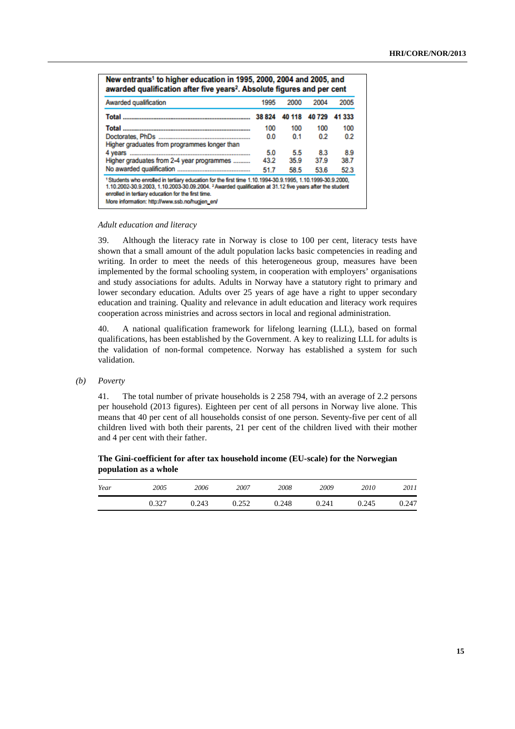| Awarded qualification                        | 1995   | 2000   | 2004  | 2005   |
|----------------------------------------------|--------|--------|-------|--------|
|                                              | 38 824 | 40 118 | 40729 | 41 333 |
|                                              | 100    | 100    | 100   | 100    |
| Higher graduates from programmes longer than | 0.0    | 0.1    | 0.2   | 0.2    |
|                                              | 5.0    | 5.5    | 8.3   | 8.9    |
| Higher graduates from 2-4 year programmes    | 43.2   | 35.9   | 37.9  | 38.7   |
|                                              | 51.7   | 58.5   | 53.6  | 52.3   |

#### *Adult education and literacy*

39. Although the literacy rate in Norway is close to 100 per cent, literacy tests have shown that a small amount of the adult population lacks basic competencies in reading and writing. In order to meet the needs of this heterogeneous group, measures have been implemented by the formal schooling system, in cooperation with employers' organisations and study associations for adults. Adults in Norway have a statutory right to primary and lower secondary education. Adults over 25 years of age have a right to upper secondary education and training. Quality and relevance in adult education and literacy work requires cooperation across ministries and across sectors in local and regional administration.

40. A national qualification framework for lifelong learning (LLL), based on formal qualifications, has been established by the Government. A key to realizing LLL for adults is the validation of non-formal competence. Norway has established a system for such validation.

 *(b) Poverty* 

41. The total number of private households is 2 258 794, with an average of 2.2 persons per household (2013 figures). Eighteen per cent of all persons in Norway live alone. This means that 40 per cent of all households consist of one person. Seventy-five per cent of all children lived with both their parents, 21 per cent of the children lived with their mother and 4 per cent with their father.

 **The Gini-coefficient for after tax household income (EU-scale) for the Norwegian population as a whole** 

| Year | 2005  | 2006  | 2007  | 2008  | 2009  | 2010  | 2011  |
|------|-------|-------|-------|-------|-------|-------|-------|
|      | 0.327 | 0.243 | 0.252 | 0.248 | 0.241 | 0.245 | 0.247 |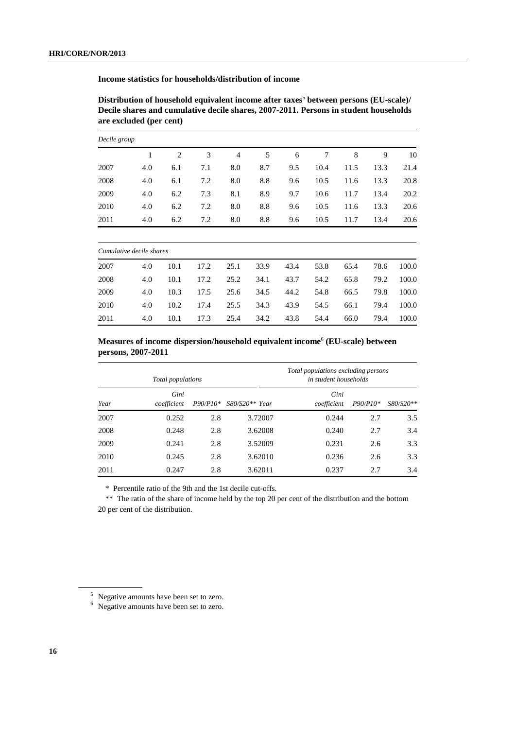**Income statistics for households/distribution of income** 

Distribution of household equivalent income after taxes<sup>5</sup> between persons (EU-scale)/ **Decile shares and cumulative decile shares, 2007-2011. Persons in student households are excluded (per cent)** 

| Decile group |     |     |     |                |     |     |      |      |      |      |  |
|--------------|-----|-----|-----|----------------|-----|-----|------|------|------|------|--|
|              |     | 2   | 3   | $\overline{4}$ | 5   | 6   | 7    | 8    | 9    | 10   |  |
| 2007         | 4.0 | 6.1 | 7.1 | 8.0            | 8.7 | 9.5 | 10.4 | 11.5 | 13.3 | 21.4 |  |
| 2008         | 4.0 | 6.1 | 7.2 | 8.0            | 8.8 | 9.6 | 10.5 | 11.6 | 13.3 | 20.8 |  |
| 2009         | 4.0 | 6.2 | 7.3 | 8.1            | 8.9 | 9.7 | 10.6 | 11.7 | 13.4 | 20.2 |  |
| 2010         | 4.0 | 6.2 | 7.2 | 8.0            | 8.8 | 9.6 | 10.5 | 11.6 | 13.3 | 20.6 |  |
| 2011         | 4.0 | 6.2 | 7.2 | 8.0            | 8.8 | 9.6 | 10.5 | 11.7 | 13.4 | 20.6 |  |
|              |     |     |     |                |     |     |      |      |      |      |  |

|      | Cumulative decile shares |      |      |      |      |      |      |      |      |       |  |  |
|------|--------------------------|------|------|------|------|------|------|------|------|-------|--|--|
| 2007 | 4.0                      | 10.1 | 17.2 | 25.1 | 33.9 | 43.4 | 53.8 | 65.4 | 78.6 | 100.0 |  |  |
| 2008 | 4.0                      | 10.1 | 17.2 | 25.2 | 34.1 | 43.7 | 54.2 | 65.8 | 79.2 | 100.0 |  |  |
| 2009 | 4.0                      | 10.3 | 17.5 | 25.6 | 34.5 | 44.2 | 54.8 | 66.5 | 79.8 | 100.0 |  |  |
| 2010 | 4.0                      | 10.2 | 17.4 | 25.5 | 34.3 | 43.9 | 54.5 | 66.1 | 79.4 | 100.0 |  |  |
| 2011 | 4.0                      | 10.1 | 17.3 | 25.4 | 34.2 | 43.8 | 54.4 | 66.0 | 79.4 | 100.0 |  |  |

 **Measures of income dispersion/household equivalent income**<sup>6</sup>  **(EU-scale) between persons, 2007-2011** 

|      | Total populations   |            |                  | Total populations excluding persons<br>in student households |          |           |  |  |  |
|------|---------------------|------------|------------------|--------------------------------------------------------------|----------|-----------|--|--|--|
| Year | Gini<br>coefficient | $P90/P10*$ | $S80/S20**$ Year | Gini<br>coefficient                                          | P90/P10* | S80/S20** |  |  |  |
| 2007 | 0.252               | 2.8        | 3.72007          | 0.244                                                        | 2.7      | 3.5       |  |  |  |
| 2008 | 0.248               | 2.8        | 3.62008          | 0.240                                                        | 2.7      | 3.4       |  |  |  |
| 2009 | 0.241               | 2.8        | 3.52009          | 0.231                                                        | 2.6      | 3.3       |  |  |  |
| 2010 | 0.245               | 2.8        | 3.62010          | 0.236                                                        | 2.6      | 3.3       |  |  |  |
| 2011 | 0.247               | 2.8        | 3.62011          | 0.237                                                        | 2.7      | 3.4       |  |  |  |

\* Percentile ratio of the 9th and the 1st decile cut-offs.

\*\* The ratio of the share of income held by the top 20 per cent of the distribution and the bottom 20 per cent of the distribution.

<sup>&</sup>lt;sup>5</sup> Negative amounts have been set to zero.<br><sup>6</sup> Negative amounts have been set to zero.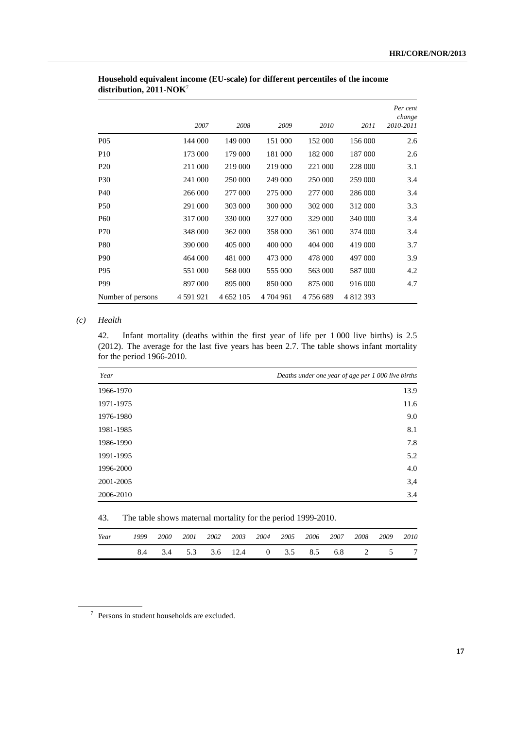|                   | 2007      | 2008      | 2009      | 2010    | 2011      | Per cent<br>change<br>2010-2011 |
|-------------------|-----------|-----------|-----------|---------|-----------|---------------------------------|
| P <sub>05</sub>   | 144 000   | 149 000   | 151 000   | 152 000 | 156 000   | 2.6                             |
| P <sub>10</sub>   | 173 000   | 179 000   | 181 000   | 182 000 | 187 000   | 2.6                             |
| P <sub>20</sub>   | 211 000   | 219 000   | 219 000   | 221 000 | 228 000   | 3.1                             |
| <b>P30</b>        | 241 000   | 250 000   | 249 000   | 250 000 | 259 000   | 3.4                             |
| P <sub>40</sub>   | 266 000   | 277 000   | 275 000   | 277 000 | 286 000   | 3.4                             |
| <b>P50</b>        | 291 000   | 303 000   | 300 000   | 302 000 | 312 000   | 3.3                             |
| <b>P60</b>        | 317 000   | 330 000   | 327 000   | 329 000 | 340 000   | 3.4                             |
| P70               | 348 000   | 362 000   | 358 000   | 361 000 | 374 000   | 3.4                             |
| <b>P80</b>        | 390 000   | 405 000   | 400 000   | 404 000 | 419 000   | 3.7                             |
| P <sub>90</sub>   | 464 000   | 481 000   | 473 000   | 478 000 | 497 000   | 3.9                             |
| P <sub>95</sub>   | 551 000   | 568 000   | 555 000   | 563 000 | 587 000   | 4.2                             |
| P99               | 897 000   | 895 000   | 850 000   | 875 000 | 916 000   | 4.7                             |
| Number of persons | 4 591 921 | 4 652 105 | 4 704 961 | 4756689 | 4 812 393 |                                 |

### **Household equivalent income (EU-scale) for different percentiles of the income distribution, 2011-NOK**<sup>7</sup>

### *(c) Health*

42. Infant mortality (deaths within the first year of life per 1 000 live births) is 2.5 (2012). The average for the last five years has been 2.7. The table shows infant mortality for the period 1966-2010.

| Year      | Deaths under one year of age per 1 000 live births |
|-----------|----------------------------------------------------|
| 1966-1970 | 13.9                                               |
| 1971-1975 | 11.6                                               |
| 1976-1980 | 9.0                                                |
| 1981-1985 | 8.1                                                |
| 1986-1990 | 7.8                                                |
| 1991-1995 | 5.2                                                |
| 1996-2000 | 4.0                                                |
| 2001-2005 | 3,4                                                |
| 2006-2010 | 3.4                                                |

### 43. The table shows maternal mortality for the period 1999-2010.

| Year | 1999 |  |  | 2000 2001 2002 2003 2004 2005 2006 2007 2008 2009 2010 |  |  |                |
|------|------|--|--|--------------------------------------------------------|--|--|----------------|
|      |      |  |  | 8.4 3.4 5.3 3.6 12.4 0 3.5 8.5 6.8 2 5                 |  |  | $\overline{7}$ |

<sup>7</sup> Persons in student households are excluded.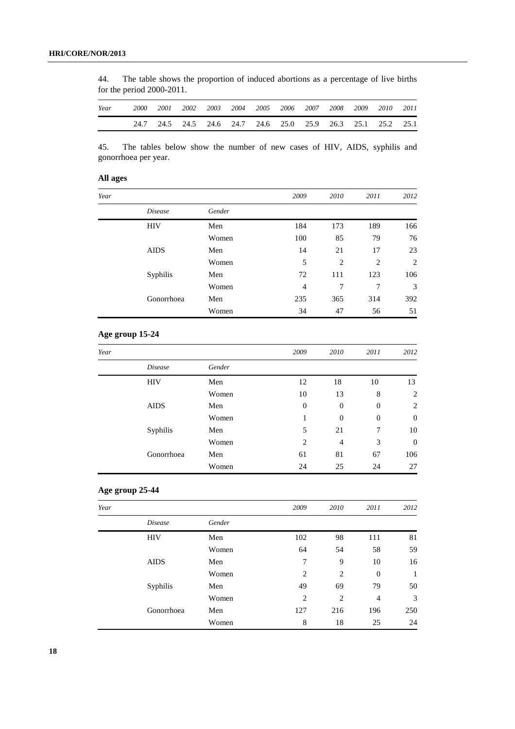44. The table shows the proportion of induced abortions as a percentage of live births for the period 2000-2011.

| Year | 2000 | 2001 | 2002 |  | 2003 2004 2005 2006 2007 2008 2009 2010 2011                |  |  |  |
|------|------|------|------|--|-------------------------------------------------------------|--|--|--|
|      |      |      |      |  | 24.7 24.5 24.5 24.6 24.7 24.6 25.0 25.9 26.3 25.1 25.2 25.1 |  |  |  |

45. The tables below show the number of new cases of HIV, AIDS, syphilis and gonorrhoea per year.

### **All ages**

| Year |                |        | 2009           | 2010 | 2011 | 2012 |
|------|----------------|--------|----------------|------|------|------|
|      | <i>Disease</i> | Gender |                |      |      |      |
|      | <b>HIV</b>     | Men    | 184            | 173  | 189  | 166  |
|      |                | Women  | 100            | 85   | 79   | 76   |
|      | <b>AIDS</b>    | Men    | 14             | 21   | 17   | 23   |
|      |                | Women  | 5              | 2    | 2    | 2    |
|      | Syphilis       | Men    | 72             | 111  | 123  | 106  |
|      |                | Women  | $\overline{4}$ | 7    | 7    | 3    |
|      | Gonorrhoea     | Men    | 235            | 365  | 314  | 392  |
|      |                | Women  | 34             | 47   | 56   | 51   |

### **Age group 15-24**

| Year        |                |        | 2009             | 2010     | 2011           | 2012             |
|-------------|----------------|--------|------------------|----------|----------------|------------------|
|             | <i>Disease</i> | Gender |                  |          |                |                  |
|             | <b>HIV</b>     | Men    | 12               | 18       | 10             | 13               |
|             |                | Women  | 10               | 13       | 8              | $\overline{2}$   |
| <b>AIDS</b> |                | Men    | $\boldsymbol{0}$ | $\theta$ | $\overline{0}$ | $\overline{2}$   |
|             |                | Women  | 1                | $\theta$ | $\overline{0}$ | $\boldsymbol{0}$ |
|             | Syphilis       | Men    | 5                | 21       | 7              | 10               |
|             |                | Women  | 2                | 4        | 3              | $\boldsymbol{0}$ |
|             | Gonorrhoea     | Men    | 61               | 81       | 67             | 106              |
|             |                | Women  | 24               | 25       | 24             | 27               |

### **Age group 25-44**

| Year |                |        | 2009 | 2010 | 2011             | 2012         |
|------|----------------|--------|------|------|------------------|--------------|
|      | <i>Disease</i> | Gender |      |      |                  |              |
|      | <b>HIV</b>     | Men    | 102  | 98   | 111              | 81           |
|      |                | Women  | 64   | 54   | 58               | 59           |
|      | <b>AIDS</b>    | Men    | 7    | 9    | 10               | 16           |
|      |                | Women  | 2    | 2    | $\boldsymbol{0}$ | $\mathbf{1}$ |
|      | Syphilis       | Men    | 49   | 69   | 79               | 50           |
|      |                | Women  | 2    | 2    | $\overline{4}$   | 3            |
|      | Gonorrhoea     | Men    | 127  | 216  | 196              | 250          |
|      |                | Women  | 8    | 18   | 25               | 24           |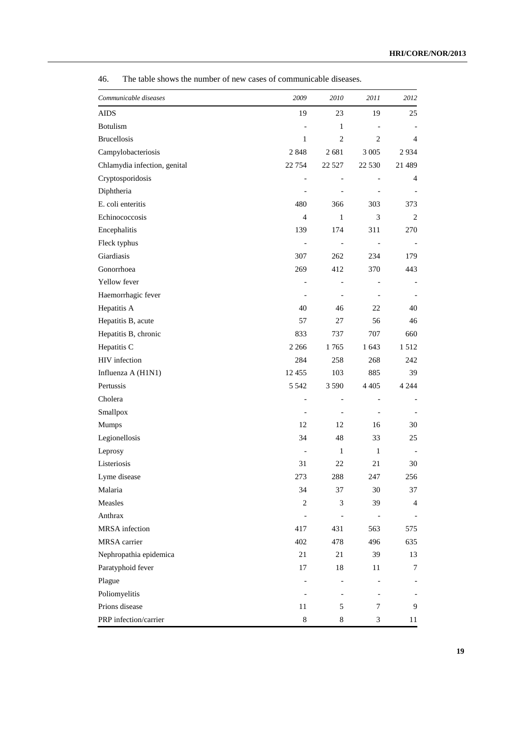| Communicable diseases        | 2009           | 2010                         | 2011           | 2012           |
|------------------------------|----------------|------------------------------|----------------|----------------|
| <b>AIDS</b>                  | 19             | 23                           | 19             | 25             |
| <b>Botulism</b>              |                | 1                            |                |                |
| <b>Brucellosis</b>           | $\mathbf{1}$   | $\mathfrak{2}$               | 2              | 4              |
| Campylobacteriosis           | 2848           | 2681                         | 3 0 0 5        | 2934           |
| Chlamydia infection, genital | 22 7 54        | 22 5 27                      | 22 5 30        | 21 489         |
| Cryptosporidosis             |                |                              |                | 4              |
| Diphtheria                   |                |                              |                |                |
| E. coli enteritis            | 480            | 366                          | 303            | 373            |
| Echinococcosis               | $\overline{4}$ | $\mathbf{1}$                 | 3              | 2              |
| Encephalitis                 | 139            | 174                          | 311            | 270            |
| Fleck typhus                 |                | $\qquad \qquad \blacksquare$ | $\overline{a}$ |                |
| Giardiasis                   | 307            | 262                          | 234            | 179            |
| Gonorrhoea                   | 269            | 412                          | 370            | 443            |
| Yellow fever                 |                | $\overline{\phantom{0}}$     |                |                |
| Haemorrhagic fever           |                |                              |                |                |
| Hepatitis A                  | 40             | 46                           | 22             | 40             |
| Hepatitis B, acute           | 57             | 27                           | 56             | 46             |
| Hepatitis B, chronic         | 833            | 737                          | 707            | 660            |
| Hepatitis C                  | 2 2 6 6        | 1765                         | 1 643          | 1512           |
| HIV infection                | 284            | 258                          | 268            | 242            |
| Influenza A (H1N1)           | 12455          | 103                          | 885            | 39             |
| Pertussis                    | 5 5 4 2        | 3 5 9 0                      | 4 4 0 5        | 4 2 4 4        |
| Cholera                      |                | $\overline{\phantom{0}}$     | $\overline{a}$ |                |
| Smallpox                     |                |                              |                |                |
| Mumps                        | 12             | 12                           | 16             | 30             |
| Legionellosis                | 34             | 48                           | 33             | 25             |
| Leprosy                      |                | $\mathbf{1}$                 | $\mathbf{1}$   |                |
| Listeriosis                  | 31             | 22                           | 21             | 30             |
| Lyme disease                 | 273            | 288                          | 247            | 256            |
| Malaria                      | 34             | 37                           | 30             | 37             |
| Measles                      | $\overline{c}$ | $\ensuremath{\mathfrak{Z}}$  | 39             | $\overline{4}$ |
| Anthrax                      |                |                              |                |                |
| MRSA infection               | 417            | 431                          | 563            | 575            |
| MRSA carrier                 | 402            | 478                          | 496            | 635            |
| Nephropathia epidemica       | 21             | 21                           | 39             | 13             |
| Paratyphoid fever            | 17             | 18                           | 11             | 7              |
| Plague                       |                |                              |                |                |
| Poliomyelitis                |                |                              |                |                |
| Prions disease               | 11             | 5                            | 7              | 9              |
| PRP infection/carrier        | $\,8\,$        | $\,8$                        | 3              | 11             |

46. The table shows the number of new cases of communicable diseases.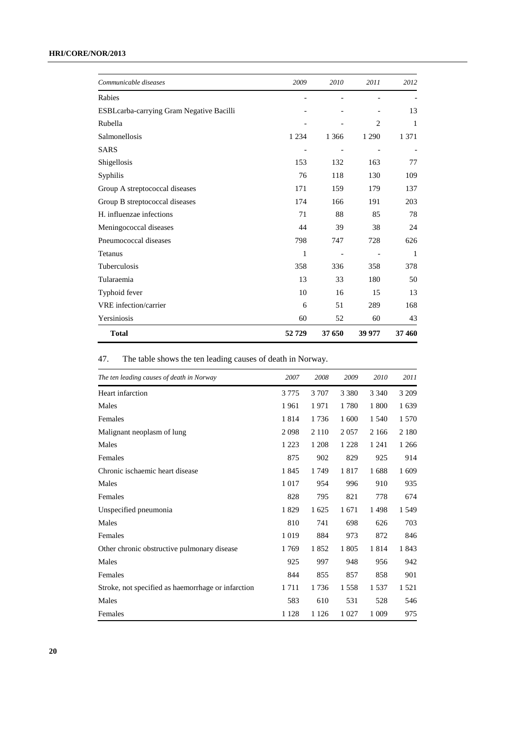| Communicable diseases                     | 2009    | 2010    | 2011                     | 2012    |
|-------------------------------------------|---------|---------|--------------------------|---------|
| Rabies                                    |         |         |                          |         |
| ESBL carba-carrying Gram Negative Bacilli |         |         |                          | 13      |
| Rubella                                   |         |         | 2                        | 1       |
| Salmonellosis                             | 1 2 3 4 | 1 3 6 6 | 1 2 9 0                  | 1 3 7 1 |
| <b>SARS</b>                               |         |         | $\overline{\phantom{a}}$ |         |
| Shigellosis                               | 153     | 132     | 163                      | 77      |
| Syphilis                                  | 76      | 118     | 130                      | 109     |
| Group A streptococcal diseases            | 171     | 159     | 179                      | 137     |
| Group B streptococcal diseases            | 174     | 166     | 191                      | 203     |
| H. influenzae infections                  | 71      | 88      | 85                       | 78      |
| Meningococcal diseases                    | 44      | 39      | 38                       | 24      |
| Pneumococcal diseases                     | 798     | 747     | 728                      | 626     |
| Tetanus                                   | 1       |         |                          | 1       |
| Tuberculosis                              | 358     | 336     | 358                      | 378     |
| Tularaemia                                | 13      | 33      | 180                      | 50      |
| Typhoid fever                             | 10      | 16      | 15                       | 13      |
| VRE infection/carrier                     | 6       | 51      | 289                      | 168     |
| Yersiniosis                               | 60      | 52      | 60                       | 43      |
| <b>Total</b>                              | 52729   | 37 650  | 39 977                   | 37 460  |

# 47. The table shows the ten leading causes of death in Norway.

| The ten leading causes of death in Norway          | 2007    | 2008    | 2009    | 2010    | 2011    |
|----------------------------------------------------|---------|---------|---------|---------|---------|
| Heart infarction                                   | 3 7 7 5 | 3 707   | 3 3 8 0 | 3 3 4 0 | 3 2 0 9 |
| Males                                              | 1961    | 1971    | 1780    | 1800    | 1 639   |
| Females                                            | 1814    | 1736    | 1 600   | 1 540   | 1 570   |
| Malignant neoplasm of lung                         | 2098    | 2 1 1 0 | 2 0 5 7 | 2 1 6 6 | 2 1 8 0 |
| Males                                              | 1 2 2 3 | 1 208   | 1 2 2 8 | 1 2 4 1 | 1 2 6 6 |
| Females                                            | 875     | 902     | 829     | 925     | 914     |
| Chronic ischaemic heart disease                    | 1845    | 1749    | 1817    | 1688    | 1609    |
| Males                                              | 1017    | 954     | 996     | 910     | 935     |
| Females                                            | 828     | 795     | 821     | 778     | 674     |
| Unspecified pneumonia                              | 1829    | 1 625   | 1671    | 1498    | 1 5 4 9 |
| Males                                              | 810     | 741     | 698     | 626     | 703     |
| Females                                            | 1019    | 884     | 973     | 872     | 846     |
| Other chronic obstructive pulmonary disease        | 1769    | 1852    | 1805    | 1814    | 1843    |
| Males                                              | 925     | 997     | 948     | 956     | 942     |
| Females                                            | 844     | 855     | 857     | 858     | 901     |
| Stroke, not specified as haemorrhage or infarction | 1711    | 1736    | 1558    | 1537    | 1 5 2 1 |
| Males                                              | 583     | 610     | 531     | 528     | 546     |
| Females                                            | 1 1 2 8 | 1 1 2 6 | 1 0 2 7 | 1 0 0 9 | 975     |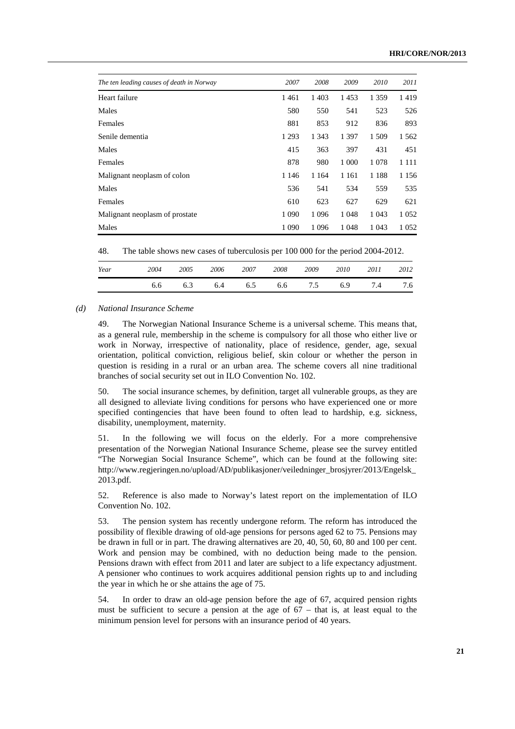| The ten leading causes of death in Norway | 2007    | 2008    | 2009    | 2010    | 2011    |
|-------------------------------------------|---------|---------|---------|---------|---------|
| Heart failure                             | 1461    | 1 4 0 3 | 1453    | 1 3 5 9 | 1419    |
| Males                                     | 580     | 550     | 541     | 523     | 526     |
| Females                                   | 881     | 853     | 912     | 836     | 893     |
| Senile dementia                           | 1 2 9 3 | 1 3 4 3 | 1 3 9 7 | 1 509   | 1 5 6 2 |
| Males                                     | 415     | 363     | 397     | 431     | 451     |
| Females                                   | 878     | 980     | 1 0 0 0 | 1078    | 1 1 1 1 |
| Malignant neoplasm of colon               | 1 1 4 6 | 1 1 6 4 | 1 1 6 1 | 1 1 8 8 | 1 1 5 6 |
| Males                                     | 536     | 541     | 534     | 559     | 535     |
| Females                                   | 610     | 623     | 627     | 629     | 621     |
| Malignant neoplasm of prostate            | 1 0 9 0 | 1 0 9 6 | 1 0 4 8 | 1 0 4 3 | 1 0 5 2 |
| Males                                     | 1 0 9 0 | 1 0 9 6 | 1 0 4 8 | 1 0 4 3 | 1 0 5 2 |

48. The table shows new cases of tuberculosis per 100 000 for the period 2004-2012.

| Year | 2004 | 2005 | 2006 | 2007 | 2008 | 2009 | 2010 | 2011 | 2012 |
|------|------|------|------|------|------|------|------|------|------|
|      | 6.6  | 6.3  | 6.4  | 6.5  | 6.6  | 7.5  | 6.9  | 7.4  | 7.6  |

#### *(d) National Insurance Scheme*

49. The Norwegian National Insurance Scheme is a universal scheme. This means that, as a general rule, membership in the scheme is compulsory for all those who either live or work in Norway, irrespective of nationality, place of residence, gender, age, sexual orientation, political conviction, religious belief, skin colour or whether the person in question is residing in a rural or an urban area. The scheme covers all nine traditional branches of social security set out in ILO Convention No. 102.

50. The social insurance schemes, by definition, target all vulnerable groups, as they are all designed to alleviate living conditions for persons who have experienced one or more specified contingencies that have been found to often lead to hardship, e.g. sickness, disability, unemployment, maternity.

51. In the following we will focus on the elderly. For a more comprehensive presentation of the Norwegian National Insurance Scheme, please see the survey entitled "The Norwegian Social Insurance Scheme", which can be found at the following site: http://www.regjeringen.no/upload/AD/publikasjoner/veiledninger\_brosjyrer/2013/Engelsk\_ 2013.pdf.

52. Reference is also made to Norway's latest report on the implementation of ILO Convention No. 102.

53. The pension system has recently undergone reform. The reform has introduced the possibility of flexible drawing of old-age pensions for persons aged 62 to 75. Pensions may be drawn in full or in part. The drawing alternatives are 20, 40, 50, 60, 80 and 100 per cent. Work and pension may be combined, with no deduction being made to the pension. Pensions drawn with effect from 2011 and later are subject to a life expectancy adjustment. A pensioner who continues to work acquires additional pension rights up to and including the year in which he or she attains the age of 75.

54. In order to draw an old-age pension before the age of 67, acquired pension rights must be sufficient to secure a pension at the age of 67 – that is, at least equal to the minimum pension level for persons with an insurance period of 40 years.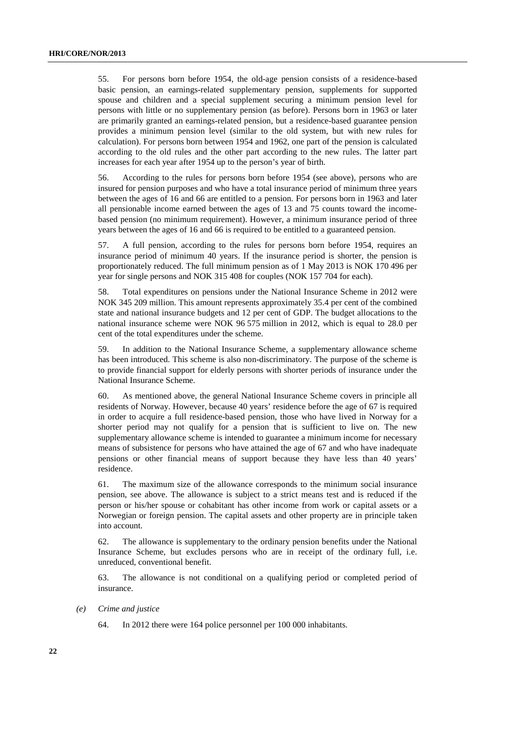55. For persons born before 1954, the old-age pension consists of a residence-based basic pension, an earnings-related supplementary pension, supplements for supported spouse and children and a special supplement securing a minimum pension level for persons with little or no supplementary pension (as before). Persons born in 1963 or later are primarily granted an earnings-related pension, but a residence-based guarantee pension provides a minimum pension level (similar to the old system, but with new rules for calculation). For persons born between 1954 and 1962, one part of the pension is calculated according to the old rules and the other part according to the new rules. The latter part increases for each year after 1954 up to the person's year of birth.

56. According to the rules for persons born before 1954 (see above), persons who are insured for pension purposes and who have a total insurance period of minimum three years between the ages of 16 and 66 are entitled to a pension. For persons born in 1963 and later all pensionable income earned between the ages of 13 and 75 counts toward the incomebased pension (no minimum requirement). However, a minimum insurance period of three years between the ages of 16 and 66 is required to be entitled to a guaranteed pension.

57. A full pension, according to the rules for persons born before 1954, requires an insurance period of minimum 40 years. If the insurance period is shorter, the pension is proportionately reduced. The full minimum pension as of 1 May 2013 is NOK 170 496 per year for single persons and NOK 315 408 for couples (NOK 157 704 for each).

58. Total expenditures on pensions under the National Insurance Scheme in 2012 were NOK 345 209 million. This amount represents approximately 35.4 per cent of the combined state and national insurance budgets and 12 per cent of GDP. The budget allocations to the national insurance scheme were NOK 96 575 million in 2012, which is equal to 28.0 per cent of the total expenditures under the scheme.

59. In addition to the National Insurance Scheme, a supplementary allowance scheme has been introduced. This scheme is also non-discriminatory. The purpose of the scheme is to provide financial support for elderly persons with shorter periods of insurance under the National Insurance Scheme.

60. As mentioned above, the general National Insurance Scheme covers in principle all residents of Norway. However, because 40 years' residence before the age of 67 is required in order to acquire a full residence-based pension, those who have lived in Norway for a shorter period may not qualify for a pension that is sufficient to live on. The new supplementary allowance scheme is intended to guarantee a minimum income for necessary means of subsistence for persons who have attained the age of 67 and who have inadequate pensions or other financial means of support because they have less than 40 years' residence.

61. The maximum size of the allowance corresponds to the minimum social insurance pension, see above. The allowance is subject to a strict means test and is reduced if the person or his/her spouse or cohabitant has other income from work or capital assets or a Norwegian or foreign pension. The capital assets and other property are in principle taken into account.

62. The allowance is supplementary to the ordinary pension benefits under the National Insurance Scheme, but excludes persons who are in receipt of the ordinary full, i.e. unreduced, conventional benefit.

63. The allowance is not conditional on a qualifying period or completed period of insurance.

#### *(e) Crime and justice*

64. In 2012 there were 164 police personnel per 100 000 inhabitants.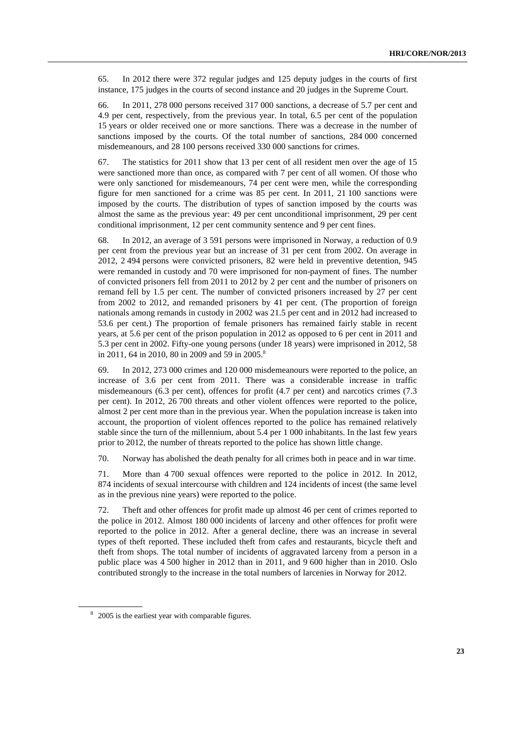65. In 2012 there were 372 regular judges and 125 deputy judges in the courts of first instance, 175 judges in the courts of second instance and 20 judges in the Supreme Court.

66. In 2011, 278 000 persons received 317 000 sanctions, a decrease of 5.7 per cent and 4.9 per cent, respectively, from the previous year. In total, 6.5 per cent of the population 15 years or older received one or more sanctions. There was a decrease in the number of sanctions imposed by the courts. Of the total number of sanctions, 284 000 concerned misdemeanours, and 28 100 persons received 330 000 sanctions for crimes.

67. The statistics for 2011 show that 13 per cent of all resident men over the age of 15 were sanctioned more than once, as compared with 7 per cent of all women. Of those who were only sanctioned for misdemeanours, 74 per cent were men, while the corresponding figure for men sanctioned for a crime was 85 per cent. In 2011, 21 100 sanctions were imposed by the courts. The distribution of types of sanction imposed by the courts was almost the same as the previous year: 49 per cent unconditional imprisonment, 29 per cent conditional imprisonment, 12 per cent community sentence and 9 per cent fines.

68. In 2012, an average of 3 591 persons were imprisoned in Norway, a reduction of 0.9 per cent from the previous year but an increase of 31 per cent from 2002. On average in 2012, 2 494 persons were convicted prisoners, 82 were held in preventive detention, 945 were remanded in custody and 70 were imprisoned for non-payment of fines. The number of convicted prisoners fell from 2011 to 2012 by 2 per cent and the number of prisoners on remand fell by 1.5 per cent. The number of convicted prisoners increased by 27 per cent from 2002 to 2012, and remanded prisoners by 41 per cent. (The proportion of foreign nationals among remands in custody in 2002 was 21.5 per cent and in 2012 had increased to 53.6 per cent.) The proportion of female prisoners has remained fairly stable in recent years, at 5.6 per cent of the prison population in 2012 as opposed to 6 per cent in 2011 and 5.3 per cent in 2002. Fifty-one young persons (under 18 years) were imprisoned in 2012, 58 in 2011, 64 in 2010, 80 in 2009 and 59 in 2005.<sup>8</sup>

69. In 2012, 273 000 crimes and 120 000 misdemeanours were reported to the police, an increase of 3.6 per cent from 2011. There was a considerable increase in traffic misdemeanours (6.3 per cent), offences for profit (4.7 per cent) and narcotics crimes (7.3 per cent). In 2012, 26 700 threats and other violent offences were reported to the police, almost 2 per cent more than in the previous year. When the population increase is taken into account, the proportion of violent offences reported to the police has remained relatively stable since the turn of the millennium, about 5.4 per 1 000 inhabitants. In the last few years prior to 2012, the number of threats reported to the police has shown little change.

70. Norway has abolished the death penalty for all crimes both in peace and in war time.

71. More than 4 700 sexual offences were reported to the police in 2012. In 2012, 874 incidents of sexual intercourse with children and 124 incidents of incest (the same level as in the previous nine years) were reported to the police.

72. Theft and other offences for profit made up almost 46 per cent of crimes reported to the police in 2012. Almost 180 000 incidents of larceny and other offences for profit were reported to the police in 2012. After a general decline, there was an increase in several types of theft reported. These included theft from cafes and restaurants, bicycle theft and theft from shops. The total number of incidents of aggravated larceny from a person in a public place was 4 500 higher in 2012 than in 2011, and 9 600 higher than in 2010. Oslo contributed strongly to the increase in the total numbers of larcenies in Norway for 2012.

<sup>&</sup>lt;sup>8</sup> 2005 is the earliest year with comparable figures.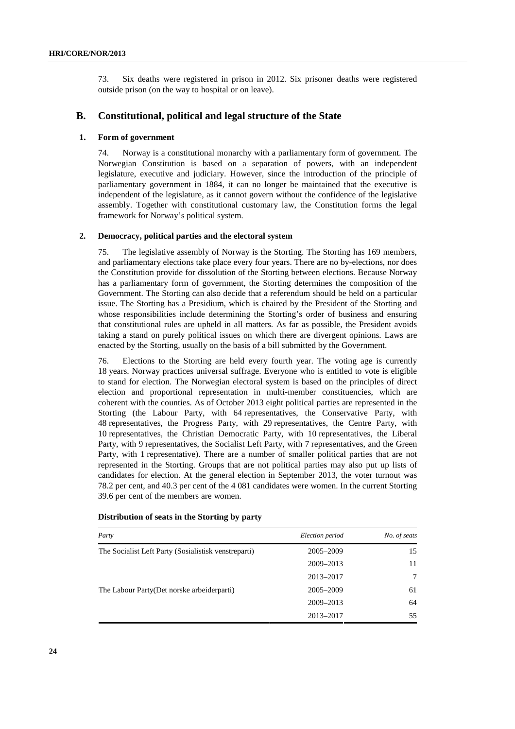73. Six deaths were registered in prison in 2012. Six prisoner deaths were registered outside prison (on the way to hospital or on leave).

### **B. Constitutional, political and legal structure of the State**

### **1. Form of government**

74. Norway is a constitutional monarchy with a parliamentary form of government. The Norwegian Constitution is based on a separation of powers, with an independent legislature, executive and judiciary. However, since the introduction of the principle of parliamentary government in 1884, it can no longer be maintained that the executive is independent of the legislature, as it cannot govern without the confidence of the legislative assembly. Together with constitutional customary law, the Constitution forms the legal framework for Norway's political system.

#### **2. Democracy, political parties and the electoral system**

75. The legislative assembly of Norway is the Storting. The Storting has 169 members, and parliamentary elections take place every four years. There are no by-elections, nor does the Constitution provide for dissolution of the Storting between elections. Because Norway has a parliamentary form of government, the Storting determines the composition of the Government. The Storting can also decide that a referendum should be held on a particular issue. The Storting has a Presidium, which is chaired by the President of the Storting and whose responsibilities include determining the Storting's order of business and ensuring that constitutional rules are upheld in all matters. As far as possible, the President avoids taking a stand on purely political issues on which there are divergent opinions. Laws are enacted by the Storting, usually on the basis of a bill submitted by the Government.

76. Elections to the Storting are held every fourth year. The voting age is currently 18 years. Norway practices universal suffrage. Everyone who is entitled to vote is eligible to stand for election. The Norwegian electoral system is based on the principles of direct election and proportional representation in multi-member constituencies, which are coherent with the counties. As of October 2013 eight political parties are represented in the Storting (the Labour Party, with 64 representatives, the Conservative Party, with 48 representatives, the Progress Party, with 29 representatives, the Centre Party, with 10 representatives, the Christian Democratic Party, with 10 representatives, the Liberal Party, with 9 representatives, the Socialist Left Party, with 7 representatives, and the Green Party, with 1 representative). There are a number of smaller political parties that are not represented in the Storting. Groups that are not political parties may also put up lists of candidates for election. At the general election in September 2013, the voter turnout was 78.2 per cent, and 40.3 per cent of the 4 081 candidates were women. In the current Storting 39.6 per cent of the members are women.

| Party                                                | Election period | No. of seats |
|------------------------------------------------------|-----------------|--------------|
| The Socialist Left Party (Sosialistisk venstreparti) | 2005–2009       | 15           |
|                                                      | 2009-2013       | 11           |
|                                                      | 2013-2017       | 7            |
| The Labour Party(Det norske arbeiderparti)           | 2005-2009       | 61           |
|                                                      | 2009-2013       | 64           |
|                                                      | 2013-2017       | 55           |

#### **Distribution of seats in the Storting by party**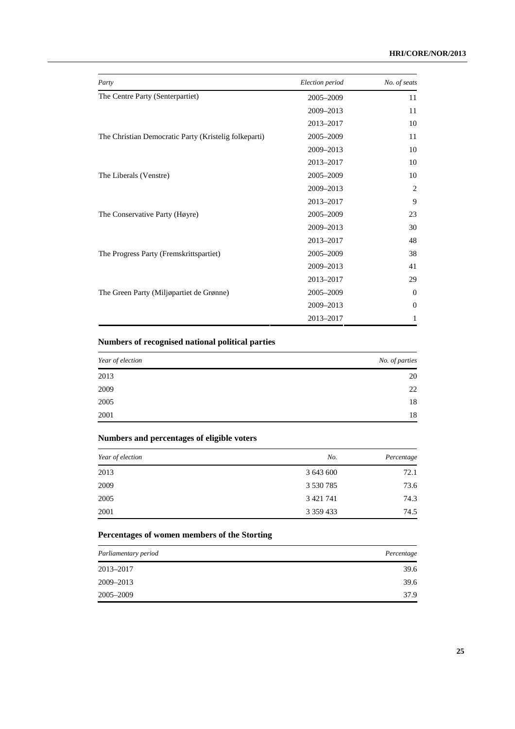| Party                                                 | Election period | No. of seats |
|-------------------------------------------------------|-----------------|--------------|
| The Centre Party (Senterpartiet)                      | 2005-2009       | 11           |
|                                                       | 2009-2013       | 11           |
|                                                       | 2013-2017       | 10           |
| The Christian Democratic Party (Kristelig folkeparti) | 2005-2009       | 11           |
|                                                       | 2009-2013       | 10           |
|                                                       | 2013-2017       | 10           |
| The Liberals (Venstre)                                | 2005-2009       | 10           |
|                                                       | 2009-2013       | 2            |
|                                                       | 2013-2017       | 9            |
| The Conservative Party (Høyre)                        | 2005-2009       | 23           |
|                                                       | 2009-2013       | 30           |
|                                                       | 2013-2017       | 48           |
| The Progress Party (Fremskrittspartiet)               | 2005-2009       | 38           |
|                                                       | 2009-2013       | 41           |
|                                                       | 2013-2017       | 29           |
| The Green Party (Miljøpartiet de Grønne)              | 2005-2009       | $\Omega$     |
|                                                       | 2009-2013       | $\Omega$     |
|                                                       | 2013-2017       | 1            |

# **Numbers of recognised national political parties**

| Year of election | No. of parties |
|------------------|----------------|
| 2013             | 20             |
| 2009             | 22             |
| 2005             | 18             |
| 2001             | 18             |

### **Numbers and percentages of eligible voters**

| Year of election | No.           | Percentage |
|------------------|---------------|------------|
| 2013             | 3 643 600     | 72.1       |
| 2009             | 3 530 785     | 73.6       |
| 2005             | 3 4 2 1 7 4 1 | 74.3       |
| 2001             | 3 3 5 9 4 3 3 | 74.5       |

### **Percentages of women members of the Storting**

| Parliamentary period | Percentage |
|----------------------|------------|
| 2013-2017            | 39.6       |
| 2009-2013            | 39.6       |
| 2005-2009            | 37.9       |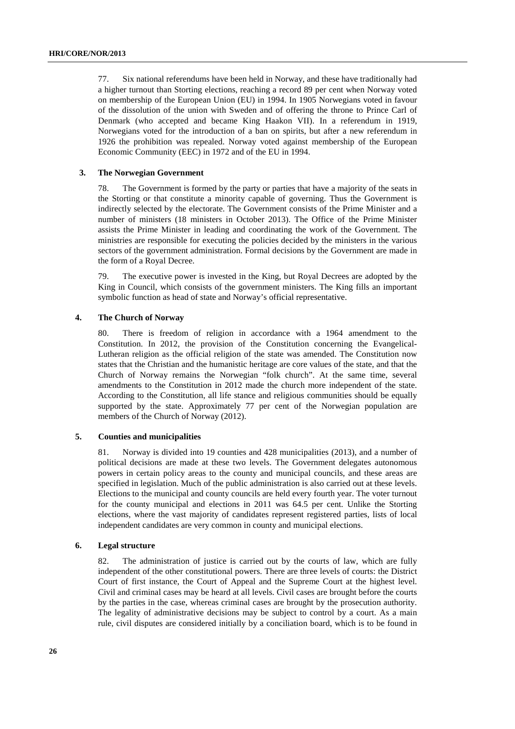77. Six national referendums have been held in Norway, and these have traditionally had a higher turnout than Storting elections, reaching a record 89 per cent when Norway voted on membership of the European Union (EU) in 1994. In 1905 Norwegians voted in favour of the dissolution of the union with Sweden and of offering the throne to Prince Carl of Denmark (who accepted and became King Haakon VII). In a referendum in 1919, Norwegians voted for the introduction of a ban on spirits, but after a new referendum in 1926 the prohibition was repealed. Norway voted against membership of the European Economic Community (EEC) in 1972 and of the EU in 1994.

#### **3. The Norwegian Government**

78. The Government is formed by the party or parties that have a majority of the seats in the Storting or that constitute a minority capable of governing. Thus the Government is indirectly selected by the electorate. The Government consists of the Prime Minister and a number of ministers (18 ministers in October 2013). The Office of the Prime Minister assists the Prime Minister in leading and coordinating the work of the Government. The ministries are responsible for executing the policies decided by the ministers in the various sectors of the government administration. Formal decisions by the Government are made in the form of a Royal Decree.

79. The executive power is invested in the King, but Royal Decrees are adopted by the King in Council, which consists of the government ministers. The King fills an important symbolic function as head of state and Norway's official representative.

#### **4. The Church of Norway**

80. There is freedom of religion in accordance with a 1964 amendment to the Constitution. In 2012, the provision of the Constitution concerning the Evangelical-Lutheran religion as the official religion of the state was amended. The Constitution now states that the Christian and the humanistic heritage are core values of the state, and that the Church of Norway remains the Norwegian "folk church". At the same time, several amendments to the Constitution in 2012 made the church more independent of the state. According to the Constitution, all life stance and religious communities should be equally supported by the state. Approximately 77 per cent of the Norwegian population are members of the Church of Norway (2012).

#### **5. Counties and municipalities**

81. Norway is divided into 19 counties and 428 municipalities (2013), and a number of political decisions are made at these two levels. The Government delegates autonomous powers in certain policy areas to the county and municipal councils, and these areas are specified in legislation. Much of the public administration is also carried out at these levels. Elections to the municipal and county councils are held every fourth year. The voter turnout for the county municipal and elections in 2011 was 64.5 per cent. Unlike the Storting elections, where the vast majority of candidates represent registered parties, lists of local independent candidates are very common in county and municipal elections.

#### **6. Legal structure**

82. The administration of justice is carried out by the courts of law, which are fully independent of the other constitutional powers. There are three levels of courts: the District Court of first instance, the Court of Appeal and the Supreme Court at the highest level. Civil and criminal cases may be heard at all levels. Civil cases are brought before the courts by the parties in the case, whereas criminal cases are brought by the prosecution authority. The legality of administrative decisions may be subject to control by a court. As a main rule, civil disputes are considered initially by a conciliation board, which is to be found in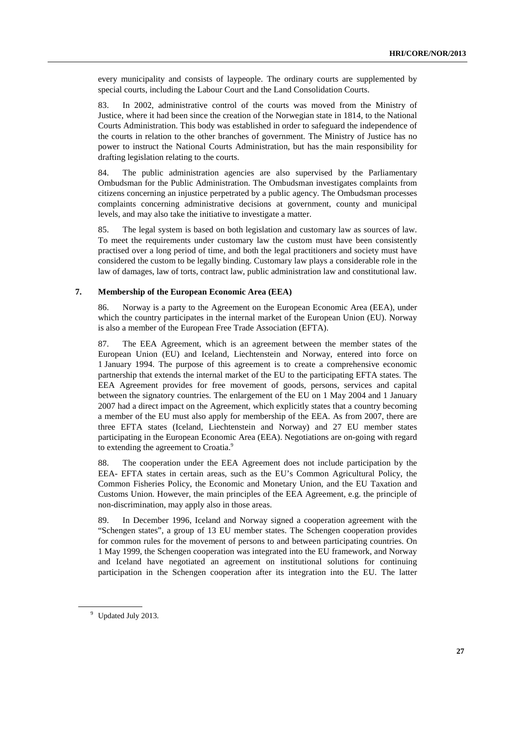every municipality and consists of laypeople. The ordinary courts are supplemented by special courts, including the Labour Court and the Land Consolidation Courts.

83. In 2002, administrative control of the courts was moved from the Ministry of Justice, where it had been since the creation of the Norwegian state in 1814, to the National Courts Administration. This body was established in order to safeguard the independence of the courts in relation to the other branches of government. The Ministry of Justice has no power to instruct the National Courts Administration, but has the main responsibility for drafting legislation relating to the courts.

84. The public administration agencies are also supervised by the Parliamentary Ombudsman for the Public Administration. The Ombudsman investigates complaints from citizens concerning an injustice perpetrated by a public agency. The Ombudsman processes complaints concerning administrative decisions at government, county and municipal levels, and may also take the initiative to investigate a matter.

85. The legal system is based on both legislation and customary law as sources of law. To meet the requirements under customary law the custom must have been consistently practised over a long period of time, and both the legal practitioners and society must have considered the custom to be legally binding. Customary law plays a considerable role in the law of damages, law of torts, contract law, public administration law and constitutional law.

#### **7. Membership of the European Economic Area (EEA)**

86. Norway is a party to the Agreement on the European Economic Area (EEA), under which the country participates in the internal market of the European Union (EU). Norway is also a member of the European Free Trade Association (EFTA).

87. The EEA Agreement, which is an agreement between the member states of the European Union (EU) and Iceland, Liechtenstein and Norway, entered into force on 1 January 1994. The purpose of this agreement is to create a comprehensive economic partnership that extends the internal market of the EU to the participating EFTA states. The EEA Agreement provides for free movement of goods, persons, services and capital between the signatory countries. The enlargement of the EU on 1 May 2004 and 1 January 2007 had a direct impact on the Agreement, which explicitly states that a country becoming a member of the EU must also apply for membership of the EEA. As from 2007, there are three EFTA states (Iceland, Liechtenstein and Norway) and 27 EU member states participating in the European Economic Area (EEA). Negotiations are on-going with regard to extending the agreement to Croatia.<sup>9</sup>

88. The cooperation under the EEA Agreement does not include participation by the EEA- EFTA states in certain areas, such as the EU's Common Agricultural Policy, the Common Fisheries Policy, the Economic and Monetary Union, and the EU Taxation and Customs Union. However, the main principles of the EEA Agreement, e.g. the principle of non-discrimination, may apply also in those areas.

89. In December 1996, Iceland and Norway signed a cooperation agreement with the "Schengen states", a group of 13 EU member states. The Schengen cooperation provides for common rules for the movement of persons to and between participating countries. On 1 May 1999, the Schengen cooperation was integrated into the EU framework, and Norway and Iceland have negotiated an agreement on institutional solutions for continuing participation in the Schengen cooperation after its integration into the EU. The latter

<sup>&</sup>lt;sup>9</sup> Updated July 2013.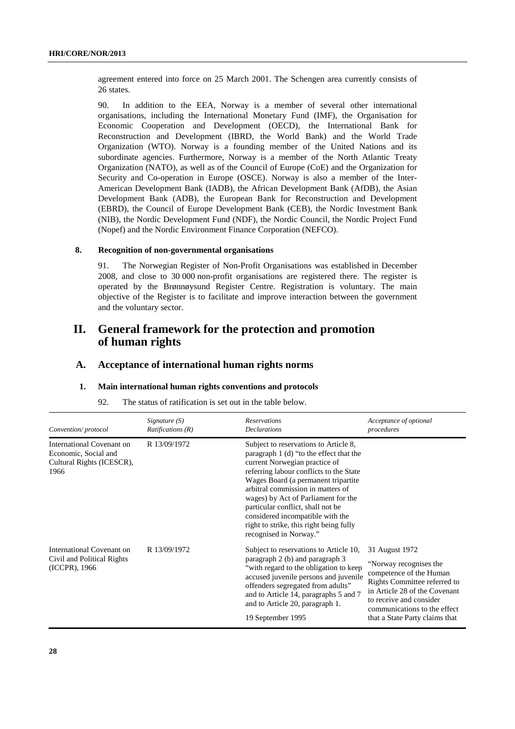agreement entered into force on 25 March 2001. The Schengen area currently consists of 26 states.

90. In addition to the EEA, Norway is a member of several other international organisations, including the International Monetary Fund (IMF), the Organisation for Economic Cooperation and Development (OECD), the International Bank for Reconstruction and Development (IBRD, the World Bank) and the World Trade Organization (WTO). Norway is a founding member of the United Nations and its subordinate agencies. Furthermore, Norway is a member of the North Atlantic Treaty Organization (NATO), as well as of the Council of Europe (CoE) and the Organization for Security and Co-operation in Europe (OSCE). Norway is also a member of the Inter-American Development Bank (IADB), the African Development Bank (AfDB), the Asian Development Bank (ADB), the European Bank for Reconstruction and Development (EBRD), the Council of Europe Development Bank (CEB), the Nordic Investment Bank (NIB), the Nordic Development Fund (NDF), the Nordic Council, the Nordic Project Fund (Nopef) and the Nordic Environment Finance Corporation (NEFCO).

#### **8. Recognition of non-governmental organisations**

91. The Norwegian Register of Non-Profit Organisations was established in December 2008, and close to 30 000 non-profit organisations are registered there. The register is operated by the Brønnøysund Register Centre. Registration is voluntary. The main objective of the Register is to facilitate and improve interaction between the government and the voluntary sector.

# **II. General framework for the protection and promotion of human rights**

### **A. Acceptance of international human rights norms**

#### **1. Main international human rights conventions and protocols**

| The status of ratification is set out in the table below. | 92. |  |  |  |  |  |
|-----------------------------------------------------------|-----|--|--|--|--|--|
|-----------------------------------------------------------|-----|--|--|--|--|--|

| Convention/protocol                                                                    | Signature $(S)$<br>Ratifications $(R)$ | <b>Reservations</b><br><b>Declarations</b>                                                                                                                                                                                                                                                                                                                                                                                    | Acceptance of optional<br>procedures                                                                                                                                                                                              |
|----------------------------------------------------------------------------------------|----------------------------------------|-------------------------------------------------------------------------------------------------------------------------------------------------------------------------------------------------------------------------------------------------------------------------------------------------------------------------------------------------------------------------------------------------------------------------------|-----------------------------------------------------------------------------------------------------------------------------------------------------------------------------------------------------------------------------------|
| International Covenant on<br>Economic, Social and<br>Cultural Rights (ICESCR),<br>1966 | R 13/09/1972                           | Subject to reservations to Article 8,<br>paragraph 1 (d) "to the effect that the<br>current Norwegian practice of<br>referring labour conflicts to the State<br>Wages Board (a permanent tripartite<br>arbitral commission in matters of<br>wages) by Act of Parliament for the<br>particular conflict, shall not be<br>considered incompatible with the<br>right to strike, this right being fully<br>recognised in Norway." |                                                                                                                                                                                                                                   |
| International Covenant on<br>Civil and Political Rights<br>(ICCPR), 1966               | R 13/09/1972                           | Subject to reservations to Article 10,<br>paragraph 2 (b) and paragraph 3<br>"with regard to the obligation to keep"<br>accused juvenile persons and juvenile<br>offenders segregated from adults"<br>and to Article 14, paragraphs 5 and 7<br>and to Article 20, paragraph 1.<br>19 September 1995                                                                                                                           | 31 August 1972<br>"Norway recognises the<br>competence of the Human<br>Rights Committee referred to<br>in Article 28 of the Covenant<br>to receive and consider<br>communications to the effect<br>that a State Party claims that |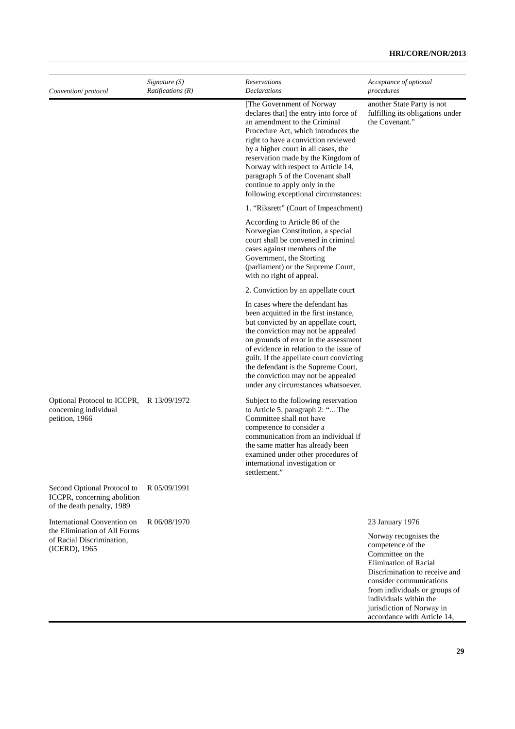| Convention/protocol                                                                      | Signature $(S)$<br><i>Ratifications</i> $(R)$ | Reservations<br><b>Declarations</b>                                                                                                                                                                                                                                                                                                                                                                                 | Acceptance of optional<br>procedures                                                                                                                                                                                                               |
|------------------------------------------------------------------------------------------|-----------------------------------------------|---------------------------------------------------------------------------------------------------------------------------------------------------------------------------------------------------------------------------------------------------------------------------------------------------------------------------------------------------------------------------------------------------------------------|----------------------------------------------------------------------------------------------------------------------------------------------------------------------------------------------------------------------------------------------------|
|                                                                                          |                                               | [The Government of Norway]<br>declares that] the entry into force of<br>an amendment to the Criminal<br>Procedure Act, which introduces the<br>right to have a conviction reviewed<br>by a higher court in all cases, the<br>reservation made by the Kingdom of<br>Norway with respect to Article 14,<br>paragraph 5 of the Covenant shall<br>continue to apply only in the<br>following exceptional circumstances: | another State Party is not<br>fulfilling its obligations under<br>the Covenant."                                                                                                                                                                   |
|                                                                                          |                                               | 1. "Riksrett" (Court of Impeachment)                                                                                                                                                                                                                                                                                                                                                                                |                                                                                                                                                                                                                                                    |
|                                                                                          |                                               | According to Article 86 of the<br>Norwegian Constitution, a special<br>court shall be convened in criminal<br>cases against members of the<br>Government, the Storting<br>(parliament) or the Supreme Court,<br>with no right of appeal.                                                                                                                                                                            |                                                                                                                                                                                                                                                    |
|                                                                                          |                                               | 2. Conviction by an appellate court                                                                                                                                                                                                                                                                                                                                                                                 |                                                                                                                                                                                                                                                    |
|                                                                                          |                                               | In cases where the defendant has<br>been acquitted in the first instance,<br>but convicted by an appellate court,<br>the conviction may not be appealed<br>on grounds of error in the assessment<br>of evidence in relation to the issue of<br>guilt. If the appellate court convicting<br>the defendant is the Supreme Court,<br>the conviction may not be appealed<br>under any circumstances whatsoever.         |                                                                                                                                                                                                                                                    |
| Optional Protocol to ICCPR, R 13/09/1972<br>concerning individual<br>petition, 1966      |                                               | Subject to the following reservation<br>to Article 5, paragraph 2: " The<br>Committee shall not have<br>competence to consider a<br>communication from an individual if<br>the same matter has already been<br>examined under other procedures of<br>international investigation or<br>settlement."                                                                                                                 |                                                                                                                                                                                                                                                    |
| Second Optional Protocol to<br>ICCPR, concerning abolition<br>of the death penalty, 1989 | R 05/09/1991                                  |                                                                                                                                                                                                                                                                                                                                                                                                                     |                                                                                                                                                                                                                                                    |
| International Convention on                                                              | R 06/08/1970                                  |                                                                                                                                                                                                                                                                                                                                                                                                                     | 23 January 1976                                                                                                                                                                                                                                    |
| the Elimination of All Forms<br>of Racial Discrimination,<br>(ICERD), 1965               |                                               |                                                                                                                                                                                                                                                                                                                                                                                                                     | Norway recognises the<br>competence of the<br>Committee on the<br><b>Elimination of Racial</b><br>Discrimination to receive and<br>consider communications<br>from individuals or groups of<br>individuals within the<br>ingiadiation of Mographic |

jurisdiction of Norway in accordance with Article 14,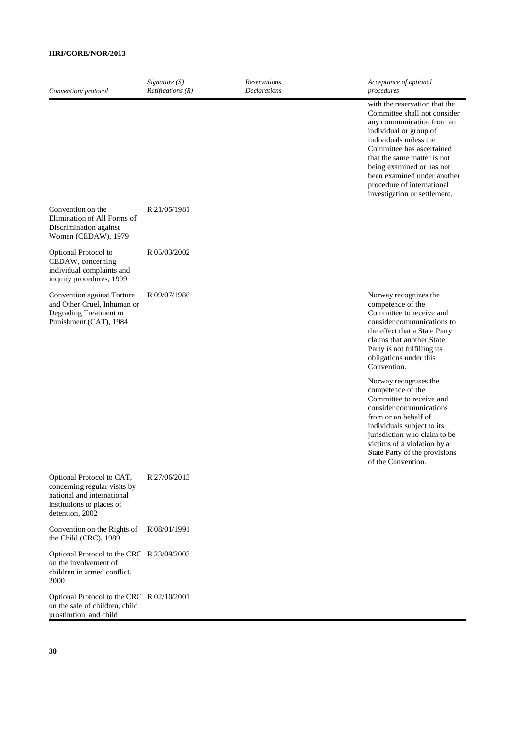| Convention/protocol                                                                                                                     | Signature $(S)$<br>Ratifications $(R)$ | Reservations<br><b>Declarations</b> | Acceptance of optional<br>procedures                                                                                                                                                                                                                                                                                                                                                                                                                                                                                        |
|-----------------------------------------------------------------------------------------------------------------------------------------|----------------------------------------|-------------------------------------|-----------------------------------------------------------------------------------------------------------------------------------------------------------------------------------------------------------------------------------------------------------------------------------------------------------------------------------------------------------------------------------------------------------------------------------------------------------------------------------------------------------------------------|
|                                                                                                                                         |                                        |                                     | with the reservation that the<br>Committee shall not consider<br>any communication from an<br>individual or group of<br>individuals unless the<br>Committee has ascertained<br>that the same matter is not<br>being examined or has not<br>been examined under another<br>procedure of international<br>investigation or settlement.                                                                                                                                                                                        |
| Convention on the<br>Elimination of All Forms of<br>Discrimination against<br>Women (CEDAW), 1979                                       | R 21/05/1981                           |                                     |                                                                                                                                                                                                                                                                                                                                                                                                                                                                                                                             |
| Optional Protocol to<br>CEDAW, concerning<br>individual complaints and<br>inquiry procedures, 1999                                      | R 05/03/2002                           |                                     |                                                                                                                                                                                                                                                                                                                                                                                                                                                                                                                             |
| Convention against Torture<br>and Other Cruel, Inhuman or<br>Degrading Treatment or<br>Punishment (CAT), 1984                           | R 09/07/1986                           |                                     | Norway recognizes the<br>competence of the<br>Committee to receive and<br>consider communications to<br>the effect that a State Party<br>claims that another State<br>Party is not fulfilling its<br>obligations under this<br>Convention.<br>Norway recognises the<br>competence of the<br>Committee to receive and<br>consider communications<br>from or on behalf of<br>individuals subject to its<br>jurisdiction who claim to be<br>victims of a violation by a<br>State Party of the provisions<br>of the Convention. |
| Optional Protocol to CAT,<br>concerning regular visits by<br>national and international<br>institutions to places of<br>detention, 2002 | R 27/06/2013                           |                                     |                                                                                                                                                                                                                                                                                                                                                                                                                                                                                                                             |
| Convention on the Rights of<br>the Child (CRC), 1989                                                                                    | R 08/01/1991                           |                                     |                                                                                                                                                                                                                                                                                                                                                                                                                                                                                                                             |
| Optional Protocol to the CRC R 23/09/2003<br>on the involvement of<br>children in armed conflict,<br>2000                               |                                        |                                     |                                                                                                                                                                                                                                                                                                                                                                                                                                                                                                                             |
| Optional Protocol to the CRC R 02/10/2001<br>on the sale of children, child<br>prostitution, and child                                  |                                        |                                     |                                                                                                                                                                                                                                                                                                                                                                                                                                                                                                                             |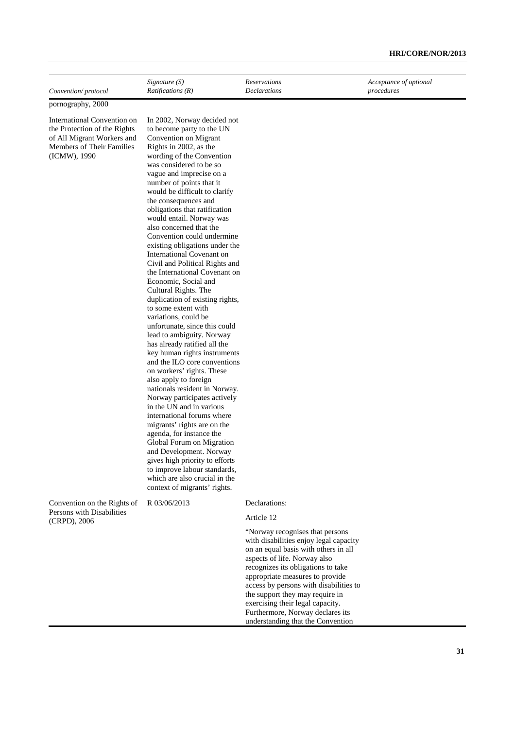| Convention/protocol                                                                                                                    | Signature $(S)$<br>Ratifications (R)                                                                                                                                                                                                                                                                                                                                                                                                                                                                                                                                                                                                                                                                                                                                                                                                                                                                                                                                                                                                                                                                                                                                                                                                                                                | <b>Reservations</b><br><b>Declarations</b>                                                                                                                                                                                                                                                                                                                                                                           | Acceptance of optional<br>procedures |
|----------------------------------------------------------------------------------------------------------------------------------------|-------------------------------------------------------------------------------------------------------------------------------------------------------------------------------------------------------------------------------------------------------------------------------------------------------------------------------------------------------------------------------------------------------------------------------------------------------------------------------------------------------------------------------------------------------------------------------------------------------------------------------------------------------------------------------------------------------------------------------------------------------------------------------------------------------------------------------------------------------------------------------------------------------------------------------------------------------------------------------------------------------------------------------------------------------------------------------------------------------------------------------------------------------------------------------------------------------------------------------------------------------------------------------------|----------------------------------------------------------------------------------------------------------------------------------------------------------------------------------------------------------------------------------------------------------------------------------------------------------------------------------------------------------------------------------------------------------------------|--------------------------------------|
| pornography, 2000                                                                                                                      |                                                                                                                                                                                                                                                                                                                                                                                                                                                                                                                                                                                                                                                                                                                                                                                                                                                                                                                                                                                                                                                                                                                                                                                                                                                                                     |                                                                                                                                                                                                                                                                                                                                                                                                                      |                                      |
| International Convention on<br>the Protection of the Rights<br>of All Migrant Workers and<br>Members of Their Families<br>(ICMW), 1990 | In 2002, Norway decided not<br>to become party to the UN<br>Convention on Migrant<br>Rights in 2002, as the<br>wording of the Convention<br>was considered to be so<br>vague and imprecise on a<br>number of points that it<br>would be difficult to clarify<br>the consequences and<br>obligations that ratification<br>would entail. Norway was<br>also concerned that the<br>Convention could undermine<br>existing obligations under the<br>International Covenant on<br>Civil and Political Rights and<br>the International Covenant on<br>Economic, Social and<br>Cultural Rights. The<br>duplication of existing rights,<br>to some extent with<br>variations, could be<br>unfortunate, since this could<br>lead to ambiguity. Norway<br>has already ratified all the<br>key human rights instruments<br>and the ILO core conventions<br>on workers' rights. These<br>also apply to foreign<br>nationals resident in Norway.<br>Norway participates actively<br>in the UN and in various<br>international forums where<br>migrants' rights are on the<br>agenda, for instance the<br>Global Forum on Migration<br>and Development. Norway<br>gives high priority to efforts<br>to improve labour standards,<br>which are also crucial in the<br>context of migrants' rights. |                                                                                                                                                                                                                                                                                                                                                                                                                      |                                      |
| Convention on the Rights of<br>Persons with Disabilities<br>(CRPD), 2006                                                               | R 03/06/2013                                                                                                                                                                                                                                                                                                                                                                                                                                                                                                                                                                                                                                                                                                                                                                                                                                                                                                                                                                                                                                                                                                                                                                                                                                                                        | Declarations:<br>Article 12                                                                                                                                                                                                                                                                                                                                                                                          |                                      |
|                                                                                                                                        |                                                                                                                                                                                                                                                                                                                                                                                                                                                                                                                                                                                                                                                                                                                                                                                                                                                                                                                                                                                                                                                                                                                                                                                                                                                                                     | "Norway recognises that persons<br>with disabilities enjoy legal capacity<br>on an equal basis with others in all<br>aspects of life. Norway also<br>recognizes its obligations to take<br>appropriate measures to provide<br>access by persons with disabilities to<br>the support they may require in<br>exercising their legal capacity.<br>Furthermore, Norway declares its<br>understanding that the Convention |                                      |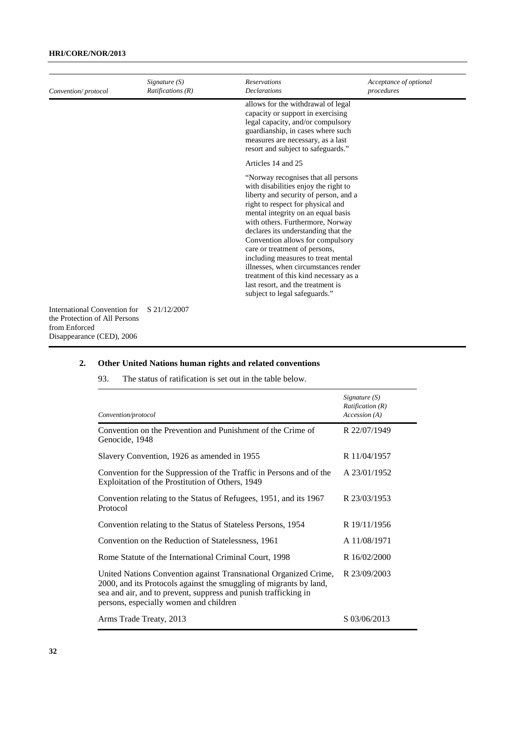| Convention/protocol                                                                                         | Signature $(S)$<br>Ratifications(R) | <b>Reservations</b><br><b>Declarations</b>                                                                                                                                                                                                                                                                                                                                                                                                                                                                                                   | Acceptance of optional<br>procedures |
|-------------------------------------------------------------------------------------------------------------|-------------------------------------|----------------------------------------------------------------------------------------------------------------------------------------------------------------------------------------------------------------------------------------------------------------------------------------------------------------------------------------------------------------------------------------------------------------------------------------------------------------------------------------------------------------------------------------------|--------------------------------------|
|                                                                                                             |                                     | allows for the withdrawal of legal<br>capacity or support in exercising<br>legal capacity, and/or compulsory<br>guardianship, in cases where such<br>measures are necessary, as a last<br>resort and subject to safeguards."                                                                                                                                                                                                                                                                                                                 |                                      |
|                                                                                                             |                                     | Articles 14 and 25                                                                                                                                                                                                                                                                                                                                                                                                                                                                                                                           |                                      |
|                                                                                                             |                                     | "Norway recognises that all persons<br>with disabilities enjoy the right to<br>liberty and security of person, and a<br>right to respect for physical and<br>mental integrity on an equal basis<br>with others. Furthermore, Norway<br>declares its understanding that the<br>Convention allows for compulsory<br>care or treatment of persons,<br>including measures to treat mental<br>illnesses, when circumstances render<br>treatment of this kind necessary as a<br>last resort, and the treatment is<br>subject to legal safeguards." |                                      |
| International Convention for<br>the Protection of All Persons<br>from Enforced<br>Disappearance (CED), 2006 | S 21/12/2007                        |                                                                                                                                                                                                                                                                                                                                                                                                                                                                                                                                              |                                      |

### **2. Other United Nations human rights and related conventions**

| Convention/protocol                                                                                                                                                                                                                                 | Signature $(S)$<br>Ratification(R)<br>Accession (A) |
|-----------------------------------------------------------------------------------------------------------------------------------------------------------------------------------------------------------------------------------------------------|-----------------------------------------------------|
| Convention on the Prevention and Punishment of the Crime of<br>Genocide, 1948                                                                                                                                                                       | R 22/07/1949                                        |
| Slavery Convention, 1926 as amended in 1955                                                                                                                                                                                                         | R 11/04/1957                                        |
| Convention for the Suppression of the Traffic in Persons and of the<br>Exploitation of the Prostitution of Others, 1949                                                                                                                             | A 23/01/1952                                        |
| Convention relating to the Status of Refugees, 1951, and its 1967<br>Protocol                                                                                                                                                                       | R 23/03/1953                                        |
| Convention relating to the Status of Stateless Persons, 1954                                                                                                                                                                                        | R 19/11/1956                                        |
| Convention on the Reduction of Statelessness, 1961                                                                                                                                                                                                  | A 11/08/1971                                        |
| Rome Statute of the International Criminal Court, 1998                                                                                                                                                                                              | R 16/02/2000                                        |
| United Nations Convention against Transnational Organized Crime,<br>2000, and its Protocols against the smuggling of migrants by land,<br>sea and air, and to prevent, suppress and punish trafficking in<br>persons, especially women and children | R 23/09/2003                                        |
| Arms Trade Treaty, 2013                                                                                                                                                                                                                             | S 03/06/2013                                        |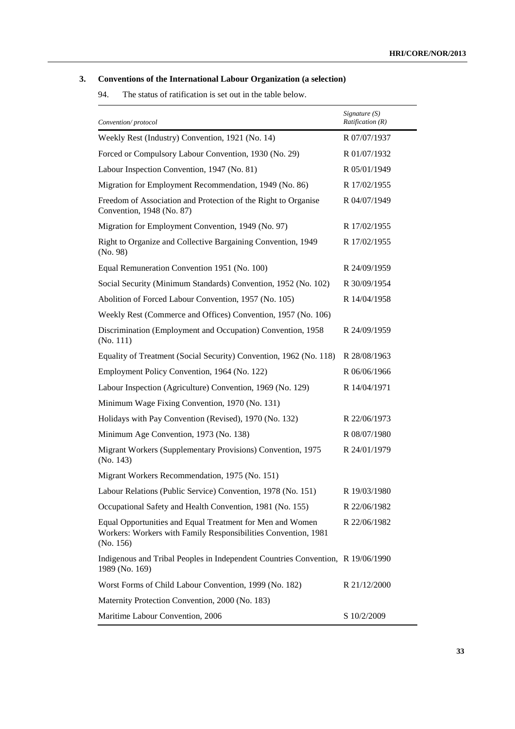### **3. Conventions of the International Labour Organization (a selection)**

| Convention/protocol                                                                                                                      | Signature (S)<br>Ratification(R) |
|------------------------------------------------------------------------------------------------------------------------------------------|----------------------------------|
| Weekly Rest (Industry) Convention, 1921 (No. 14)                                                                                         | R 07/07/1937                     |
| Forced or Compulsory Labour Convention, 1930 (No. 29)                                                                                    | R 01/07/1932                     |
| Labour Inspection Convention, 1947 (No. 81)                                                                                              | R 05/01/1949                     |
| Migration for Employment Recommendation, 1949 (No. 86)                                                                                   | R 17/02/1955                     |
| Freedom of Association and Protection of the Right to Organise<br>Convention, 1948 (No. 87)                                              | R 04/07/1949                     |
| Migration for Employment Convention, 1949 (No. 97)                                                                                       | R 17/02/1955                     |
| Right to Organize and Collective Bargaining Convention, 1949<br>(No. 98)                                                                 | R 17/02/1955                     |
| Equal Remuneration Convention 1951 (No. 100)                                                                                             | R 24/09/1959                     |
| Social Security (Minimum Standards) Convention, 1952 (No. 102)                                                                           | R 30/09/1954                     |
| Abolition of Forced Labour Convention, 1957 (No. 105)                                                                                    | R 14/04/1958                     |
| Weekly Rest (Commerce and Offices) Convention, 1957 (No. 106)                                                                            |                                  |
| Discrimination (Employment and Occupation) Convention, 1958<br>(No. 111)                                                                 | R 24/09/1959                     |
| Equality of Treatment (Social Security) Convention, 1962 (No. 118)                                                                       | R 28/08/1963                     |
| Employment Policy Convention, 1964 (No. 122)                                                                                             | R 06/06/1966                     |
| Labour Inspection (Agriculture) Convention, 1969 (No. 129)                                                                               | R 14/04/1971                     |
| Minimum Wage Fixing Convention, 1970 (No. 131)                                                                                           |                                  |
| Holidays with Pay Convention (Revised), 1970 (No. 132)                                                                                   | R 22/06/1973                     |
| Minimum Age Convention, 1973 (No. 138)                                                                                                   | R 08/07/1980                     |
| Migrant Workers (Supplementary Provisions) Convention, 1975<br>(No. 143)                                                                 | R 24/01/1979                     |
| Migrant Workers Recommendation, 1975 (No. 151)                                                                                           |                                  |
| Labour Relations (Public Service) Convention, 1978 (No. 151)                                                                             | R 19/03/1980                     |
| Occupational Safety and Health Convention, 1981 (No. 155)                                                                                | R 22/06/1982                     |
| Equal Opportunities and Equal Treatment for Men and Women<br>Workers: Workers with Family Responsibilities Convention, 1981<br>(No. 156) | R 22/06/1982                     |
| Indigenous and Tribal Peoples in Independent Countries Convention, R 19/06/1990<br>1989 (No. 169)                                        |                                  |
| Worst Forms of Child Labour Convention, 1999 (No. 182)                                                                                   | R 21/12/2000                     |
| Maternity Protection Convention, 2000 (No. 183)                                                                                          |                                  |
| Maritime Labour Convention, 2006                                                                                                         | S 10/2/2009                      |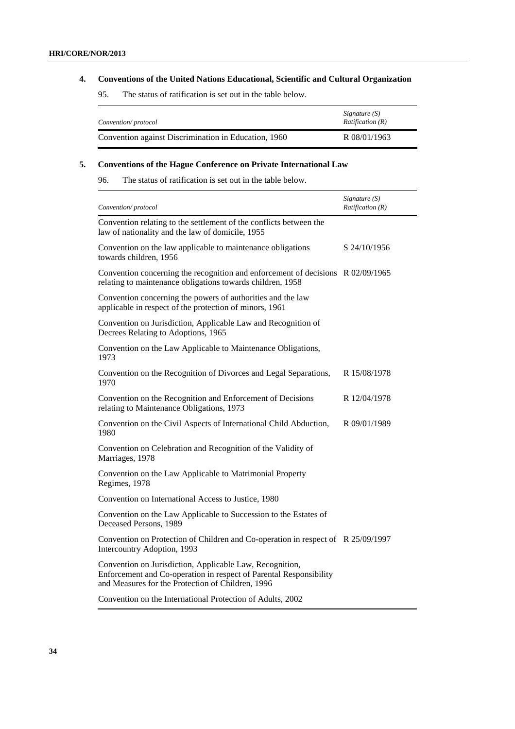### **4. Conventions of the United Nations Educational, Scientific and Cultural Organization**

95. The status of ratification is set out in the table below.

| Convention/protocol                                  | Signature (S)<br><i>Ratification (R)</i> |
|------------------------------------------------------|------------------------------------------|
| Convention against Discrimination in Education, 1960 | R 08/01/1963                             |

### **5. Conventions of the Hague Conference on Private International Law**

| Convention/protocol                                                                                                                                                                 | Signature (S)<br>Ratification (R) |
|-------------------------------------------------------------------------------------------------------------------------------------------------------------------------------------|-----------------------------------|
| Convention relating to the settlement of the conflicts between the<br>law of nationality and the law of domicile, 1955                                                              |                                   |
| Convention on the law applicable to maintenance obligations<br>towards children, 1956                                                                                               | S 24/10/1956                      |
| Convention concerning the recognition and enforcement of decisions R 02/09/1965<br>relating to maintenance obligations towards children, 1958                                       |                                   |
| Convention concerning the powers of authorities and the law<br>applicable in respect of the protection of minors, 1961                                                              |                                   |
| Convention on Jurisdiction, Applicable Law and Recognition of<br>Decrees Relating to Adoptions, 1965                                                                                |                                   |
| Convention on the Law Applicable to Maintenance Obligations,<br>1973                                                                                                                |                                   |
| Convention on the Recognition of Divorces and Legal Separations,<br>1970                                                                                                            | R 15/08/1978                      |
| Convention on the Recognition and Enforcement of Decisions<br>relating to Maintenance Obligations, 1973                                                                             | R 12/04/1978                      |
| Convention on the Civil Aspects of International Child Abduction,<br>1980                                                                                                           | R 09/01/1989                      |
| Convention on Celebration and Recognition of the Validity of<br>Marriages, 1978                                                                                                     |                                   |
| Convention on the Law Applicable to Matrimonial Property<br>Regimes, 1978                                                                                                           |                                   |
| Convention on International Access to Justice, 1980                                                                                                                                 |                                   |
| Convention on the Law Applicable to Succession to the Estates of<br>Deceased Persons, 1989                                                                                          |                                   |
| Convention on Protection of Children and Co-operation in respect of R 25/09/1997<br>Intercountry Adoption, 1993                                                                     |                                   |
| Convention on Jurisdiction, Applicable Law, Recognition,<br>Enforcement and Co-operation in respect of Parental Responsibility<br>and Measures for the Protection of Children, 1996 |                                   |
| Convention on the International Protection of Adults, 2002                                                                                                                          |                                   |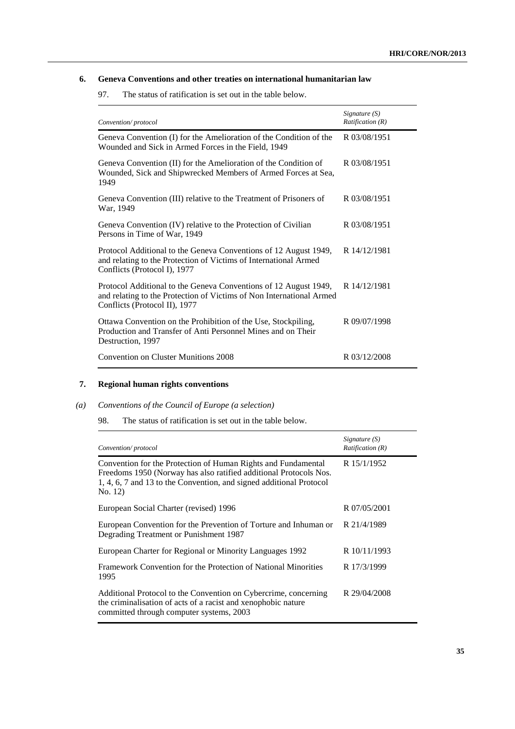### **6. Geneva Conventions and other treaties on international humanitarian law**

97. The status of ratification is set out in the table below.

| Convention/protocol                                                                                                                                                       | Signature $(S)$<br><i>Ratification</i> $(R)$ |
|---------------------------------------------------------------------------------------------------------------------------------------------------------------------------|----------------------------------------------|
| Geneva Convention (I) for the Amelioration of the Condition of the<br>Wounded and Sick in Armed Forces in the Field, 1949                                                 | R 03/08/1951                                 |
| Geneva Convention (II) for the Amelioration of the Condition of<br>Wounded, Sick and Shipwrecked Members of Armed Forces at Sea,<br>1949                                  | R 03/08/1951                                 |
| Geneva Convention (III) relative to the Treatment of Prisoners of<br>War, 1949                                                                                            | R 03/08/1951                                 |
| Geneva Convention (IV) relative to the Protection of Civilian<br>Persons in Time of War, 1949                                                                             | R 03/08/1951                                 |
| Protocol Additional to the Geneva Conventions of 12 August 1949,<br>and relating to the Protection of Victims of International Armed<br>Conflicts (Protocol I), 1977      | R 14/12/1981                                 |
| Protocol Additional to the Geneva Conventions of 12 August 1949,<br>and relating to the Protection of Victims of Non International Armed<br>Conflicts (Protocol II), 1977 | R 14/12/1981                                 |
| Ottawa Convention on the Prohibition of the Use, Stockpiling,<br>Production and Transfer of Anti Personnel Mines and on Their<br>Destruction, 1997                        | R 09/07/1998                                 |
| Convention on Cluster Munitions 2008                                                                                                                                      | R 03/12/2008                                 |

### **7. Regional human rights conventions**

### *(a) Conventions of the Council of Europe (a selection)*

| Convention/protocol                                                                                                                                                                                                  | Signature $(S)$<br>Ratification(R) |
|----------------------------------------------------------------------------------------------------------------------------------------------------------------------------------------------------------------------|------------------------------------|
| Convention for the Protection of Human Rights and Fundamental<br>Freedoms 1950 (Norway has also ratified additional Protocols Nos.<br>1, 4, 6, 7 and 13 to the Convention, and signed additional Protocol<br>No. 12) | R 15/1/1952                        |
| European Social Charter (revised) 1996                                                                                                                                                                               | R 07/05/2001                       |
| European Convention for the Prevention of Torture and Inhuman or<br>Degrading Treatment or Punishment 1987                                                                                                           | R 21/4/1989                        |
| European Charter for Regional or Minority Languages 1992                                                                                                                                                             | R 10/11/1993                       |
| Framework Convention for the Protection of National Minorities<br>1995                                                                                                                                               | R 17/3/1999                        |
| Additional Protocol to the Convention on Cybercrime, concerning<br>the criminalisation of acts of a racist and xenophobic nature<br>committed through computer systems, 2003                                         | R 29/04/2008                       |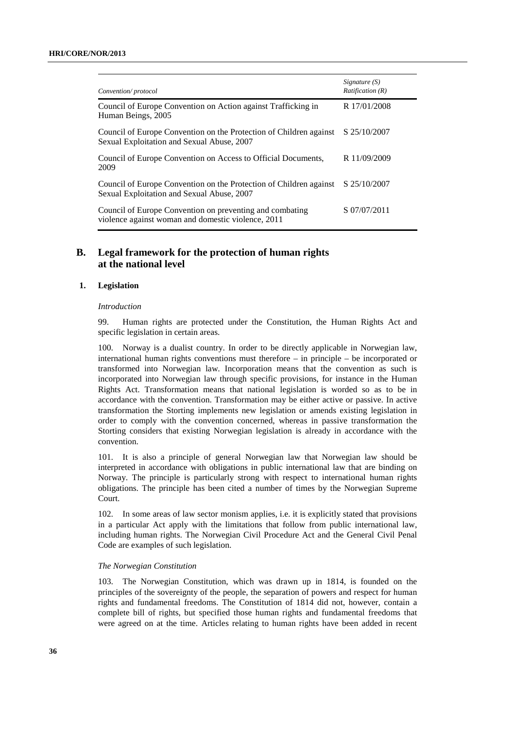| Convention/protocol                                                                                              | Signature $(S)$<br>Ratification (R) |
|------------------------------------------------------------------------------------------------------------------|-------------------------------------|
| Council of Europe Convention on Action against Trafficking in<br>Human Beings, 2005                              | R 17/01/2008                        |
| Council of Europe Convention on the Protection of Children against<br>Sexual Exploitation and Sexual Abuse, 2007 | S 25/10/2007                        |
| Council of Europe Convention on Access to Official Documents,<br>2009                                            | R 11/09/2009                        |
| Council of Europe Convention on the Protection of Children against<br>Sexual Exploitation and Sexual Abuse, 2007 | S 25/10/2007                        |
| Council of Europe Convention on preventing and combating<br>violence against woman and domestic violence, 2011   | S 07/07/2011                        |

### **B. Legal framework for the protection of human rights at the national level**

#### **1. Legislation**

#### *Introduction*

99. Human rights are protected under the Constitution, the Human Rights Act and specific legislation in certain areas.

100. Norway is a dualist country. In order to be directly applicable in Norwegian law, international human rights conventions must therefore – in principle – be incorporated or transformed into Norwegian law. Incorporation means that the convention as such is incorporated into Norwegian law through specific provisions, for instance in the Human Rights Act. Transformation means that national legislation is worded so as to be in accordance with the convention. Transformation may be either active or passive. In active transformation the Storting implements new legislation or amends existing legislation in order to comply with the convention concerned, whereas in passive transformation the Storting considers that existing Norwegian legislation is already in accordance with the convention.

101. It is also a principle of general Norwegian law that Norwegian law should be interpreted in accordance with obligations in public international law that are binding on Norway. The principle is particularly strong with respect to international human rights obligations. The principle has been cited a number of times by the Norwegian Supreme Court.

102. In some areas of law sector monism applies, i.e. it is explicitly stated that provisions in a particular Act apply with the limitations that follow from public international law, including human rights. The Norwegian Civil Procedure Act and the General Civil Penal Code are examples of such legislation.

#### *The Norwegian Constitution*

103. The Norwegian Constitution, which was drawn up in 1814, is founded on the principles of the sovereignty of the people, the separation of powers and respect for human rights and fundamental freedoms. The Constitution of 1814 did not, however, contain a complete bill of rights, but specified those human rights and fundamental freedoms that were agreed on at the time. Articles relating to human rights have been added in recent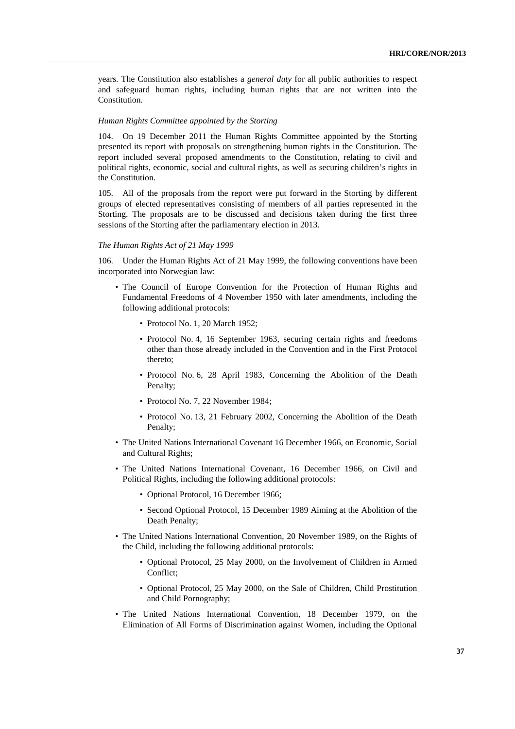years. The Constitution also establishes a *general duty* for all public authorities to respect and safeguard human rights, including human rights that are not written into the Constitution.

#### *Human Rights Committee appointed by the Storting*

104. On 19 December 2011 the Human Rights Committee appointed by the Storting presented its report with proposals on strengthening human rights in the Constitution. The report included several proposed amendments to the Constitution, relating to civil and political rights, economic, social and cultural rights, as well as securing children's rights in the Constitution.

105. All of the proposals from the report were put forward in the Storting by different groups of elected representatives consisting of members of all parties represented in the Storting. The proposals are to be discussed and decisions taken during the first three sessions of the Storting after the parliamentary election in 2013.

#### *The Human Rights Act of 21 May 1999*

106. Under the Human Rights Act of 21 May 1999, the following conventions have been incorporated into Norwegian law:

- The Council of Europe Convention for the Protection of Human Rights and Fundamental Freedoms of 4 November 1950 with later amendments, including the following additional protocols:
	- Protocol No. 1, 20 March 1952;
	- Protocol No. 4, 16 September 1963, securing certain rights and freedoms other than those already included in the Convention and in the First Protocol thereto;
	- Protocol No. 6, 28 April 1983, Concerning the Abolition of the Death Penalty;
	- Protocol No. 7, 22 November 1984;
	- Protocol No. 13, 21 February 2002, Concerning the Abolition of the Death Penalty;
- The United Nations International Covenant 16 December 1966, on Economic, Social and Cultural Rights;
- The United Nations International Covenant, 16 December 1966, on Civil and Political Rights, including the following additional protocols:
	- Optional Protocol, 16 December 1966;
	- Second Optional Protocol, 15 December 1989 Aiming at the Abolition of the Death Penalty;
- The United Nations International Convention, 20 November 1989, on the Rights of the Child, including the following additional protocols:
	- Optional Protocol, 25 May 2000, on the Involvement of Children in Armed Conflict;
	- Optional Protocol, 25 May 2000, on the Sale of Children, Child Prostitution and Child Pornography;
- The United Nations International Convention, 18 December 1979, on the Elimination of All Forms of Discrimination against Women, including the Optional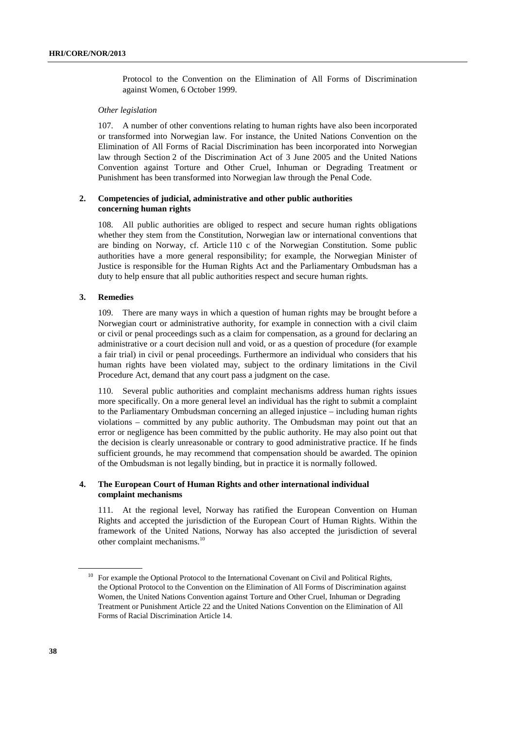Protocol to the Convention on the Elimination of All Forms of Discrimination against Women, 6 October 1999.

#### *Other legislation*

107. A number of other conventions relating to human rights have also been incorporated or transformed into Norwegian law. For instance, the United Nations Convention on the Elimination of All Forms of Racial Discrimination has been incorporated into Norwegian law through Section 2 of the Discrimination Act of 3 June 2005 and the United Nations Convention against Torture and Other Cruel, Inhuman or Degrading Treatment or Punishment has been transformed into Norwegian law through the Penal Code.

#### **2. Competencies of judicial, administrative and other public authorities concerning human rights**

108. All public authorities are obliged to respect and secure human rights obligations whether they stem from the Constitution, Norwegian law or international conventions that are binding on Norway, cf. Article 110 c of the Norwegian Constitution. Some public authorities have a more general responsibility; for example, the Norwegian Minister of Justice is responsible for the Human Rights Act and the Parliamentary Ombudsman has a duty to help ensure that all public authorities respect and secure human rights.

#### **3. Remedies**

109. There are many ways in which a question of human rights may be brought before a Norwegian court or administrative authority, for example in connection with a civil claim or civil or penal proceedings such as a claim for compensation, as a ground for declaring an administrative or a court decision null and void, or as a question of procedure (for example a fair trial) in civil or penal proceedings. Furthermore an individual who considers that his human rights have been violated may, subject to the ordinary limitations in the Civil Procedure Act, demand that any court pass a judgment on the case.

110. Several public authorities and complaint mechanisms address human rights issues more specifically. On a more general level an individual has the right to submit a complaint to the Parliamentary Ombudsman concerning an alleged injustice – including human rights violations – committed by any public authority. The Ombudsman may point out that an error or negligence has been committed by the public authority. He may also point out that the decision is clearly unreasonable or contrary to good administrative practice. If he finds sufficient grounds, he may recommend that compensation should be awarded. The opinion of the Ombudsman is not legally binding, but in practice it is normally followed.

### **4. The European Court of Human Rights and other international individual complaint mechanisms**

111. At the regional level, Norway has ratified the European Convention on Human Rights and accepted the jurisdiction of the European Court of Human Rights. Within the framework of the United Nations, Norway has also accepted the jurisdiction of several other complaint mechanisms.10

<sup>&</sup>lt;sup>10</sup> For example the Optional Protocol to the International Covenant on Civil and Political Rights, the Optional Protocol to the Convention on the Elimination of All Forms of Discrimination against Women, the United Nations Convention against Torture and Other Cruel, Inhuman or Degrading Treatment or Punishment Article 22 and the United Nations Convention on the Elimination of All Forms of Racial Discrimination Article 14.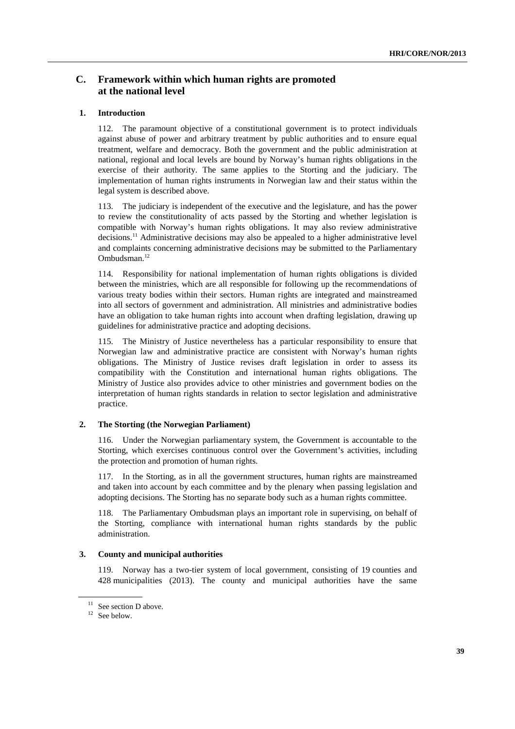### **C. Framework within which human rights are promoted at the national level**

### **1. Introduction**

112. The paramount objective of a constitutional government is to protect individuals against abuse of power and arbitrary treatment by public authorities and to ensure equal treatment, welfare and democracy. Both the government and the public administration at national, regional and local levels are bound by Norway's human rights obligations in the exercise of their authority. The same applies to the Storting and the judiciary. The implementation of human rights instruments in Norwegian law and their status within the legal system is described above.

113. The judiciary is independent of the executive and the legislature, and has the power to review the constitutionality of acts passed by the Storting and whether legislation is compatible with Norway's human rights obligations. It may also review administrative decisions.<sup>11</sup> Administrative decisions may also be appealed to a higher administrative level and complaints concerning administrative decisions may be submitted to the Parliamentary Ombudsman.12

114. Responsibility for national implementation of human rights obligations is divided between the ministries, which are all responsible for following up the recommendations of various treaty bodies within their sectors. Human rights are integrated and mainstreamed into all sectors of government and administration. All ministries and administrative bodies have an obligation to take human rights into account when drafting legislation, drawing up guidelines for administrative practice and adopting decisions.

115. The Ministry of Justice nevertheless has a particular responsibility to ensure that Norwegian law and administrative practice are consistent with Norway's human rights obligations. The Ministry of Justice revises draft legislation in order to assess its compatibility with the Constitution and international human rights obligations. The Ministry of Justice also provides advice to other ministries and government bodies on the interpretation of human rights standards in relation to sector legislation and administrative practice.

#### **2. The Storting (the Norwegian Parliament)**

116. Under the Norwegian parliamentary system, the Government is accountable to the Storting, which exercises continuous control over the Government's activities, including the protection and promotion of human rights.

117. In the Storting, as in all the government structures, human rights are mainstreamed and taken into account by each committee and by the plenary when passing legislation and adopting decisions. The Storting has no separate body such as a human rights committee.

118. The Parliamentary Ombudsman plays an important role in supervising, on behalf of the Storting, compliance with international human rights standards by the public administration.

#### **3. County and municipal authorities**

119. Norway has a two-tier system of local government, consisting of 19 counties and 428 municipalities (2013). The county and municipal authorities have the same

<sup>&</sup>lt;sup>11</sup> See section D above.

<sup>&</sup>lt;sup>12</sup> See below.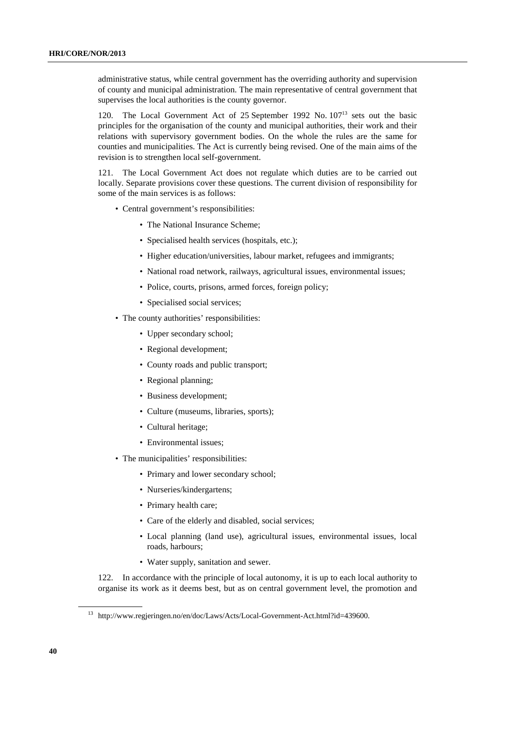administrative status, while central government has the overriding authority and supervision of county and municipal administration. The main representative of central government that supervises the local authorities is the county governor.

120. The Local Government Act of 25 September 1992 No. 10713 sets out the basic principles for the organisation of the county and municipal authorities, their work and their relations with supervisory government bodies. On the whole the rules are the same for counties and municipalities. The Act is currently being revised. One of the main aims of the revision is to strengthen local self-government.

121. The Local Government Act does not regulate which duties are to be carried out locally. Separate provisions cover these questions. The current division of responsibility for some of the main services is as follows:

- Central government's responsibilities:
	- The National Insurance Scheme:
	- Specialised health services (hospitals, etc.);
	- Higher education/universities, labour market, refugees and immigrants;
	- National road network, railways, agricultural issues, environmental issues;
	- Police, courts, prisons, armed forces, foreign policy;
	- Specialised social services:
- The county authorities' responsibilities:
	- Upper secondary school;
	- Regional development;
	- County roads and public transport;
	- Regional planning;
	- Business development;
	- Culture (museums, libraries, sports);
	- Cultural heritage;
	- Environmental issues;
- The municipalities' responsibilities:
	- Primary and lower secondary school;
	- Nurseries/kindergartens;
	- Primary health care;
	- Care of the elderly and disabled, social services;
	- Local planning (land use), agricultural issues, environmental issues, local roads, harbours;
	- Water supply, sanitation and sewer.

122. In accordance with the principle of local autonomy, it is up to each local authority to organise its work as it deems best, but as on central government level, the promotion and

<sup>13</sup> http://www.regjeringen.no/en/doc/Laws/Acts/Local-Government-Act.html?id=439600.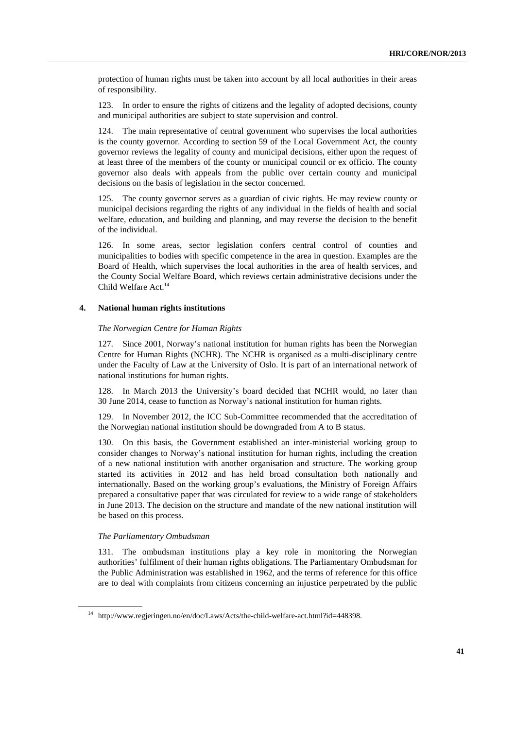protection of human rights must be taken into account by all local authorities in their areas of responsibility.

123. In order to ensure the rights of citizens and the legality of adopted decisions, county and municipal authorities are subject to state supervision and control.

124. The main representative of central government who supervises the local authorities is the county governor. According to section 59 of the Local Government Act, the county governor reviews the legality of county and municipal decisions, either upon the request of at least three of the members of the county or municipal council or ex officio. The county governor also deals with appeals from the public over certain county and municipal decisions on the basis of legislation in the sector concerned.

125. The county governor serves as a guardian of civic rights. He may review county or municipal decisions regarding the rights of any individual in the fields of health and social welfare, education, and building and planning, and may reverse the decision to the benefit of the individual.

126. In some areas, sector legislation confers central control of counties and municipalities to bodies with specific competence in the area in question. Examples are the Board of Health, which supervises the local authorities in the area of health services, and the County Social Welfare Board, which reviews certain administrative decisions under the Child Welfare Act.<sup>14</sup>

#### **4. National human rights institutions**

#### *The Norwegian Centre for Human Rights*

127. Since 2001, Norway's national institution for human rights has been the Norwegian Centre for Human Rights (NCHR). The NCHR is organised as a multi-disciplinary centre under the Faculty of Law at the University of Oslo. It is part of an international network of national institutions for human rights.

128. In March 2013 the University's board decided that NCHR would, no later than 30 June 2014, cease to function as Norway's national institution for human rights.

129. In November 2012, the ICC Sub-Committee recommended that the accreditation of the Norwegian national institution should be downgraded from A to B status.

130. On this basis, the Government established an inter-ministerial working group to consider changes to Norway's national institution for human rights, including the creation of a new national institution with another organisation and structure. The working group started its activities in 2012 and has held broad consultation both nationally and internationally. Based on the working group's evaluations, the Ministry of Foreign Affairs prepared a consultative paper that was circulated for review to a wide range of stakeholders in June 2013. The decision on the structure and mandate of the new national institution will be based on this process.

#### *The Parliamentary Ombudsman*

131. The ombudsman institutions play a key role in monitoring the Norwegian authorities' fulfilment of their human rights obligations. The Parliamentary Ombudsman for the Public Administration was established in 1962, and the terms of reference for this office are to deal with complaints from citizens concerning an injustice perpetrated by the public

<sup>14</sup> http://www.regjeringen.no/en/doc/Laws/Acts/the-child-welfare-act.html?id=448398.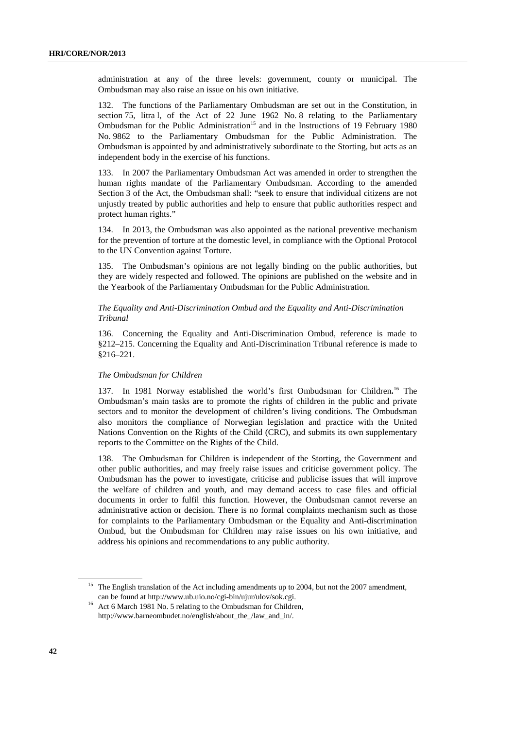administration at any of the three levels: government, county or municipal. The Ombudsman may also raise an issue on his own initiative.

132. The functions of the Parliamentary Ombudsman are set out in the Constitution, in section 75, litra l, of the Act of 22 June 1962 No. 8 relating to the Parliamentary Ombudsman for the Public Administration<sup>15</sup> and in the Instructions of 19 February 1980 No. 9862 to the Parliamentary Ombudsman for the Public Administration. The Ombudsman is appointed by and administratively subordinate to the Storting, but acts as an independent body in the exercise of his functions.

133. In 2007 the Parliamentary Ombudsman Act was amended in order to strengthen the human rights mandate of the Parliamentary Ombudsman. According to the amended Section 3 of the Act, the Ombudsman shall: "seek to ensure that individual citizens are not unjustly treated by public authorities and help to ensure that public authorities respect and protect human rights."

134. In 2013, the Ombudsman was also appointed as the national preventive mechanism for the prevention of torture at the domestic level, in compliance with the Optional Protocol to the UN Convention against Torture.

135. The Ombudsman's opinions are not legally binding on the public authorities, but they are widely respected and followed. The opinions are published on the website and in the Yearbook of the Parliamentary Ombudsman for the Public Administration.

#### *The Equality and Anti-Discrimination Ombud and the Equality and Anti-Discrimination Tribunal*

136. Concerning the Equality and Anti-Discrimination Ombud, reference is made to §212–215. Concerning the Equality and Anti-Discrimination Tribunal reference is made to §216–221.

### *The Ombudsman for Children*

137. In 1981 Norway established the world's first Ombudsman for Children.<sup>16</sup> The Ombudsman's main tasks are to promote the rights of children in the public and private sectors and to monitor the development of children's living conditions. The Ombudsman also monitors the compliance of Norwegian legislation and practice with the United Nations Convention on the Rights of the Child (CRC), and submits its own supplementary reports to the Committee on the Rights of the Child.

138. The Ombudsman for Children is independent of the Storting, the Government and other public authorities, and may freely raise issues and criticise government policy. The Ombudsman has the power to investigate, criticise and publicise issues that will improve the welfare of children and youth, and may demand access to case files and official documents in order to fulfil this function. However, the Ombudsman cannot reverse an administrative action or decision. There is no formal complaints mechanism such as those for complaints to the Parliamentary Ombudsman or the Equality and Anti-discrimination Ombud, but the Ombudsman for Children may raise issues on his own initiative, and address his opinions and recommendations to any public authority.

<sup>&</sup>lt;sup>15</sup> The English translation of the Act including amendments up to 2004, but not the 2007 amendment,

can be found at http://www.ub.uio.no/cgi-bin/ujur/ulov/sok.cgi. 16 Act 6 March 1981 No. 5 relating to the Ombudsman for Children, http://www.barneombudet.no/english/about\_the\_/law\_and\_in/.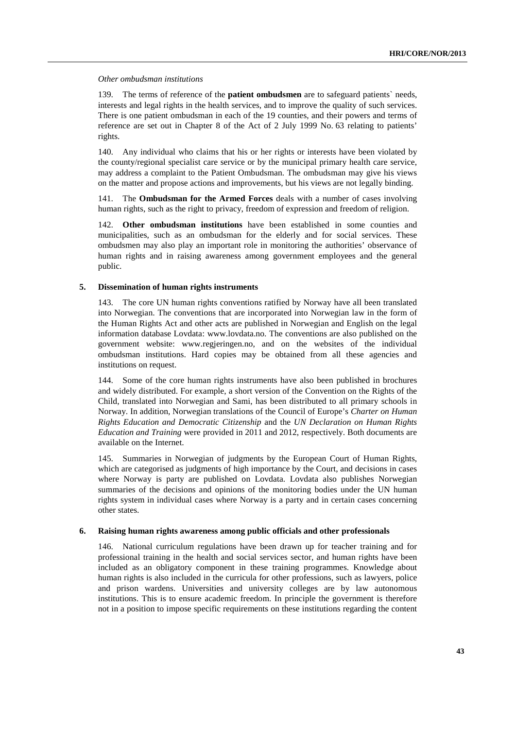#### *Other ombudsman institutions*

139. The terms of reference of the **patient ombudsmen** are to safeguard patients` needs, interests and legal rights in the health services, and to improve the quality of such services. There is one patient ombudsman in each of the 19 counties, and their powers and terms of reference are set out in Chapter 8 of the Act of 2 July 1999 No. 63 relating to patients' rights.

140. Any individual who claims that his or her rights or interests have been violated by the county/regional specialist care service or by the municipal primary health care service, may address a complaint to the Patient Ombudsman. The ombudsman may give his views on the matter and propose actions and improvements, but his views are not legally binding.

141. The **Ombudsman for the Armed Forces** deals with a number of cases involving human rights, such as the right to privacy, freedom of expression and freedom of religion.

142. **Other ombudsman institutions** have been established in some counties and municipalities, such as an ombudsman for the elderly and for social services. These ombudsmen may also play an important role in monitoring the authorities' observance of human rights and in raising awareness among government employees and the general public.

#### **5. Dissemination of human rights instruments**

143. The core UN human rights conventions ratified by Norway have all been translated into Norwegian. The conventions that are incorporated into Norwegian law in the form of the Human Rights Act and other acts are published in Norwegian and English on the legal information database Lovdata: www.lovdata.no. The conventions are also published on the government website: www.regjeringen.no, and on the websites of the individual ombudsman institutions. Hard copies may be obtained from all these agencies and institutions on request.

144. Some of the core human rights instruments have also been published in brochures and widely distributed. For example, a short version of the Convention on the Rights of the Child, translated into Norwegian and Sami, has been distributed to all primary schools in Norway. In addition, Norwegian translations of the Council of Europe's *Charter on Human Rights Education and Democratic Citizenship* and the *UN Declaration on Human Rights Education and Training* were provided in 2011 and 2012, respectively. Both documents are available on the Internet.

145. Summaries in Norwegian of judgments by the European Court of Human Rights, which are categorised as judgments of high importance by the Court, and decisions in cases where Norway is party are published on Lovdata. Lovdata also publishes Norwegian summaries of the decisions and opinions of the monitoring bodies under the UN human rights system in individual cases where Norway is a party and in certain cases concerning other states.

#### **6. Raising human rights awareness among public officials and other professionals**

146. National curriculum regulations have been drawn up for teacher training and for professional training in the health and social services sector, and human rights have been included as an obligatory component in these training programmes. Knowledge about human rights is also included in the curricula for other professions, such as lawyers, police and prison wardens. Universities and university colleges are by law autonomous institutions. This is to ensure academic freedom. In principle the government is therefore not in a position to impose specific requirements on these institutions regarding the content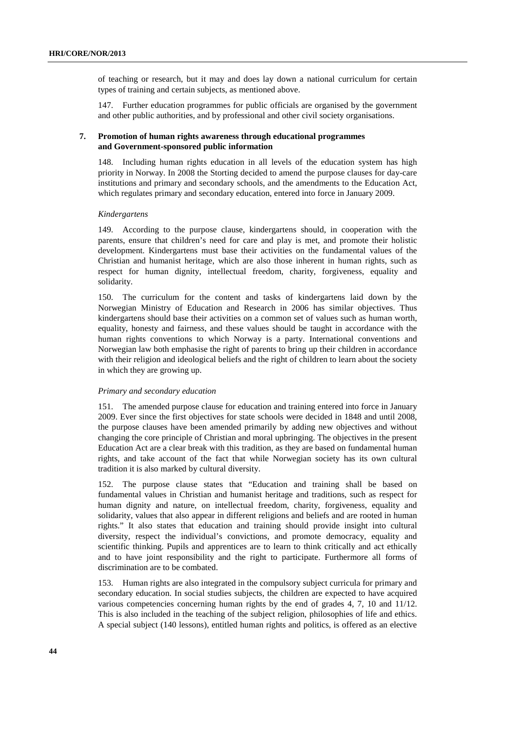of teaching or research, but it may and does lay down a national curriculum for certain types of training and certain subjects, as mentioned above.

147. Further education programmes for public officials are organised by the government and other public authorities, and by professional and other civil society organisations.

#### **7. Promotion of human rights awareness through educational programmes and Government-sponsored public information**

148. Including human rights education in all levels of the education system has high priority in Norway. In 2008 the Storting decided to amend the purpose clauses for day-care institutions and primary and secondary schools, and the amendments to the Education Act, which regulates primary and secondary education, entered into force in January 2009.

#### *Kindergartens*

149. According to the purpose clause, kindergartens should, in cooperation with the parents, ensure that children's need for care and play is met, and promote their holistic development. Kindergartens must base their activities on the fundamental values of the Christian and humanist heritage, which are also those inherent in human rights, such as respect for human dignity, intellectual freedom, charity, forgiveness, equality and solidarity.

150. The curriculum for the content and tasks of kindergartens laid down by the Norwegian Ministry of Education and Research in 2006 has similar objectives. Thus kindergartens should base their activities on a common set of values such as human worth, equality, honesty and fairness, and these values should be taught in accordance with the human rights conventions to which Norway is a party. International conventions and Norwegian law both emphasise the right of parents to bring up their children in accordance with their religion and ideological beliefs and the right of children to learn about the society in which they are growing up.

#### *Primary and secondary education*

151. The amended purpose clause for education and training entered into force in January 2009. Ever since the first objectives for state schools were decided in 1848 and until 2008, the purpose clauses have been amended primarily by adding new objectives and without changing the core principle of Christian and moral upbringing. The objectives in the present Education Act are a clear break with this tradition, as they are based on fundamental human rights, and take account of the fact that while Norwegian society has its own cultural tradition it is also marked by cultural diversity.

152. The purpose clause states that "Education and training shall be based on fundamental values in Christian and humanist heritage and traditions, such as respect for human dignity and nature, on intellectual freedom, charity, forgiveness, equality and solidarity, values that also appear in different religions and beliefs and are rooted in human rights." It also states that education and training should provide insight into cultural diversity, respect the individual's convictions, and promote democracy, equality and scientific thinking. Pupils and apprentices are to learn to think critically and act ethically and to have joint responsibility and the right to participate. Furthermore all forms of discrimination are to be combated.

153. Human rights are also integrated in the compulsory subject curricula for primary and secondary education. In social studies subjects, the children are expected to have acquired various competencies concerning human rights by the end of grades 4, 7, 10 and 11/12. This is also included in the teaching of the subject religion, philosophies of life and ethics. A special subject (140 lessons), entitled human rights and politics, is offered as an elective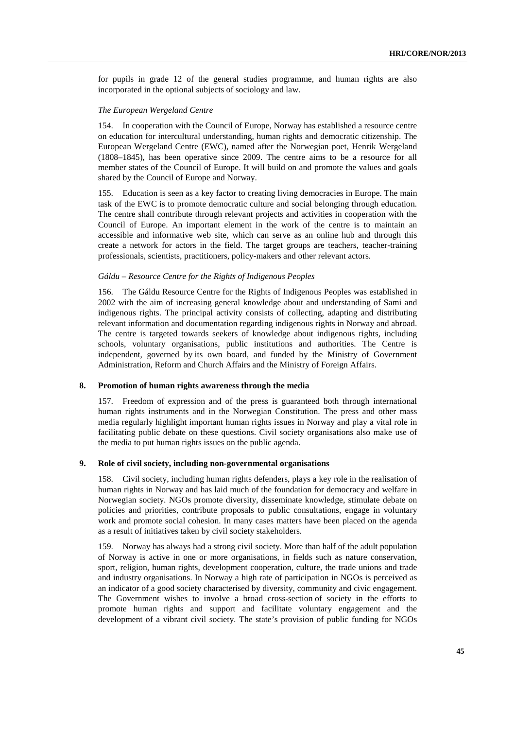for pupils in grade 12 of the general studies programme, and human rights are also incorporated in the optional subjects of sociology and law.

### *The European Wergeland Centre*

154. In cooperation with the Council of Europe, Norway has established a resource centre on education for intercultural understanding, human rights and democratic citizenship. The European Wergeland Centre (EWC), named after the Norwegian poet, Henrik Wergeland (1808–1845), has been operative since 2009. The centre aims to be a resource for all member states of the Council of Europe. It will build on and promote the values and goals shared by the Council of Europe and Norway.

155. Education is seen as a key factor to creating living democracies in Europe. The main task of the EWC is to promote democratic culture and social belonging through education. The centre shall contribute through relevant projects and activities in cooperation with the Council of Europe. An important element in the work of the centre is to maintain an accessible and informative web site, which can serve as an online hub and through this create a network for actors in the field. The target groups are teachers, teacher-training professionals, scientists, practitioners, policy-makers and other relevant actors.

#### *Gáldu – Resource Centre for the Rights of Indigenous Peoples*

156. The Gáldu Resource Centre for the Rights of Indigenous Peoples was established in 2002 with the aim of increasing general knowledge about and understanding of Sami and indigenous rights. The principal activity consists of collecting, adapting and distributing relevant information and documentation regarding indigenous rights in Norway and abroad. The centre is targeted towards seekers of knowledge about indigenous rights, including schools, voluntary organisations, public institutions and authorities. The Centre is independent, governed by its own board, and funded by the Ministry of Government Administration, Reform and Church Affairs and the Ministry of Foreign Affairs.

#### **8. Promotion of human rights awareness through the media**

157. Freedom of expression and of the press is guaranteed both through international human rights instruments and in the Norwegian Constitution. The press and other mass media regularly highlight important human rights issues in Norway and play a vital role in facilitating public debate on these questions. Civil society organisations also make use of the media to put human rights issues on the public agenda.

#### **9. Role of civil society, including non-governmental organisations**

158. Civil society, including human rights defenders, plays a key role in the realisation of human rights in Norway and has laid much of the foundation for democracy and welfare in Norwegian society. NGOs promote diversity, disseminate knowledge, stimulate debate on policies and priorities, contribute proposals to public consultations, engage in voluntary work and promote social cohesion. In many cases matters have been placed on the agenda as a result of initiatives taken by civil society stakeholders.

159. Norway has always had a strong civil society. More than half of the adult population of Norway is active in one or more organisations, in fields such as nature conservation, sport, religion, human rights, development cooperation, culture, the trade unions and trade and industry organisations. In Norway a high rate of participation in NGOs is perceived as an indicator of a good society characterised by diversity, community and civic engagement. The Government wishes to involve a broad cross-section of society in the efforts to promote human rights and support and facilitate voluntary engagement and the development of a vibrant civil society. The state's provision of public funding for NGOs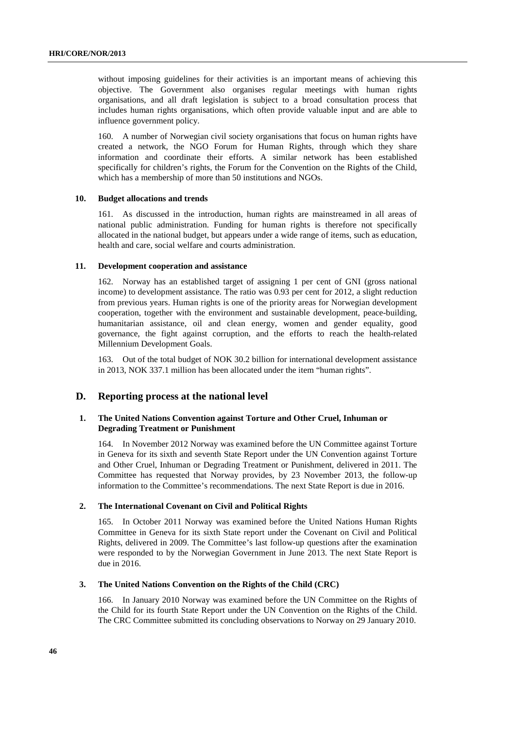without imposing guidelines for their activities is an important means of achieving this objective. The Government also organises regular meetings with human rights organisations, and all draft legislation is subject to a broad consultation process that includes human rights organisations, which often provide valuable input and are able to influence government policy.

160. A number of Norwegian civil society organisations that focus on human rights have created a network, the NGO Forum for Human Rights, through which they share information and coordinate their efforts. A similar network has been established specifically for children's rights, the Forum for the Convention on the Rights of the Child, which has a membership of more than 50 institutions and NGOs.

#### **10. Budget allocations and trends**

161. As discussed in the introduction, human rights are mainstreamed in all areas of national public administration. Funding for human rights is therefore not specifically allocated in the national budget, but appears under a wide range of items, such as education, health and care, social welfare and courts administration.

#### **11. Development cooperation and assistance**

162. Norway has an established target of assigning 1 per cent of GNI (gross national income) to development assistance. The ratio was 0.93 per cent for 2012, a slight reduction from previous years. Human rights is one of the priority areas for Norwegian development cooperation, together with the environment and sustainable development, peace-building, humanitarian assistance, oil and clean energy, women and gender equality, good governance, the fight against corruption, and the efforts to reach the health-related Millennium Development Goals.

163. Out of the total budget of NOK 30.2 billion for international development assistance in 2013, NOK 337.1 million has been allocated under the item "human rights".

#### **D. Reporting process at the national level**

#### **1. The United Nations Convention against Torture and Other Cruel, Inhuman or Degrading Treatment or Punishment**

164. In November 2012 Norway was examined before the UN Committee against Torture in Geneva for its sixth and seventh State Report under the UN Convention against Torture and Other Cruel, Inhuman or Degrading Treatment or Punishment, delivered in 2011. The Committee has requested that Norway provides, by 23 November 2013, the follow-up information to the Committee's recommendations. The next State Report is due in 2016.

### **2. The International Covenant on Civil and Political Rights**

165. In October 2011 Norway was examined before the United Nations Human Rights Committee in Geneva for its sixth State report under the Covenant on Civil and Political Rights, delivered in 2009. The Committee's last follow-up questions after the examination were responded to by the Norwegian Government in June 2013. The next State Report is due in 2016.

#### **3. The United Nations Convention on the Rights of the Child (CRC)**

166. In January 2010 Norway was examined before the UN Committee on the Rights of the Child for its fourth State Report under the UN Convention on the Rights of the Child. The CRC Committee submitted its concluding observations to Norway on 29 January 2010.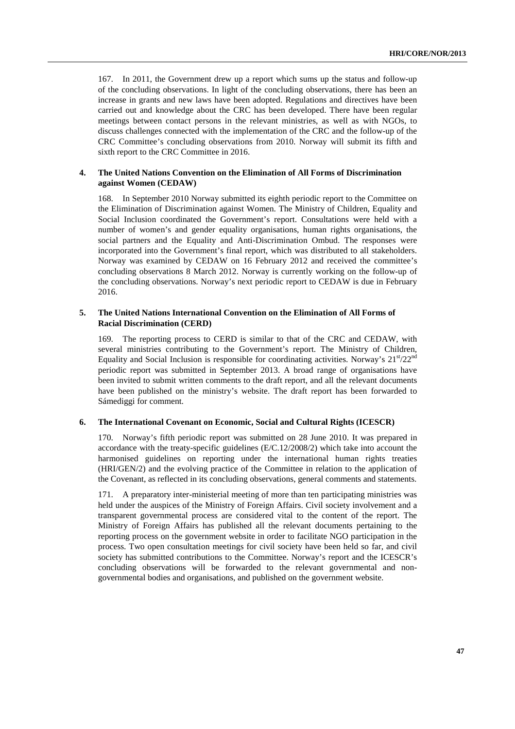167. In 2011, the Government drew up a report which sums up the status and follow-up of the concluding observations. In light of the concluding observations, there has been an increase in grants and new laws have been adopted. Regulations and directives have been carried out and knowledge about the CRC has been developed. There have been regular meetings between contact persons in the relevant ministries, as well as with NGOs, to discuss challenges connected with the implementation of the CRC and the follow-up of the CRC Committee's concluding observations from 2010. Norway will submit its fifth and sixth report to the CRC Committee in 2016.

#### **4. The United Nations Convention on the Elimination of All Forms of Discrimination against Women (CEDAW)**

168. In September 2010 Norway submitted its eighth periodic report to the Committee on the Elimination of Discrimination against Women. The Ministry of Children, Equality and Social Inclusion coordinated the Government's report. Consultations were held with a number of women's and gender equality organisations, human rights organisations, the social partners and the Equality and Anti-Discrimination Ombud. The responses were incorporated into the Government's final report, which was distributed to all stakeholders. Norway was examined by CEDAW on 16 February 2012 and received the committee's concluding observations 8 March 2012. Norway is currently working on the follow-up of the concluding observations. Norway's next periodic report to CEDAW is due in February 2016.

#### **5. The United Nations International Convention on the Elimination of All Forms of Racial Discrimination (CERD)**

169. The reporting process to CERD is similar to that of the CRC and CEDAW, with several ministries contributing to the Government's report. The Ministry of Children, Equality and Social Inclusion is responsible for coordinating activities. Norway's  $21<sup>st</sup>/22<sup>nd</sup>$ periodic report was submitted in September 2013. A broad range of organisations have been invited to submit written comments to the draft report, and all the relevant documents have been published on the ministry's website. The draft report has been forwarded to Sámediggi for comment.

#### **6. The International Covenant on Economic, Social and Cultural Rights (ICESCR)**

170. Norway's fifth periodic report was submitted on 28 June 2010. It was prepared in accordance with the treaty-specific guidelines (E/C.12/2008/2) which take into account the harmonised guidelines on reporting under the international human rights treaties (HRI/GEN/2) and the evolving practice of the Committee in relation to the application of the Covenant, as reflected in its concluding observations, general comments and statements.

171. A preparatory inter-ministerial meeting of more than ten participating ministries was held under the auspices of the Ministry of Foreign Affairs. Civil society involvement and a transparent governmental process are considered vital to the content of the report. The Ministry of Foreign Affairs has published all the relevant documents pertaining to the reporting process on the government website in order to facilitate NGO participation in the process. Two open consultation meetings for civil society have been held so far, and civil society has submitted contributions to the Committee. Norway's report and the ICESCR's concluding observations will be forwarded to the relevant governmental and nongovernmental bodies and organisations, and published on the government website.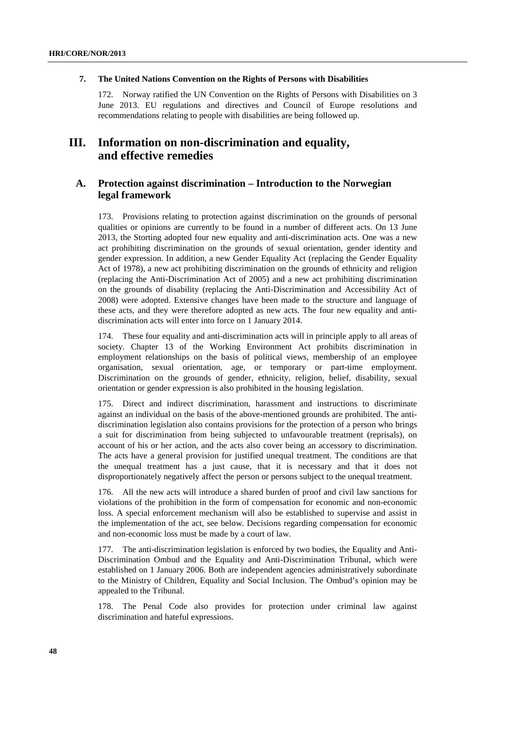#### **7. The United Nations Convention on the Rights of Persons with Disabilities**

172. Norway ratified the UN Convention on the Rights of Persons with Disabilities on 3 June 2013. EU regulations and directives and Council of Europe resolutions and recommendations relating to people with disabilities are being followed up.

# **III. Information on non-discrimination and equality, and effective remedies**

### **A. Protection against discrimination – Introduction to the Norwegian legal framework**

173. Provisions relating to protection against discrimination on the grounds of personal qualities or opinions are currently to be found in a number of different acts. On 13 June 2013, the Storting adopted four new equality and anti-discrimination acts. One was a new act prohibiting discrimination on the grounds of sexual orientation, gender identity and gender expression. In addition, a new Gender Equality Act (replacing the Gender Equality Act of 1978), a new act prohibiting discrimination on the grounds of ethnicity and religion (replacing the Anti-Discrimination Act of 2005) and a new act prohibiting discrimination on the grounds of disability (replacing the Anti-Discrimination and Accessibility Act of 2008) were adopted. Extensive changes have been made to the structure and language of these acts, and they were therefore adopted as new acts. The four new equality and antidiscrimination acts will enter into force on 1 January 2014.

174. These four equality and anti-discrimination acts will in principle apply to all areas of society. Chapter 13 of the Working Environment Act prohibits discrimination in employment relationships on the basis of political views, membership of an employee organisation, sexual orientation, age, or temporary or part-time employment. Discrimination on the grounds of gender, ethnicity, religion, belief, disability, sexual orientation or gender expression is also prohibited in the housing legislation.

175. Direct and indirect discrimination, harassment and instructions to discriminate against an individual on the basis of the above-mentioned grounds are prohibited. The antidiscrimination legislation also contains provisions for the protection of a person who brings a suit for discrimination from being subjected to unfavourable treatment (reprisals), on account of his or her action, and the acts also cover being an accessory to discrimination. The acts have a general provision for justified unequal treatment. The conditions are that the unequal treatment has a just cause, that it is necessary and that it does not disproportionately negatively affect the person or persons subject to the unequal treatment.

176. All the new acts will introduce a shared burden of proof and civil law sanctions for violations of the prohibition in the form of compensation for economic and non-economic loss. A special enforcement mechanism will also be established to supervise and assist in the implementation of the act, see below. Decisions regarding compensation for economic and non-economic loss must be made by a court of law.

177. The anti-discrimination legislation is enforced by two bodies, the Equality and Anti-Discrimination Ombud and the Equality and Anti-Discrimination Tribunal, which were established on 1 January 2006. Both are independent agencies administratively subordinate to the Ministry of Children, Equality and Social Inclusion. The Ombud's opinion may be appealed to the Tribunal.

178. The Penal Code also provides for protection under criminal law against discrimination and hateful expressions.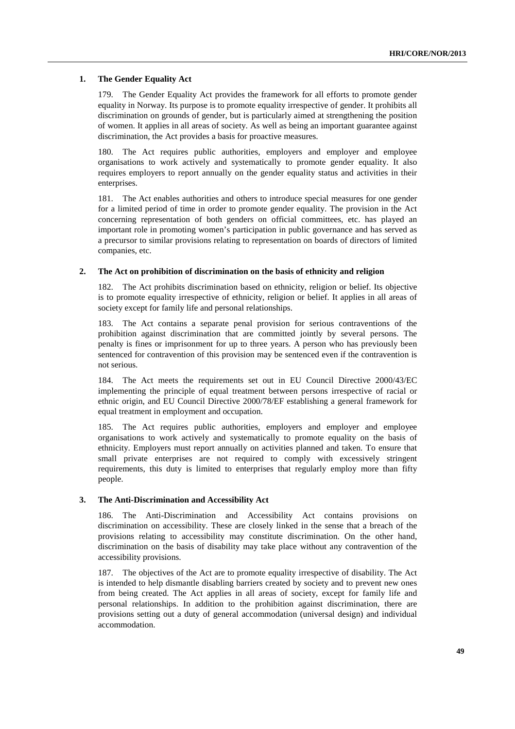#### **1. The Gender Equality Act**

179. The Gender Equality Act provides the framework for all efforts to promote gender equality in Norway. Its purpose is to promote equality irrespective of gender. It prohibits all discrimination on grounds of gender, but is particularly aimed at strengthening the position of women. It applies in all areas of society. As well as being an important guarantee against discrimination, the Act provides a basis for proactive measures.

180. The Act requires public authorities, employers and employer and employee organisations to work actively and systematically to promote gender equality. It also requires employers to report annually on the gender equality status and activities in their enterprises.

181. The Act enables authorities and others to introduce special measures for one gender for a limited period of time in order to promote gender equality. The provision in the Act concerning representation of both genders on official committees, etc. has played an important role in promoting women's participation in public governance and has served as a precursor to similar provisions relating to representation on boards of directors of limited companies, etc.

#### **2. The Act on prohibition of discrimination on the basis of ethnicity and religion**

182. The Act prohibits discrimination based on ethnicity, religion or belief. Its objective is to promote equality irrespective of ethnicity, religion or belief. It applies in all areas of society except for family life and personal relationships.

183. The Act contains a separate penal provision for serious contraventions of the prohibition against discrimination that are committed jointly by several persons. The penalty is fines or imprisonment for up to three years. A person who has previously been sentenced for contravention of this provision may be sentenced even if the contravention is not serious.

184. The Act meets the requirements set out in EU Council Directive 2000/43/EC implementing the principle of equal treatment between persons irrespective of racial or ethnic origin, and EU Council Directive 2000/78/EF establishing a general framework for equal treatment in employment and occupation.

185. The Act requires public authorities, employers and employer and employee organisations to work actively and systematically to promote equality on the basis of ethnicity. Employers must report annually on activities planned and taken. To ensure that small private enterprises are not required to comply with excessively stringent requirements, this duty is limited to enterprises that regularly employ more than fifty people.

#### **3. The Anti-Discrimination and Accessibility Act**

186. The Anti-Discrimination and Accessibility Act contains provisions on discrimination on accessibility. These are closely linked in the sense that a breach of the provisions relating to accessibility may constitute discrimination. On the other hand, discrimination on the basis of disability may take place without any contravention of the accessibility provisions.

187. The objectives of the Act are to promote equality irrespective of disability. The Act is intended to help dismantle disabling barriers created by society and to prevent new ones from being created. The Act applies in all areas of society, except for family life and personal relationships. In addition to the prohibition against discrimination, there are provisions setting out a duty of general accommodation (universal design) and individual accommodation.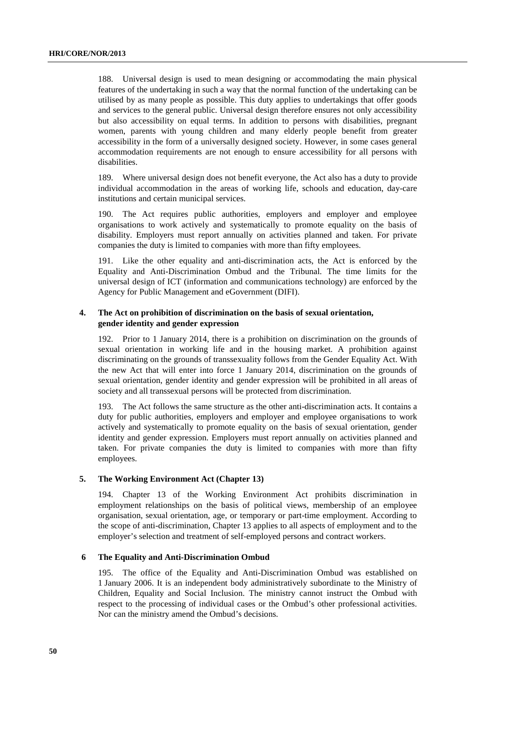188. Universal design is used to mean designing or accommodating the main physical features of the undertaking in such a way that the normal function of the undertaking can be utilised by as many people as possible. This duty applies to undertakings that offer goods and services to the general public. Universal design therefore ensures not only accessibility but also accessibility on equal terms. In addition to persons with disabilities, pregnant women, parents with young children and many elderly people benefit from greater accessibility in the form of a universally designed society. However, in some cases general accommodation requirements are not enough to ensure accessibility for all persons with disabilities.

189. Where universal design does not benefit everyone, the Act also has a duty to provide individual accommodation in the areas of working life, schools and education, day-care institutions and certain municipal services.

The Act requires public authorities, employers and employer and employee organisations to work actively and systematically to promote equality on the basis of disability. Employers must report annually on activities planned and taken. For private companies the duty is limited to companies with more than fifty employees.

191. Like the other equality and anti-discrimination acts, the Act is enforced by the Equality and Anti-Discrimination Ombud and the Tribunal. The time limits for the universal design of ICT (information and communications technology) are enforced by the Agency for Public Management and eGovernment (DIFI).

#### **4. The Act on prohibition of discrimination on the basis of sexual orientation, gender identity and gender expression**

192. Prior to 1 January 2014, there is a prohibition on discrimination on the grounds of sexual orientation in working life and in the housing market. A prohibition against discriminating on the grounds of transsexuality follows from the Gender Equality Act. With the new Act that will enter into force 1 January 2014, discrimination on the grounds of sexual orientation, gender identity and gender expression will be prohibited in all areas of society and all transsexual persons will be protected from discrimination.

193. The Act follows the same structure as the other anti-discrimination acts. It contains a duty for public authorities, employers and employer and employee organisations to work actively and systematically to promote equality on the basis of sexual orientation, gender identity and gender expression. Employers must report annually on activities planned and taken. For private companies the duty is limited to companies with more than fifty employees.

#### **5. The Working Environment Act (Chapter 13)**

194. Chapter 13 of the Working Environment Act prohibits discrimination in employment relationships on the basis of political views, membership of an employee organisation, sexual orientation, age, or temporary or part-time employment. According to the scope of anti-discrimination, Chapter 13 applies to all aspects of employment and to the employer's selection and treatment of self-employed persons and contract workers.

#### **6 The Equality and Anti-Discrimination Ombud**

195. The office of the Equality and Anti-Discrimination Ombud was established on 1 January 2006. It is an independent body administratively subordinate to the Ministry of Children, Equality and Social Inclusion. The ministry cannot instruct the Ombud with respect to the processing of individual cases or the Ombud's other professional activities. Nor can the ministry amend the Ombud's decisions.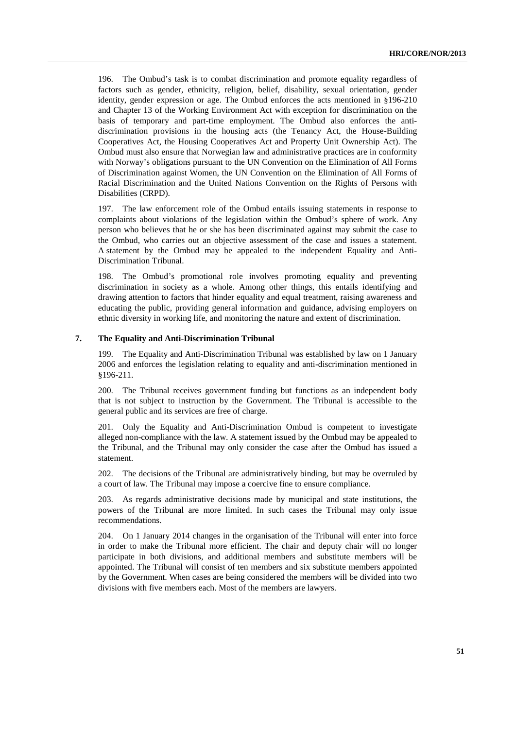196. The Ombud's task is to combat discrimination and promote equality regardless of factors such as gender, ethnicity, religion, belief, disability, sexual orientation, gender identity, gender expression or age. The Ombud enforces the acts mentioned in §196-210 and Chapter 13 of the Working Environment Act with exception for discrimination on the basis of temporary and part-time employment. The Ombud also enforces the antidiscrimination provisions in the housing acts (the Tenancy Act, the House-Building Cooperatives Act, the Housing Cooperatives Act and Property Unit Ownership Act). The Ombud must also ensure that Norwegian law and administrative practices are in conformity with Norway's obligations pursuant to the UN Convention on the Elimination of All Forms of Discrimination against Women, the UN Convention on the Elimination of All Forms of Racial Discrimination and the United Nations Convention on the Rights of Persons with Disabilities (CRPD).

197. The law enforcement role of the Ombud entails issuing statements in response to complaints about violations of the legislation within the Ombud's sphere of work. Any person who believes that he or she has been discriminated against may submit the case to the Ombud, who carries out an objective assessment of the case and issues a statement. A statement by the Ombud may be appealed to the independent Equality and Anti-Discrimination Tribunal.

198. The Ombud's promotional role involves promoting equality and preventing discrimination in society as a whole. Among other things, this entails identifying and drawing attention to factors that hinder equality and equal treatment, raising awareness and educating the public, providing general information and guidance, advising employers on ethnic diversity in working life, and monitoring the nature and extent of discrimination.

#### **7. The Equality and Anti-Discrimination Tribunal**

199. The Equality and Anti-Discrimination Tribunal was established by law on 1 January 2006 and enforces the legislation relating to equality and anti-discrimination mentioned in §196-211.

200. The Tribunal receives government funding but functions as an independent body that is not subject to instruction by the Government. The Tribunal is accessible to the general public and its services are free of charge.

201. Only the Equality and Anti-Discrimination Ombud is competent to investigate alleged non-compliance with the law. A statement issued by the Ombud may be appealed to the Tribunal, and the Tribunal may only consider the case after the Ombud has issued a statement.

202. The decisions of the Tribunal are administratively binding, but may be overruled by a court of law. The Tribunal may impose a coercive fine to ensure compliance.

203. As regards administrative decisions made by municipal and state institutions, the powers of the Tribunal are more limited. In such cases the Tribunal may only issue recommendations.

204. On 1 January 2014 changes in the organisation of the Tribunal will enter into force in order to make the Tribunal more efficient. The chair and deputy chair will no longer participate in both divisions, and additional members and substitute members will be appointed. The Tribunal will consist of ten members and six substitute members appointed by the Government. When cases are being considered the members will be divided into two divisions with five members each. Most of the members are lawyers.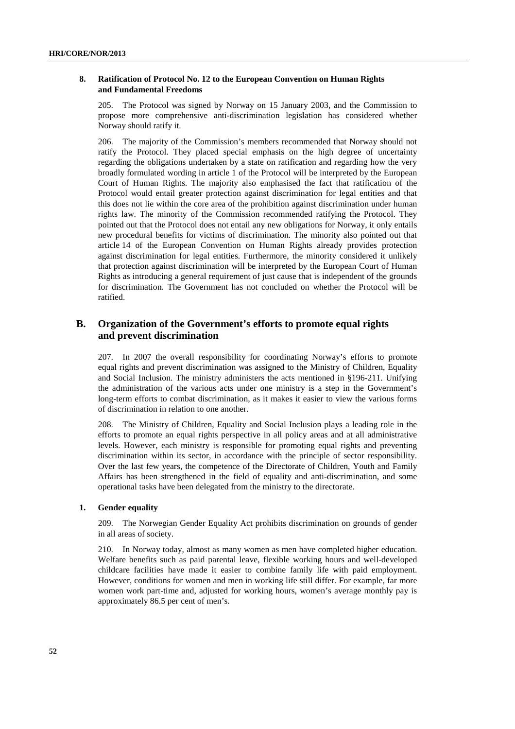#### **8. Ratification of Protocol No. 12 to the European Convention on Human Rights and Fundamental Freedoms**

205. The Protocol was signed by Norway on 15 January 2003, and the Commission to propose more comprehensive anti-discrimination legislation has considered whether Norway should ratify it.

206. The majority of the Commission's members recommended that Norway should not ratify the Protocol. They placed special emphasis on the high degree of uncertainty regarding the obligations undertaken by a state on ratification and regarding how the very broadly formulated wording in article 1 of the Protocol will be interpreted by the European Court of Human Rights. The majority also emphasised the fact that ratification of the Protocol would entail greater protection against discrimination for legal entities and that this does not lie within the core area of the prohibition against discrimination under human rights law. The minority of the Commission recommended ratifying the Protocol. They pointed out that the Protocol does not entail any new obligations for Norway, it only entails new procedural benefits for victims of discrimination. The minority also pointed out that article 14 of the European Convention on Human Rights already provides protection against discrimination for legal entities. Furthermore, the minority considered it unlikely that protection against discrimination will be interpreted by the European Court of Human Rights as introducing a general requirement of just cause that is independent of the grounds for discrimination. The Government has not concluded on whether the Protocol will be ratified.

### **B. Organization of the Government's efforts to promote equal rights and prevent discrimination**

207. In 2007 the overall responsibility for coordinating Norway's efforts to promote equal rights and prevent discrimination was assigned to the Ministry of Children, Equality and Social Inclusion. The ministry administers the acts mentioned in §196-211. Unifying the administration of the various acts under one ministry is a step in the Government's long-term efforts to combat discrimination, as it makes it easier to view the various forms of discrimination in relation to one another.

208. The Ministry of Children, Equality and Social Inclusion plays a leading role in the efforts to promote an equal rights perspective in all policy areas and at all administrative levels. However, each ministry is responsible for promoting equal rights and preventing discrimination within its sector, in accordance with the principle of sector responsibility. Over the last few years, the competence of the Directorate of Children, Youth and Family Affairs has been strengthened in the field of equality and anti-discrimination, and some operational tasks have been delegated from the ministry to the directorate.

#### **1. Gender equality**

209. The Norwegian Gender Equality Act prohibits discrimination on grounds of gender in all areas of society.

210. In Norway today, almost as many women as men have completed higher education. Welfare benefits such as paid parental leave, flexible working hours and well-developed childcare facilities have made it easier to combine family life with paid employment. However, conditions for women and men in working life still differ. For example, far more women work part-time and, adjusted for working hours, women's average monthly pay is approximately 86.5 per cent of men's.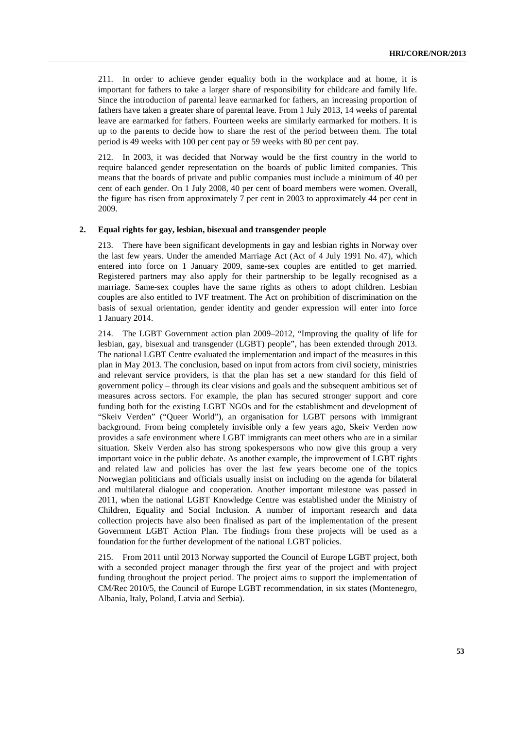211. In order to achieve gender equality both in the workplace and at home, it is important for fathers to take a larger share of responsibility for childcare and family life. Since the introduction of parental leave earmarked for fathers, an increasing proportion of fathers have taken a greater share of parental leave. From 1 July 2013, 14 weeks of parental leave are earmarked for fathers. Fourteen weeks are similarly earmarked for mothers. It is up to the parents to decide how to share the rest of the period between them. The total period is 49 weeks with 100 per cent pay or 59 weeks with 80 per cent pay.

212. In 2003, it was decided that Norway would be the first country in the world to require balanced gender representation on the boards of public limited companies. This means that the boards of private and public companies must include a minimum of 40 per cent of each gender. On 1 July 2008, 40 per cent of board members were women. Overall, the figure has risen from approximately 7 per cent in 2003 to approximately 44 per cent in 2009.

#### **2. Equal rights for gay, lesbian, bisexual and transgender people**

213. There have been significant developments in gay and lesbian rights in Norway over the last few years. Under the amended Marriage Act (Act of 4 July 1991 No. 47), which entered into force on 1 January 2009, same-sex couples are entitled to get married. Registered partners may also apply for their partnership to be legally recognised as a marriage. Same-sex couples have the same rights as others to adopt children. Lesbian couples are also entitled to IVF treatment. The Act on prohibition of discrimination on the basis of sexual orientation, gender identity and gender expression will enter into force 1 January 2014.

214. The LGBT Government action plan 2009–2012, "Improving the quality of life for lesbian, gay, bisexual and transgender (LGBT) people", has been extended through 2013. The national LGBT Centre evaluated the implementation and impact of the measures in this plan in May 2013. The conclusion, based on input from actors from civil society, ministries and relevant service providers, is that the plan has set a new standard for this field of government policy – through its clear visions and goals and the subsequent ambitious set of measures across sectors. For example, the plan has secured stronger support and core funding both for the existing LGBT NGOs and for the establishment and development of "Skeiv Verden" ("Queer World"), an organisation for LGBT persons with immigrant background. From being completely invisible only a few years ago, Skeiv Verden now provides a safe environment where LGBT immigrants can meet others who are in a similar situation. Skeiv Verden also has strong spokespersons who now give this group a very important voice in the public debate. As another example, the improvement of LGBT rights and related law and policies has over the last few years become one of the topics Norwegian politicians and officials usually insist on including on the agenda for bilateral and multilateral dialogue and cooperation. Another important milestone was passed in 2011, when the national LGBT Knowledge Centre was established under the Ministry of Children, Equality and Social Inclusion. A number of important research and data collection projects have also been finalised as part of the implementation of the present Government LGBT Action Plan. The findings from these projects will be used as a foundation for the further development of the national LGBT policies.

215. From 2011 until 2013 Norway supported the Council of Europe LGBT project, both with a seconded project manager through the first year of the project and with project funding throughout the project period. The project aims to support the implementation of CM/Rec 2010/5, the Council of Europe LGBT recommendation, in six states (Montenegro, Albania, Italy, Poland, Latvia and Serbia).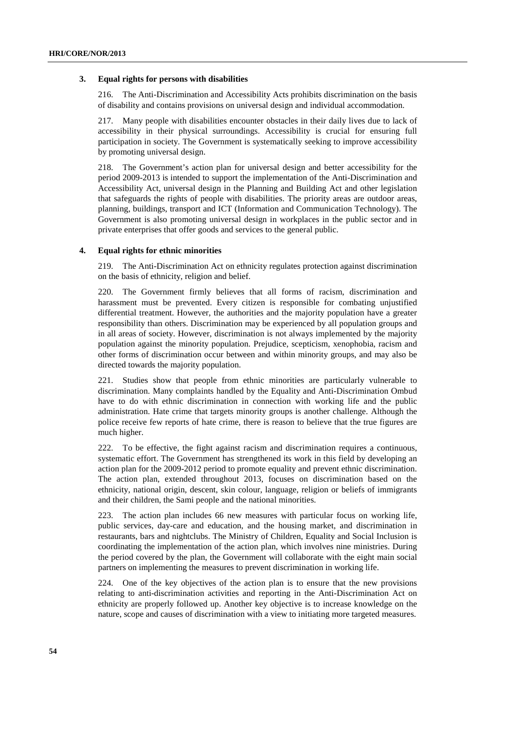#### **3. Equal rights for persons with disabilities**

216. The Anti-Discrimination and Accessibility Acts prohibits discrimination on the basis of disability and contains provisions on universal design and individual accommodation.

217. Many people with disabilities encounter obstacles in their daily lives due to lack of accessibility in their physical surroundings. Accessibility is crucial for ensuring full participation in society. The Government is systematically seeking to improve accessibility by promoting universal design.

218. The Government's action plan for universal design and better accessibility for the period 2009-2013 is intended to support the implementation of the Anti-Discrimination and Accessibility Act, universal design in the Planning and Building Act and other legislation that safeguards the rights of people with disabilities. The priority areas are outdoor areas, planning, buildings, transport and ICT (Information and Communication Technology). The Government is also promoting universal design in workplaces in the public sector and in private enterprises that offer goods and services to the general public.

#### **4. Equal rights for ethnic minorities**

219. The Anti-Discrimination Act on ethnicity regulates protection against discrimination on the basis of ethnicity, religion and belief.

220. The Government firmly believes that all forms of racism, discrimination and harassment must be prevented. Every citizen is responsible for combating unjustified differential treatment. However, the authorities and the majority population have a greater responsibility than others. Discrimination may be experienced by all population groups and in all areas of society. However, discrimination is not always implemented by the majority population against the minority population. Prejudice, scepticism, xenophobia, racism and other forms of discrimination occur between and within minority groups, and may also be directed towards the majority population.

221. Studies show that people from ethnic minorities are particularly vulnerable to discrimination. Many complaints handled by the Equality and Anti-Discrimination Ombud have to do with ethnic discrimination in connection with working life and the public administration. Hate crime that targets minority groups is another challenge. Although the police receive few reports of hate crime, there is reason to believe that the true figures are much higher.

222. To be effective, the fight against racism and discrimination requires a continuous, systematic effort. The Government has strengthened its work in this field by developing an action plan for the 2009-2012 period to promote equality and prevent ethnic discrimination. The action plan, extended throughout 2013, focuses on discrimination based on the ethnicity, national origin, descent, skin colour, language, religion or beliefs of immigrants and their children, the Sami people and the national minorities.

223. The action plan includes 66 new measures with particular focus on working life, public services, day-care and education, and the housing market, and discrimination in restaurants, bars and nightclubs. The Ministry of Children, Equality and Social Inclusion is coordinating the implementation of the action plan, which involves nine ministries. During the period covered by the plan, the Government will collaborate with the eight main social partners on implementing the measures to prevent discrimination in working life.

224. One of the key objectives of the action plan is to ensure that the new provisions relating to anti-discrimination activities and reporting in the Anti-Discrimination Act on ethnicity are properly followed up. Another key objective is to increase knowledge on the nature, scope and causes of discrimination with a view to initiating more targeted measures.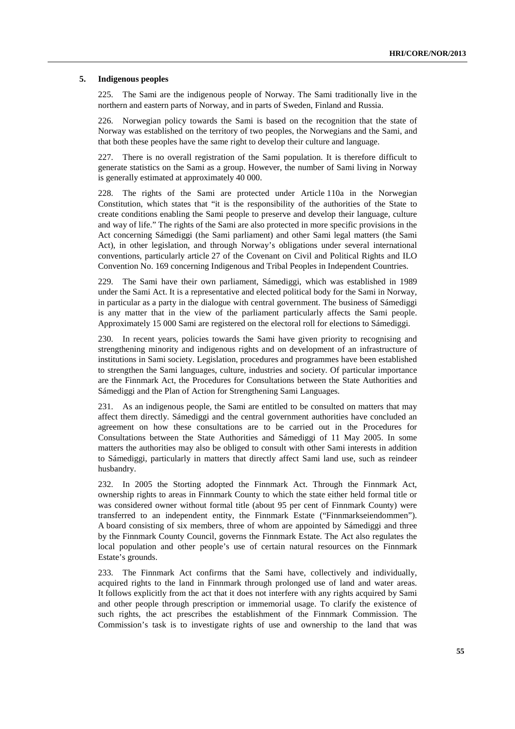#### **5. Indigenous peoples**

225. The Sami are the indigenous people of Norway. The Sami traditionally live in the northern and eastern parts of Norway, and in parts of Sweden, Finland and Russia.

226. Norwegian policy towards the Sami is based on the recognition that the state of Norway was established on the territory of two peoples, the Norwegians and the Sami, and that both these peoples have the same right to develop their culture and language.

227. There is no overall registration of the Sami population. It is therefore difficult to generate statistics on the Sami as a group. However, the number of Sami living in Norway is generally estimated at approximately 40 000.

228. The rights of the Sami are protected under Article 110a in the Norwegian Constitution, which states that "it is the responsibility of the authorities of the State to create conditions enabling the Sami people to preserve and develop their language, culture and way of life." The rights of the Sami are also protected in more specific provisions in the Act concerning Sámediggi (the Sami parliament) and other Sami legal matters (the Sami Act), in other legislation, and through Norway's obligations under several international conventions, particularly article 27 of the Covenant on Civil and Political Rights and ILO Convention No. 169 concerning Indigenous and Tribal Peoples in Independent Countries.

229. The Sami have their own parliament, Sámediggi, which was established in 1989 under the Sami Act. It is a representative and elected political body for the Sami in Norway, in particular as a party in the dialogue with central government. The business of Sámediggi is any matter that in the view of the parliament particularly affects the Sami people. Approximately 15 000 Sami are registered on the electoral roll for elections to Sámediggi.

230. In recent years, policies towards the Sami have given priority to recognising and strengthening minority and indigenous rights and on development of an infrastructure of institutions in Sami society. Legislation, procedures and programmes have been established to strengthen the Sami languages, culture, industries and society. Of particular importance are the Finnmark Act, the Procedures for Consultations between the State Authorities and Sámediggi and the Plan of Action for Strengthening Sami Languages.

231. As an indigenous people, the Sami are entitled to be consulted on matters that may affect them directly. Sámediggi and the central government authorities have concluded an agreement on how these consultations are to be carried out in the Procedures for Consultations between the State Authorities and Sámediggi of 11 May 2005. In some matters the authorities may also be obliged to consult with other Sami interests in addition to Sámediggi, particularly in matters that directly affect Sami land use, such as reindeer husbandry.

232. In 2005 the Storting adopted the Finnmark Act. Through the Finnmark Act, ownership rights to areas in Finnmark County to which the state either held formal title or was considered owner without formal title (about 95 per cent of Finnmark County) were transferred to an independent entity, the Finnmark Estate ("Finnmarkseiendommen"). A board consisting of six members, three of whom are appointed by Sámediggi and three by the Finnmark County Council, governs the Finnmark Estate. The Act also regulates the local population and other people's use of certain natural resources on the Finnmark Estate's grounds.

233. The Finnmark Act confirms that the Sami have, collectively and individually, acquired rights to the land in Finnmark through prolonged use of land and water areas. It follows explicitly from the act that it does not interfere with any rights acquired by Sami and other people through prescription or immemorial usage. To clarify the existence of such rights, the act prescribes the establishment of the Finnmark Commission. The Commission's task is to investigate rights of use and ownership to the land that was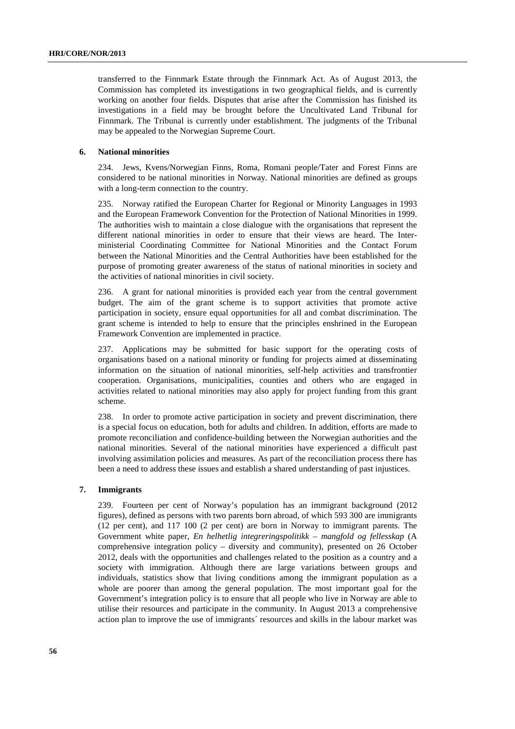transferred to the Finnmark Estate through the Finnmark Act. As of August 2013, the Commission has completed its investigations in two geographical fields, and is currently working on another four fields. Disputes that arise after the Commission has finished its investigations in a field may be brought before the Uncultivated Land Tribunal for Finnmark. The Tribunal is currently under establishment. The judgments of the Tribunal may be appealed to the Norwegian Supreme Court.

### **6. National minorities**

234. Jews, Kvens/Norwegian Finns, Roma, Romani people/Tater and Forest Finns are considered to be national minorities in Norway. National minorities are defined as groups with a long-term connection to the country.

235. Norway ratified the European Charter for Regional or Minority Languages in 1993 and the European Framework Convention for the Protection of National Minorities in 1999. The authorities wish to maintain a close dialogue with the organisations that represent the different national minorities in order to ensure that their views are heard. The Interministerial Coordinating Committee for National Minorities and the Contact Forum between the National Minorities and the Central Authorities have been established for the purpose of promoting greater awareness of the status of national minorities in society and the activities of national minorities in civil society.

236. A grant for national minorities is provided each year from the central government budget. The aim of the grant scheme is to support activities that promote active participation in society, ensure equal opportunities for all and combat discrimination. The grant scheme is intended to help to ensure that the principles enshrined in the European Framework Convention are implemented in practice.

237. Applications may be submitted for basic support for the operating costs of organisations based on a national minority or funding for projects aimed at disseminating information on the situation of national minorities, self-help activities and transfrontier cooperation. Organisations, municipalities, counties and others who are engaged in activities related to national minorities may also apply for project funding from this grant scheme.

238. In order to promote active participation in society and prevent discrimination, there is a special focus on education, both for adults and children. In addition, efforts are made to promote reconciliation and confidence-building between the Norwegian authorities and the national minorities. Several of the national minorities have experienced a difficult past involving assimilation policies and measures. As part of the reconciliation process there has been a need to address these issues and establish a shared understanding of past injustices.

#### **7. Immigrants**

239. Fourteen per cent of Norway's population has an immigrant background (2012 figures), defined as persons with two parents born abroad, of which 593 300 are immigrants (12 per cent), and 117 100 (2 per cent) are born in Norway to immigrant parents. The Government white paper, *En helhetlig integreringspolitikk – mangfold og fellesskap* (A comprehensive integration policy – diversity and community), presented on 26 October 2012, deals with the opportunities and challenges related to the position as a country and a society with immigration. Although there are large variations between groups and individuals, statistics show that living conditions among the immigrant population as a whole are poorer than among the general population. The most important goal for the Government's integration policy is to ensure that all people who live in Norway are able to utilise their resources and participate in the community. In August 2013 a comprehensive action plan to improve the use of immigrants´ resources and skills in the labour market was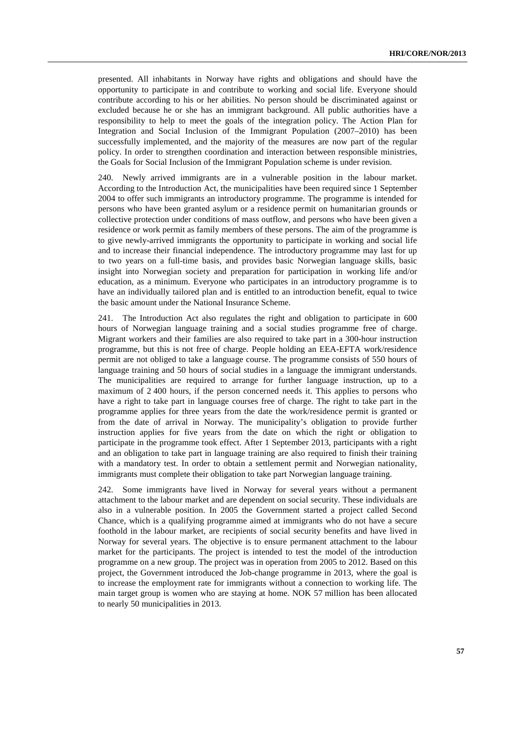presented. All inhabitants in Norway have rights and obligations and should have the opportunity to participate in and contribute to working and social life. Everyone should contribute according to his or her abilities. No person should be discriminated against or excluded because he or she has an immigrant background. All public authorities have a responsibility to help to meet the goals of the integration policy. The Action Plan for Integration and Social Inclusion of the Immigrant Population (2007–2010) has been successfully implemented, and the majority of the measures are now part of the regular policy. In order to strengthen coordination and interaction between responsible ministries, the Goals for Social Inclusion of the Immigrant Population scheme is under revision.

240. Newly arrived immigrants are in a vulnerable position in the labour market. According to the Introduction Act, the municipalities have been required since 1 September 2004 to offer such immigrants an introductory programme. The programme is intended for persons who have been granted asylum or a residence permit on humanitarian grounds or collective protection under conditions of mass outflow, and persons who have been given a residence or work permit as family members of these persons. The aim of the programme is to give newly-arrived immigrants the opportunity to participate in working and social life and to increase their financial independence. The introductory programme may last for up to two years on a full-time basis, and provides basic Norwegian language skills, basic insight into Norwegian society and preparation for participation in working life and/or education, as a minimum. Everyone who participates in an introductory programme is to have an individually tailored plan and is entitled to an introduction benefit, equal to twice the basic amount under the National Insurance Scheme.

241. The Introduction Act also regulates the right and obligation to participate in 600 hours of Norwegian language training and a social studies programme free of charge. Migrant workers and their families are also required to take part in a 300-hour instruction programme, but this is not free of charge. People holding an EEA-EFTA work/residence permit are not obliged to take a language course. The programme consists of 550 hours of language training and 50 hours of social studies in a language the immigrant understands. The municipalities are required to arrange for further language instruction, up to a maximum of 2 400 hours, if the person concerned needs it. This applies to persons who have a right to take part in language courses free of charge. The right to take part in the programme applies for three years from the date the work/residence permit is granted or from the date of arrival in Norway. The municipality's obligation to provide further instruction applies for five years from the date on which the right or obligation to participate in the programme took effect. After 1 September 2013, participants with a right and an obligation to take part in language training are also required to finish their training with a mandatory test. In order to obtain a settlement permit and Norwegian nationality, immigrants must complete their obligation to take part Norwegian language training.

242. Some immigrants have lived in Norway for several years without a permanent attachment to the labour market and are dependent on social security. These individuals are also in a vulnerable position. In 2005 the Government started a project called Second Chance, which is a qualifying programme aimed at immigrants who do not have a secure foothold in the labour market, are recipients of social security benefits and have lived in Norway for several years. The objective is to ensure permanent attachment to the labour market for the participants. The project is intended to test the model of the introduction programme on a new group. The project was in operation from 2005 to 2012. Based on this project, the Government introduced the Job-change programme in 2013, where the goal is to increase the employment rate for immigrants without a connection to working life. The main target group is women who are staying at home. NOK 57 million has been allocated to nearly 50 municipalities in 2013.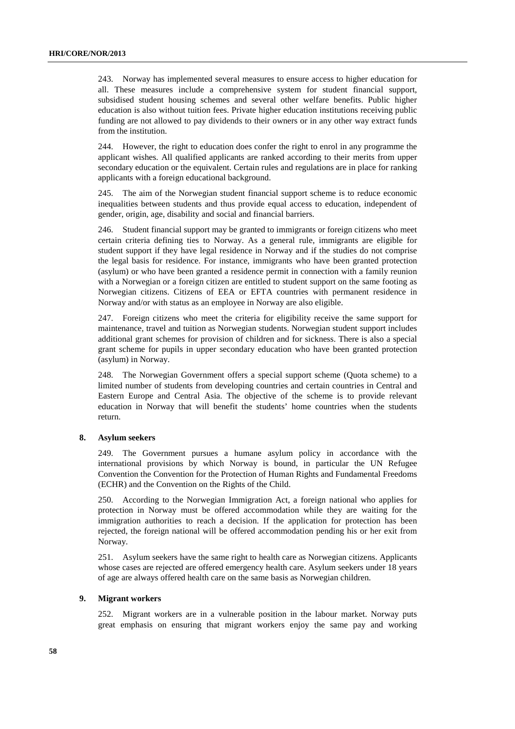243. Norway has implemented several measures to ensure access to higher education for all. These measures include a comprehensive system for student financial support, subsidised student housing schemes and several other welfare benefits. Public higher education is also without tuition fees. Private higher education institutions receiving public funding are not allowed to pay dividends to their owners or in any other way extract funds from the institution.

244. However, the right to education does confer the right to enrol in any programme the applicant wishes. All qualified applicants are ranked according to their merits from upper secondary education or the equivalent. Certain rules and regulations are in place for ranking applicants with a foreign educational background.

245. The aim of the Norwegian student financial support scheme is to reduce economic inequalities between students and thus provide equal access to education, independent of gender, origin, age, disability and social and financial barriers.

246. Student financial support may be granted to immigrants or foreign citizens who meet certain criteria defining ties to Norway. As a general rule, immigrants are eligible for student support if they have legal residence in Norway and if the studies do not comprise the legal basis for residence. For instance, immigrants who have been granted protection (asylum) or who have been granted a residence permit in connection with a family reunion with a Norwegian or a foreign citizen are entitled to student support on the same footing as Norwegian citizens. Citizens of EEA or EFTA countries with permanent residence in Norway and/or with status as an employee in Norway are also eligible.

247. Foreign citizens who meet the criteria for eligibility receive the same support for maintenance, travel and tuition as Norwegian students. Norwegian student support includes additional grant schemes for provision of children and for sickness. There is also a special grant scheme for pupils in upper secondary education who have been granted protection (asylum) in Norway.

248. The Norwegian Government offers a special support scheme (Quota scheme) to a limited number of students from developing countries and certain countries in Central and Eastern Europe and Central Asia. The objective of the scheme is to provide relevant education in Norway that will benefit the students' home countries when the students return.

#### **8. Asylum seekers**

249. The Government pursues a humane asylum policy in accordance with the international provisions by which Norway is bound, in particular the UN Refugee Convention the Convention for the Protection of Human Rights and Fundamental Freedoms (ECHR) and the Convention on the Rights of the Child.

250. According to the Norwegian Immigration Act, a foreign national who applies for protection in Norway must be offered accommodation while they are waiting for the immigration authorities to reach a decision. If the application for protection has been rejected, the foreign national will be offered accommodation pending his or her exit from Norway.

251. Asylum seekers have the same right to health care as Norwegian citizens. Applicants whose cases are rejected are offered emergency health care. Asylum seekers under 18 years of age are always offered health care on the same basis as Norwegian children.

#### **9. Migrant workers**

252. Migrant workers are in a vulnerable position in the labour market. Norway puts great emphasis on ensuring that migrant workers enjoy the same pay and working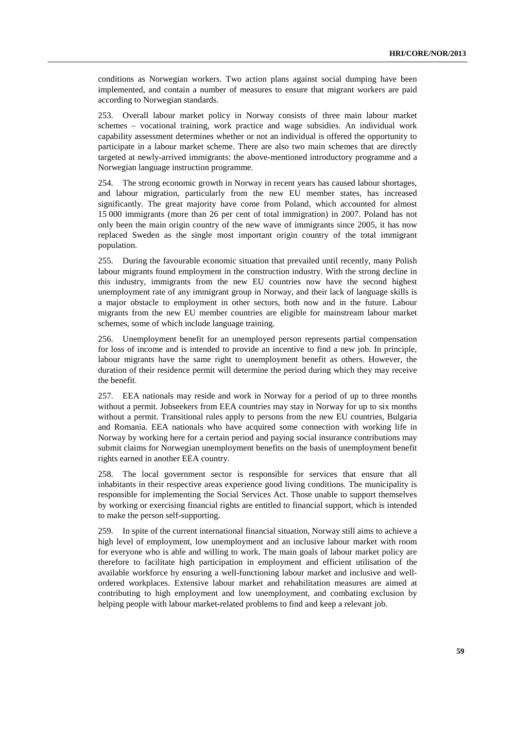conditions as Norwegian workers. Two action plans against social dumping have been implemented, and contain a number of measures to ensure that migrant workers are paid according to Norwegian standards.

253. Overall labour market policy in Norway consists of three main labour market schemes – vocational training, work practice and wage subsidies. An individual work capability assessment determines whether or not an individual is offered the opportunity to participate in a labour market scheme. There are also two main schemes that are directly targeted at newly-arrived immigrants: the above-mentioned introductory programme and a Norwegian language instruction programme.

254. The strong economic growth in Norway in recent years has caused labour shortages, and labour migration, particularly from the new EU member states, has increased significantly. The great majority have come from Poland, which accounted for almost 15 000 immigrants (more than 26 per cent of total immigration) in 2007. Poland has not only been the main origin country of the new wave of immigrants since 2005, it has now replaced Sweden as the single most important origin country of the total immigrant population.

255. During the favourable economic situation that prevailed until recently, many Polish labour migrants found employment in the construction industry. With the strong decline in this industry, immigrants from the new EU countries now have the second highest unemployment rate of any immigrant group in Norway, and their lack of language skills is a major obstacle to employment in other sectors, both now and in the future. Labour migrants from the new EU member countries are eligible for mainstream labour market schemes, some of which include language training.

256. Unemployment benefit for an unemployed person represents partial compensation for loss of income and is intended to provide an incentive to find a new job. In principle, labour migrants have the same right to unemployment benefit as others. However, the duration of their residence permit will determine the period during which they may receive the benefit.

257. EEA nationals may reside and work in Norway for a period of up to three months without a permit. Jobseekers from EEA countries may stay in Norway for up to six months without a permit. Transitional rules apply to persons from the new EU countries, Bulgaria and Romania. EEA nationals who have acquired some connection with working life in Norway by working here for a certain period and paying social insurance contributions may submit claims for Norwegian unemployment benefits on the basis of unemployment benefit rights earned in another EEA country.

258. The local government sector is responsible for services that ensure that all inhabitants in their respective areas experience good living conditions. The municipality is responsible for implementing the Social Services Act. Those unable to support themselves by working or exercising financial rights are entitled to financial support, which is intended to make the person self-supporting.

259. In spite of the current international financial situation, Norway still aims to achieve a high level of employment, low unemployment and an inclusive labour market with room for everyone who is able and willing to work. The main goals of labour market policy are therefore to facilitate high participation in employment and efficient utilisation of the available workforce by ensuring a well-functioning labour market and inclusive and wellordered workplaces. Extensive labour market and rehabilitation measures are aimed at contributing to high employment and low unemployment, and combating exclusion by helping people with labour market-related problems to find and keep a relevant job.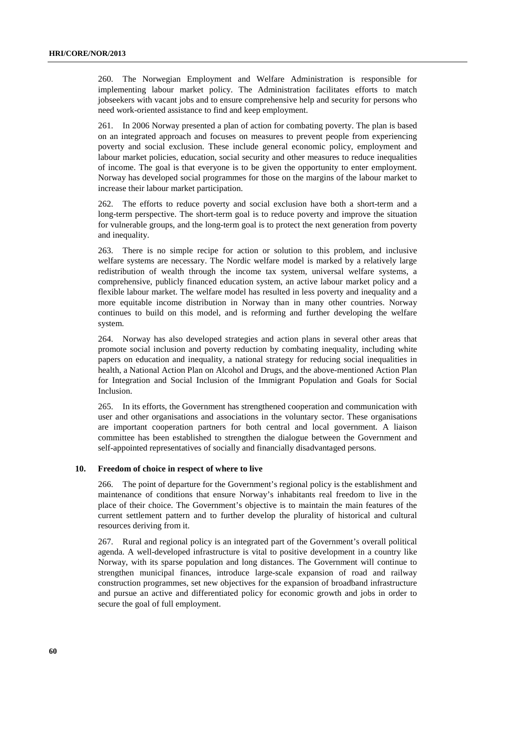260. The Norwegian Employment and Welfare Administration is responsible for implementing labour market policy. The Administration facilitates efforts to match jobseekers with vacant jobs and to ensure comprehensive help and security for persons who need work-oriented assistance to find and keep employment.

261. In 2006 Norway presented a plan of action for combating poverty. The plan is based on an integrated approach and focuses on measures to prevent people from experiencing poverty and social exclusion. These include general economic policy, employment and labour market policies, education, social security and other measures to reduce inequalities of income. The goal is that everyone is to be given the opportunity to enter employment. Norway has developed social programmes for those on the margins of the labour market to increase their labour market participation.

262. The efforts to reduce poverty and social exclusion have both a short-term and a long-term perspective. The short-term goal is to reduce poverty and improve the situation for vulnerable groups, and the long-term goal is to protect the next generation from poverty and inequality.

263. There is no simple recipe for action or solution to this problem, and inclusive welfare systems are necessary. The Nordic welfare model is marked by a relatively large redistribution of wealth through the income tax system, universal welfare systems, a comprehensive, publicly financed education system, an active labour market policy and a flexible labour market. The welfare model has resulted in less poverty and inequality and a more equitable income distribution in Norway than in many other countries. Norway continues to build on this model, and is reforming and further developing the welfare system.

264. Norway has also developed strategies and action plans in several other areas that promote social inclusion and poverty reduction by combating inequality, including white papers on education and inequality, a national strategy for reducing social inequalities in health, a National Action Plan on Alcohol and Drugs, and the above-mentioned Action Plan for Integration and Social Inclusion of the Immigrant Population and Goals for Social Inclusion.

265. In its efforts, the Government has strengthened cooperation and communication with user and other organisations and associations in the voluntary sector. These organisations are important cooperation partners for both central and local government. A liaison committee has been established to strengthen the dialogue between the Government and self-appointed representatives of socially and financially disadvantaged persons.

#### **10. Freedom of choice in respect of where to live**

266. The point of departure for the Government's regional policy is the establishment and maintenance of conditions that ensure Norway's inhabitants real freedom to live in the place of their choice. The Government's objective is to maintain the main features of the current settlement pattern and to further develop the plurality of historical and cultural resources deriving from it.

267. Rural and regional policy is an integrated part of the Government's overall political agenda. A well-developed infrastructure is vital to positive development in a country like Norway, with its sparse population and long distances. The Government will continue to strengthen municipal finances, introduce large-scale expansion of road and railway construction programmes, set new objectives for the expansion of broadband infrastructure and pursue an active and differentiated policy for economic growth and jobs in order to secure the goal of full employment.